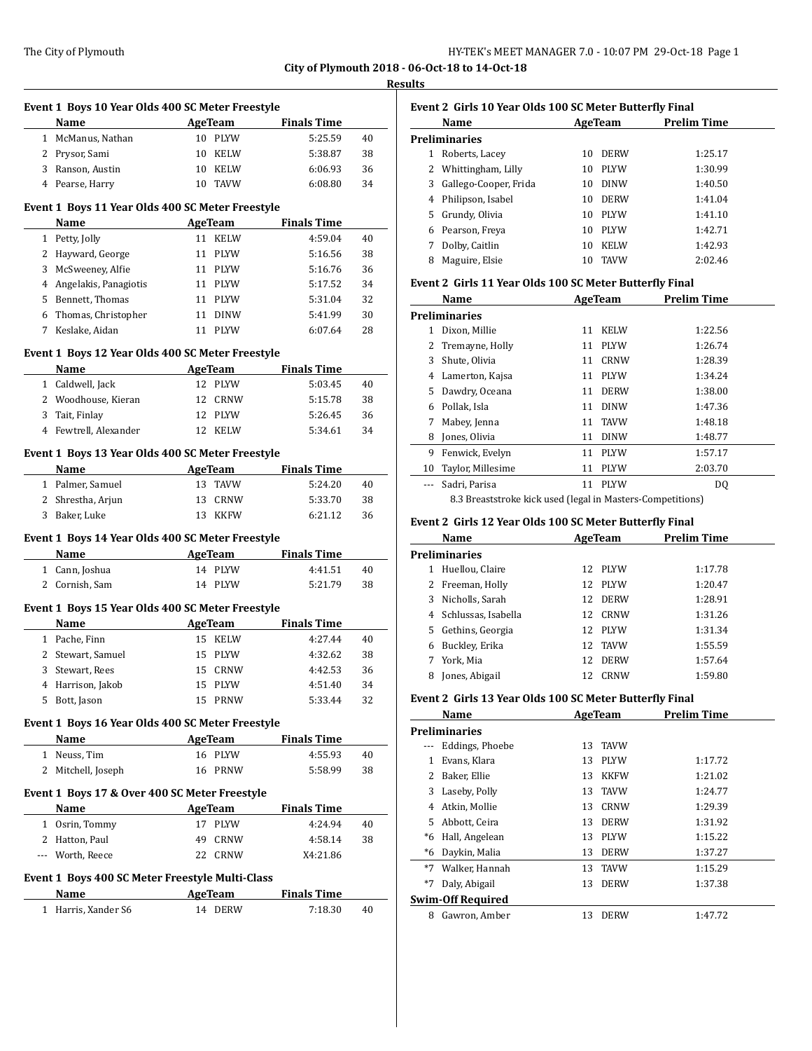|   | Event 1 Boys 10 Year Olds 400 SC Meter Freestyle<br>Name<br><b>Example 2018</b> AgeTeam |          |                           | <b>Finals Time</b>                   |    |
|---|-----------------------------------------------------------------------------------------|----------|---------------------------|--------------------------------------|----|
|   | 1 McManus, Nathan                                                                       |          | 10 PLYW                   | 5:25.59                              | 40 |
|   | 2 Prysor, Sami                                                                          |          | 10 KELW                   | 5:38.87                              | 38 |
|   | 3 Ranson, Austin                                                                        |          | 10 KELW                   | 6:06.93                              | 36 |
|   | 4 Pearse, Harry                                                                         |          | 10 TAVW                   | 6:08.80                              | 34 |
|   | Event 1 Boys 11 Year Olds 400 SC Meter Freestyle                                        |          |                           |                                      |    |
|   | Name                                                                                    |          | <b>Example 2</b> AgeTeam  | <b>Finals Time</b>                   |    |
|   | 1 Petty, Jolly                                                                          |          | 11 KELW                   | 4:59.04                              | 40 |
|   | 2 Hayward, George                                                                       |          | 11 PLYW                   | 5:16.56                              | 38 |
|   | 3 McSweeney, Alfie                                                                      |          | 11 PLYW                   | 5:16.76                              | 36 |
|   | 4 Angelakis, Panagiotis                                                                 |          | 11 PLYW                   | 5:17.52                              | 34 |
|   | 5 Bennett, Thomas                                                                       |          | 11 PLYW                   | 5:31.04                              | 32 |
|   | 6 Thomas, Christopher                                                                   | 11       | DINW                      | 5:41.99                              | 30 |
|   | 7 Keslake, Aidan                                                                        |          | 11 PLYW                   | 6:07.64                              | 28 |
|   | Event 1 Boys 12 Year Olds 400 SC Meter Freestyle                                        |          |                           |                                      |    |
|   | Name                                                                                    |          |                           | AgeTeam Finals Time                  |    |
|   | 1 Caldwell, Jack                                                                        |          | 12 PLYW                   | 5:03.45                              | 40 |
|   | 2 Woodhouse, Kieran                                                                     |          | 12 CRNW                   | 5:15.78                              | 38 |
|   | 3 Tait, Finlay                                                                          |          | 12 PLYW                   | 5:26.45                              | 36 |
|   | 4 Fewtrell, Alexander                                                                   |          | 12 KELW                   | 5:34.61                              | 34 |
|   |                                                                                         |          |                           |                                      |    |
|   | Event 1 Boys 13 Year Olds 400 SC Meter Freestyle                                        |          |                           |                                      |    |
|   | Name<br><b>Example 2018</b> AgeTeam                                                     |          |                           | <b>Finals Time</b>                   |    |
|   | 1 Palmer, Samuel                                                                        |          | 13 TAVW                   | 5:24.20                              | 40 |
|   | 2 Shrestha, Arjun                                                                       |          | 13 CRNW                   | 5:33.70                              | 38 |
| 3 | Baker, Luke                                                                             |          | 13 KKFW                   | 6:21.12                              | 36 |
|   | Event 1 Boys 14 Year Olds 400 SC Meter Freestyle                                        |          |                           |                                      |    |
|   | Name<br><b>AgeTeam</b>                                                                  |          |                           | <b>Finals Time</b>                   |    |
|   | 1 Cann, Joshua                                                                          |          | 14 PLYW                   | 4:41.51                              | 40 |
|   | 2 Cornish, Sam                                                                          |          | 14 PLYW                   | 5:21.79                              | 38 |
|   | Event 1 Boys 15 Year Olds 400 SC Meter Freestyle                                        |          |                           |                                      |    |
|   | Name                                                                                    |          |                           | <b>Example 2 AgeTeam</b> Finals Time |    |
|   |                                                                                         |          |                           |                                      |    |
|   | 1 Pache, Finn                                                                           |          | 15 KELW                   | 4:27.44                              | 40 |
|   | 2 Stewart, Samuel                                                                       |          | 15 PLYW                   | 4:32.62                              | 38 |
|   | 3 Stewart, Rees                                                                         |          | 15 CRNW                   | 4:42.53                              | 36 |
|   | 4 Harrison, Jakob                                                                       |          | 15 PLYW                   | 4:51.40                              | 34 |
| 5 | Bott, Jason                                                                             |          | 15 PRNW                   | 5:33.44                              | 32 |
|   |                                                                                         |          |                           |                                      |    |
|   | Event 1 Boys 16 Year Olds 400 SC Meter Freestyle<br>Name                                | AgeTeam  |                           | <b>Finals Time</b>                   |    |
|   | 1 Neuss, Tim                                                                            |          | 16 PLYW                   | 4:55.93                              | 40 |
|   | 2 Mitchell, Joseph                                                                      | 16       | PRNW                      | 5:58.99                              | 38 |
|   |                                                                                         |          |                           |                                      |    |
|   | Event 1 Boys 17 & Over 400 SC Meter Freestyle                                           |          |                           |                                      |    |
|   | Name                                                                                    | 17       | AgeTeam                   | <b>Finals Time</b>                   | 40 |
|   | 1 Osrin, Tommy                                                                          |          | PLYW                      | 4:24.94                              |    |
|   | 2 Hatton, Paul<br>--- Worth, Reece                                                      | 49<br>22 | CRNW<br>CRNW              | 4:58.14                              | 38 |
|   |                                                                                         |          |                           | X4:21.86                             |    |
|   | Event 1 Boys 400 SC Meter Freestyle Multi-Class                                         |          |                           |                                      |    |
|   | Name<br>1 Harris, Xander S6                                                             |          | <b>AgeTeam</b><br>14 DERW | <b>Finals Time</b><br>7:18.30        | 40 |

|   | Name                                                    |    | AgeTeam     | <b>Prelim Time</b> |
|---|---------------------------------------------------------|----|-------------|--------------------|
|   | <b>Preliminaries</b>                                    |    |             |                    |
| 1 | Roberts, Lacey                                          | 10 | <b>DERW</b> | 1:25.17            |
| 2 | Whittingham, Lilly                                      | 10 | <b>PLYW</b> | 1:30.99            |
| 3 | Gallego-Cooper, Frida                                   | 10 | <b>DINW</b> | 1:40.50            |
| 4 | Philipson, Isabel                                       | 10 | <b>DERW</b> | 1:41.04            |
| 5 | Grundy, Olivia                                          | 10 | <b>PLYW</b> | 1:41.10            |
| 6 | Pearson, Freya                                          | 10 | <b>PLYW</b> | 1:42.71            |
| 7 | Dolby, Caitlin                                          | 10 | <b>KELW</b> | 1:42.93            |
| 8 | Maguire, Elsie                                          | 10 | <b>TAVW</b> | 2:02.46            |
|   | Event 2 Girls 11 Year Olds 100 SC Meter Butterfly Final |    |             |                    |
|   | Name                                                    |    | AgeTeam     | <b>Prelim Time</b> |
|   | <b>Preliminaries</b>                                    |    |             |                    |
| 1 | Dixon, Millie                                           | 11 | <b>KELW</b> | 1:22.56            |
| 2 | Tremayne, Holly                                         | 11 | <b>PLYW</b> | 1:26.74            |
| 3 | Shute, Olivia                                           | 11 | CRNW        | 1:28.39            |
| 4 | Lamerton, Kajsa                                         | 11 | <b>PLYW</b> | 1:34.24            |
| 5 | Dawdry, Oceana                                          | 11 | <b>DERW</b> | 1:38.00            |
|   |                                                         | 11 | <b>DINW</b> | 1:47.36            |
| 6 | Pollak, Isla                                            |    |             |                    |
| 7 | Mabey, Jenna                                            | 11 | <b>TAVW</b> | 1:48.18            |

9 Fenwick, Evelyn 11 PLYW 1:57.17 10 Taylor, Millesime 11 PLYW 2:03.70 --- Sadri, Parisa 11 PLYW DQ 8.3 Breaststroke kick used (legal in Masters-Competitions)

**Name AgeTeam Prelim Time** 

1 Huellou, Claire 12 PLYW 1:17.78 Freeman, Holly 12 PLYW 1:20.47 Nicholls, Sarah 12 DERW 1:28.91 Schlussas, Isabella 12 CRNW 1:31.26 Gethins, Georgia 12 PLYW 1:31.34 Buckley, Erika 12 TAVW 1:55.59 York, Mia 12 DERW 1:57.64 8 Jones, Abigail 12 CRNW 1:59.80

**Event 2 Girls 12 Year Olds 100 SC Meter Butterfly Final**

| 32 | Event 2 Girls 13 Year Olds 100 SC Meter Butterfly Final |         |        |  |  |
|----|---------------------------------------------------------|---------|--------|--|--|
|    | Name                                                    | AgeTeam | Prelin |  |  |
|    | <b>Preliminaries</b>                                    |         |        |  |  |

**Preliminaries**

|          | гтеннинацел       |    |             |         |
|----------|-------------------|----|-------------|---------|
| $\cdots$ | Eddings, Phoebe   | 13 | <b>TAVW</b> |         |
| 1        | Evans, Klara      | 13 | <b>PLYW</b> | 1:17.72 |
| 2        | Baker, Ellie      | 13 | <b>KKFW</b> | 1:21.02 |
| 3        | Laseby, Polly     | 13 | <b>TAVW</b> | 1:24.77 |
| 4        | Atkin, Mollie     | 13 | CRNW        | 1:29.39 |
| 5.       | Abbott, Ceira     | 13 | <b>DERW</b> | 1:31.92 |
| *6       | Hall, Angelean    | 13 | <b>PLYW</b> | 1:15.22 |
| *6       | Daykin, Malia     | 13 | <b>DERW</b> | 1:37.27 |
| $*7$     | Walker, Hannah    | 13 | <b>TAVW</b> | 1:15.29 |
| $*7$     | Daly, Abigail     | 13 | <b>DERW</b> | 1:37.38 |
|          | Swim-Off Required |    |             |         |
| 8        | Gawron, Amber     | 13 | <b>DERW</b> | 1:47.72 |
|          |                   |    |             |         |

**Prelim Time**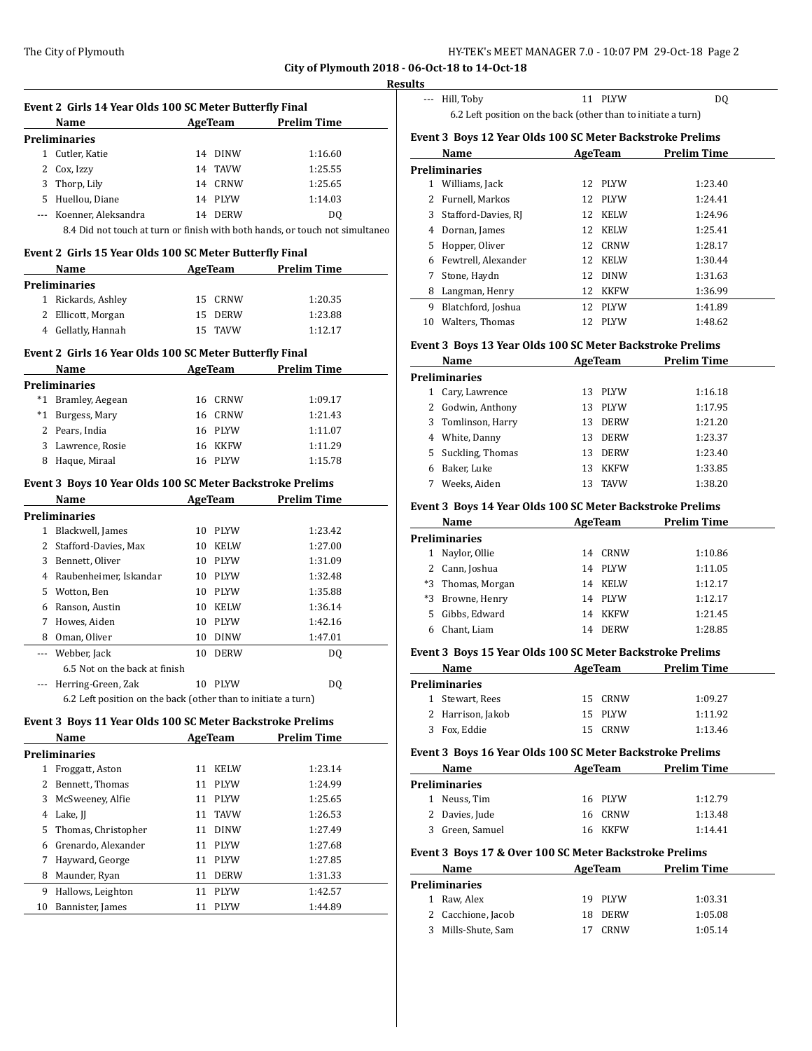#### **Results**

| Event 2 Girls 14 Year Olds 100 SC Meter Butterfly Final |                                                               |                   |                                                                              |  |  |  |
|---------------------------------------------------------|---------------------------------------------------------------|-------------------|------------------------------------------------------------------------------|--|--|--|
|                                                         | Name                                                          |                   | AgeTeam Prelim Time                                                          |  |  |  |
|                                                         | Preliminaries                                                 |                   |                                                                              |  |  |  |
|                                                         | 1 Cutler, Katie                                               | 14 DINW           | 1:16.60                                                                      |  |  |  |
|                                                         | 2 Cox, Izzy                                                   | 14 TAVW           | 1:25.55                                                                      |  |  |  |
|                                                         | 3 Thorp, Lily                                                 | 14 CRNW           | 1:25.65                                                                      |  |  |  |
|                                                         | 5 Huellou, Diane                                              | 14 PLYW           | 1:14.03                                                                      |  |  |  |
|                                                         | --- Koenner, Aleksandra                                       | 14 DERW           | DQ                                                                           |  |  |  |
|                                                         |                                                               |                   | 8.4 Did not touch at turn or finish with both hands, or touch not simultaneo |  |  |  |
|                                                         | Event 2 Girls 15 Year Olds 100 SC Meter Butterfly Final       |                   |                                                                              |  |  |  |
|                                                         | Name AgeTeam Prelim Time                                      |                   |                                                                              |  |  |  |
|                                                         | <b>Preliminaries</b>                                          |                   |                                                                              |  |  |  |
|                                                         | 1 Rickards, Ashley                                            | 15 CRNW           | 1:20.35                                                                      |  |  |  |
|                                                         | 2 Ellicott, Morgan                                            | 15 DERW           | 1:23.88                                                                      |  |  |  |
|                                                         | 4 Gellatly, Hannah                                            | 15 TAVW           | 1:12.17                                                                      |  |  |  |
|                                                         |                                                               |                   |                                                                              |  |  |  |
|                                                         | Event 2 Girls 16 Year Olds 100 SC Meter Butterfly Final       |                   |                                                                              |  |  |  |
|                                                         | Name                                                          | <b>AgeTeam</b>    | <b>Prelim Time</b>                                                           |  |  |  |
|                                                         | <b>Preliminaries</b>                                          |                   |                                                                              |  |  |  |
|                                                         | *1 Bramley, Aegean                                            | 16 CRNW           | 1:09.17                                                                      |  |  |  |
|                                                         | *1 Burgess, Mary                                              | 16 CRNW           | 1:21.43                                                                      |  |  |  |
|                                                         | 2 Pears, India                                                | 16 PLYW           | 1:11.07                                                                      |  |  |  |
|                                                         | 3 Lawrence, Rosie                                             | 16 KKFW           | 1:11.29                                                                      |  |  |  |
|                                                         | 8 Haque, Miraal                                               | 16 PLYW           | 1:15.78                                                                      |  |  |  |
|                                                         | Event 3 Boys 10 Year Olds 100 SC Meter Backstroke Prelims     |                   |                                                                              |  |  |  |
|                                                         | Name                                                          |                   | AgeTeam Prelim Time                                                          |  |  |  |
|                                                         | <b>Preliminaries</b>                                          |                   |                                                                              |  |  |  |
|                                                         | 1 Blackwell, James                                            | 10 PLYW           | 1:23.42                                                                      |  |  |  |
|                                                         | 2 Stafford-Davies, Max                                        | 10 KELW           | 1:27.00                                                                      |  |  |  |
|                                                         | 3 Bennett, Oliver                                             | 10 PLYW           | 1:31.09                                                                      |  |  |  |
|                                                         | 4 Raubenheimer, Iskandar                                      | 10 PLYW           | 1:32.48                                                                      |  |  |  |
|                                                         | 5 Wotton, Ben                                                 | 10 PLYW           | 1:35.88                                                                      |  |  |  |
|                                                         |                                                               | 10 KELW           |                                                                              |  |  |  |
|                                                         | 6 Ranson, Austin                                              |                   | 1:36.14                                                                      |  |  |  |
|                                                         | 7 Howes, Aiden                                                | 10 PLYW           | 1:42.16                                                                      |  |  |  |
|                                                         | 8 Oman, Oliver                                                | 10<br>DINW        | 1:47.01                                                                      |  |  |  |
|                                                         | --- Webber, Jack                                              | 10 DERW           | DQ                                                                           |  |  |  |
|                                                         | 6.5 Not on the back at finish                                 |                   |                                                                              |  |  |  |
|                                                         | Herring-Green, Zak                                            | 10 PLYW           | DQ                                                                           |  |  |  |
|                                                         | 6.2 Left position on the back (other than to initiate a turn) |                   |                                                                              |  |  |  |
|                                                         | Event 3 Boys 11 Year Olds 100 SC Meter Backstroke Prelims     |                   |                                                                              |  |  |  |
|                                                         | Name                                                          | <b>AgeTeam</b>    | <b>Prelim Time</b>                                                           |  |  |  |
|                                                         | <b>Preliminaries</b>                                          |                   |                                                                              |  |  |  |
|                                                         | 1 Froggatt, Aston                                             | KELW<br>11        | 1:23.14                                                                      |  |  |  |
|                                                         | 2 Bennett, Thomas                                             | 11<br>PLYW        | 1:24.99                                                                      |  |  |  |
|                                                         | 3 McSweeney, Alfie                                            | 11<br>PLYW        | 1:25.65                                                                      |  |  |  |
|                                                         | 4 Lake, JJ                                                    | 11<br>TAVW        | 1:26.53                                                                      |  |  |  |
|                                                         | 5 Thomas, Christopher                                         | <b>DINW</b><br>11 | 1:27.49                                                                      |  |  |  |
| 6                                                       | Grenardo, Alexander                                           | 11<br>PLYW        | 1:27.68                                                                      |  |  |  |
| 7                                                       | Hayward, George                                               | PLYW<br>11        | 1:27.85                                                                      |  |  |  |
| 8                                                       | Maunder, Ryan                                                 | 11<br>DERW        | 1:31.33                                                                      |  |  |  |
|                                                         | 9 Hallows, Leighton                                           | 11<br>PLYW        | 1:42.57                                                                      |  |  |  |

10 Bannister, James 11 PLYW 1:44.89

| --- Hill, Toby | 11 PLYW                                                       | D <sub>0</sub> |
|----------------|---------------------------------------------------------------|----------------|
|                | 6.2 Left position on the back (other than to initiate a turn) |                |

## **Event 3 Boys 12 Year Olds 100 SC Meter Backstroke Prelims**

|    | Name                | AgeTeam |             | <b>Prelim Time</b> |  |
|----|---------------------|---------|-------------|--------------------|--|
|    | Preliminaries       |         |             |                    |  |
| 1  | Williams, Jack      |         | 12 PLYW     | 1:23.40            |  |
| 2  | Furnell, Markos     |         | 12 PLYW     | 1:24.41            |  |
| 3  | Stafford-Davies, RJ | 12      | KELW        | 1:24.96            |  |
| 4  | Dornan, James       | 12      | <b>KELW</b> | 1:25.41            |  |
| 5. | Hopper, Oliver      | 12      | CRNW        | 1:28.17            |  |
| 6  | Fewtrell, Alexander | 12      | <b>KELW</b> | 1:30.44            |  |
| 7  | Stone, Haydn        | 12      | <b>DINW</b> | 1:31.63            |  |
| 8  | Langman, Henry      | 12      | KKFW        | 1:36.99            |  |
| 9  | Blatchford, Joshua  | 12      | <b>PLYW</b> | 1:41.89            |  |
| 10 | Walters, Thomas     | 12      | <b>PLYW</b> | 1:48.62            |  |

#### **Event 3 Boys 13 Year Olds 100 SC Meter Backstroke Prelims**

|               | Name              | AgeTeam |             | <b>Prelim Time</b> |  |  |  |
|---------------|-------------------|---------|-------------|--------------------|--|--|--|
| Preliminaries |                   |         |             |                    |  |  |  |
|               | Cary, Lawrence    | 13      | <b>PLYW</b> | 1:16.18            |  |  |  |
|               | 2 Godwin, Anthony | 13      | <b>PLYW</b> | 1:17.95            |  |  |  |
| 3             | Tomlinson, Harry  | 13      | <b>DERW</b> | 1:21.20            |  |  |  |
| 4             | White, Danny      | 13      | <b>DERW</b> | 1:23.37            |  |  |  |
| 5.            | Suckling, Thomas  | 13      | <b>DERW</b> | 1:23.40            |  |  |  |
| 6             | Baker, Luke       | 13      | <b>KKFW</b> | 1:33.85            |  |  |  |
|               | Weeks, Aiden      | 13      | <b>TAVW</b> | 1:38.20            |  |  |  |
|               |                   |         |             |                    |  |  |  |

#### **Event 3 Boys 14 Year Olds 100 SC Meter Backstroke Prelims**

| Name |                   | AgeTeam |             | <b>Prelim Time</b> |  |
|------|-------------------|---------|-------------|--------------------|--|
|      | Preliminaries     |         |             |                    |  |
|      | Naylor, Ollie     | 14      | CRNW        | 1:10.86            |  |
|      | 2 Cann, Joshua    | 14      | PLYW        | 1:11.05            |  |
|      | *3 Thomas, Morgan | 14      | <b>KELW</b> | 1:12.17            |  |
| *3   | Browne, Henry     | 14      | PLYW        | 1:12.17            |  |
| 5    | Gibbs, Edward     | 14      | KKFW        | 1:21.45            |  |
| 6    | Chant, Liam       | 14      | <b>DERW</b> | 1:28.85            |  |

#### **Event 3 Boys 15 Year Olds 100 SC Meter Backstroke Prelims**

|    | Name              |  | AgeTeam | <b>Prelim Time</b> |  |
|----|-------------------|--|---------|--------------------|--|
|    | Preliminaries     |  |         |                    |  |
|    | 1 Stewart, Rees   |  | 15 CRNW | 1:09.27            |  |
|    | 2 Harrison, Jakob |  | 15 PLYW | 1:11.92            |  |
| 3. | Fox, Eddie        |  | 15 CRNW | 1:13.46            |  |

#### **Event 3 Boys 16 Year Olds 100 SC Meter Backstroke Prelims**

| Name            | AgeTeam | <b>Prelim Time</b> |  |  |
|-----------------|---------|--------------------|--|--|
| Preliminaries   |         |                    |  |  |
| Neuss, Tim      | 16 PLYW | 1:12.79            |  |  |
| 2 Davies, Jude  | 16 CRNW | 1:13.48            |  |  |
| 3 Green, Samuel | 16 KKFW | 1:14.41            |  |  |

## **Event 3 Boys 17 & Over 100 SC Meter Backstroke Prelims**

| Name |                    | AgeTeam |             | <b>Prelim Time</b> |         |  |
|------|--------------------|---------|-------------|--------------------|---------|--|
|      | Preliminaries      |         |             |                    |         |  |
| 1    | Raw. Alex          |         | 19 PLYW     |                    | 1:03.31 |  |
|      | 2 Cacchione, Jacob | 18      | <b>DERW</b> |                    | 1:05.08 |  |
| 3    | Mills-Shute, Sam   |         | <b>CRNW</b> |                    | 1:05.14 |  |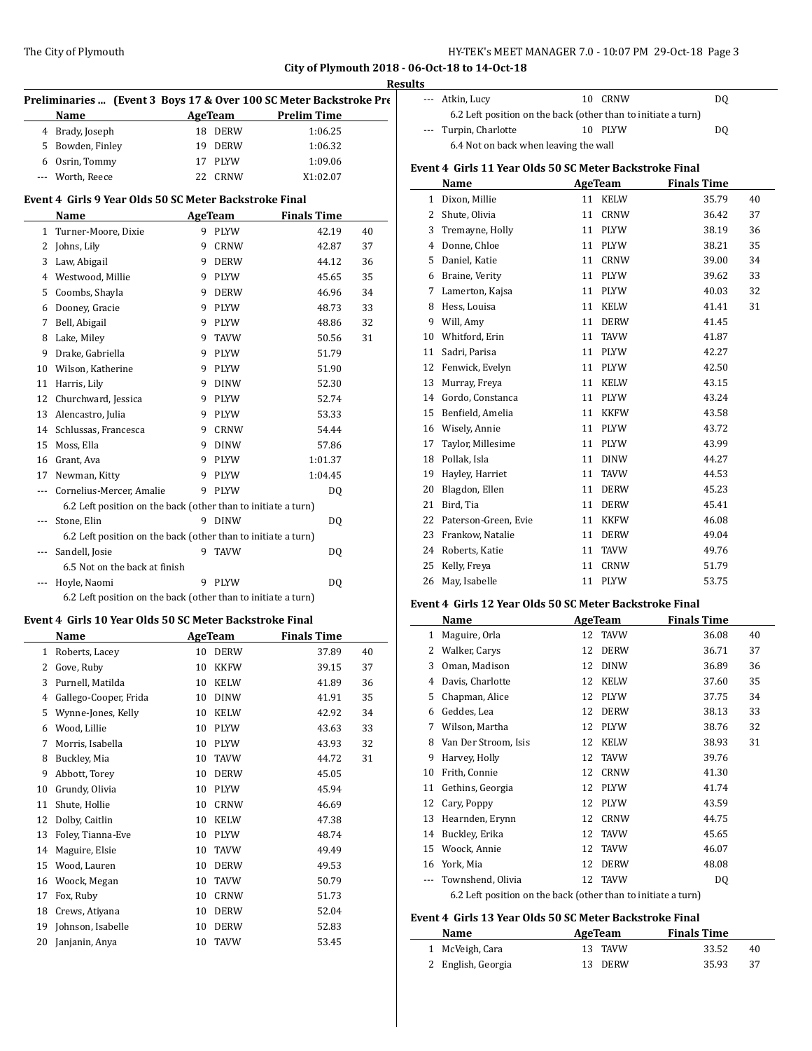| Preliminaries  (Event 3 Boys 17 & Over 100 SC Meter Backstroke Pre |    |                |                     |    |
|--------------------------------------------------------------------|----|----------------|---------------------|----|
| Name                                                               |    |                | AgeTeam Prelim Time |    |
| Brady, Joseph<br>$\overline{4}$                                    |    | 18 DERW        | 1:06.25             |    |
| 5 Bowden, Finley                                                   | 19 | DERW           | 1:06.32             |    |
| 6 Osrin, Tommy                                                     | 17 | PLYW           | 1:09.06             |    |
| Worth, Reece<br>---                                                | 22 | <b>CRNW</b>    | X1:02.07            |    |
| Event 4 Girls 9 Year Olds 50 SC Meter Backstroke Final             |    |                |                     |    |
| Name                                                               |    | <b>AgeTeam</b> | <b>Finals Time</b>  |    |
| Turner-Moore, Dixie<br>$\mathbf{1}$                                | 9  | PLYW           | 42.19               | 40 |
| Johns, Lily<br>$\overline{2}$                                      | 9  | <b>CRNW</b>    | 42.87               | 37 |
| Law, Abigail<br>3                                                  | 9  | <b>DERW</b>    | 44.12               | 36 |
| Westwood, Millie<br>4                                              | 9  | <b>PLYW</b>    | 45.65               | 35 |
| Coombs, Shayla<br>5                                                | 9  | <b>DERW</b>    | 46.96               | 34 |
| Dooney, Gracie<br>6                                                | 9  | <b>PLYW</b>    | 48.73               | 33 |
| Bell, Abigail<br>7                                                 | 9  | <b>PLYW</b>    | 48.86               | 32 |
| Lake, Miley<br>8                                                   | 9  | <b>TAVW</b>    | 50.56               | 31 |
| Drake, Gabriella<br>9                                              | 9  | <b>PLYW</b>    | 51.79               |    |
| Wilson, Katherine<br>10                                            | 9  | <b>PLYW</b>    | 51.90               |    |
| Harris, Lily<br>11                                                 | 9  | <b>DINW</b>    | 52.30               |    |
| 12 Churchward, Jessica                                             | 9  | PLYW           | 52.74               |    |
| Alencastro, Julia<br>13                                            | 9  | PLYW           | 53.33               |    |
| Schlussas, Francesca<br>14                                         | 9  | <b>CRNW</b>    | 54.44               |    |
| 15 Moss, Ella                                                      | 9  | <b>DINW</b>    | 57.86               |    |
| Grant, Ava<br>16                                                   | 9  | PLYW           | 1:01.37             |    |
| Newman, Kitty<br>17                                                | 9  | <b>PLYW</b>    | 1:04.45             |    |
| Cornelius-Mercer, Amalie<br>$\cdots$                               | 9  | <b>PLYW</b>    | DQ                  |    |
| 6.2 Left position on the back (other than to initiate a turn)      |    |                |                     |    |
| Stone, Elin<br>---                                                 |    | 9 DINW         | DQ                  |    |
| 6.2 Left position on the back (other than to initiate a turn)      |    |                |                     |    |
| Sandell, Josie<br>---                                              |    | 9 TAVW         | D <sub>0</sub>      |    |
| 6.5 Not on the back at finish                                      |    |                |                     |    |
| Hoyle, Naomi                                                       |    | 9 PLYW         | DQ                  |    |
| 6.2 Left position on the back (other than to initiate a turn)      |    |                |                     |    |

# **Event 4 Girls 10 Year Olds 50 SC Meter Backstroke Final**

|    | Name                  | AgeTeam |             | <b>Finals Time</b> |    |
|----|-----------------------|---------|-------------|--------------------|----|
| 1  | Roberts, Lacey        | 10      | <b>DERW</b> | 37.89              | 40 |
| 2  | Gove, Ruby            | 10      | <b>KKFW</b> | 39.15              | 37 |
| 3  | Purnell, Matilda      | 10      | <b>KELW</b> | 41.89              | 36 |
| 4  | Gallego-Cooper, Frida | 10      | <b>DINW</b> | 41.91              | 35 |
| 5  | Wynne-Jones, Kelly    | 10      | <b>KELW</b> | 42.92              | 34 |
| 6  | Wood, Lillie          | 10      | <b>PLYW</b> | 43.63              | 33 |
| 7  | Morris, Isabella      | 10      | <b>PLYW</b> | 43.93              | 32 |
| 8  | Buckley, Mia          | 10      | <b>TAVW</b> | 44.72              | 31 |
| 9  | Abbott, Torey         | 10      | <b>DERW</b> | 45.05              |    |
| 10 | Grundy, Olivia        | 10      | <b>PLYW</b> | 45.94              |    |
| 11 | Shute, Hollie         | 10      | <b>CRNW</b> | 46.69              |    |
| 12 | Dolby, Caitlin        | 10      | <b>KELW</b> | 47.38              |    |
| 13 | Foley, Tianna-Eve     | 10      | <b>PLYW</b> | 48.74              |    |
| 14 | Maguire, Elsie        | 10      | <b>TAVW</b> | 49.49              |    |
| 15 | Wood, Lauren          | 10      | <b>DERW</b> | 49.53              |    |
| 16 | Woock, Megan          | 10      | <b>TAVW</b> | 50.79              |    |
| 17 | Fox, Ruby             | 10      | <b>CRNW</b> | 51.73              |    |
| 18 | Crews, Atiyana        | 10      | <b>DERW</b> | 52.04              |    |
| 19 | Johnson, Isabelle     | 10      | <b>DERW</b> | 52.83              |    |
| 20 | Janjanin, Anya        | 10      | <b>TAVW</b> | 53.45              |    |

| --- Atkin, Lucy                                               |  | 10 CRNW | D0 |  |  |
|---------------------------------------------------------------|--|---------|----|--|--|
| 6.2 Left position on the back (other than to initiate a turn) |  |         |    |  |  |
| --- Turpin, Charlotte                                         |  | 10 PLYW | D0 |  |  |
| 6.4 Not on back when leaving the wall                         |  |         |    |  |  |

# **Event 4 Girls 11 Year Olds 50 SC Meter Backstroke Final**

|    | Name                 | AgeTeam |             | <b>Finals Time</b> |    |
|----|----------------------|---------|-------------|--------------------|----|
| 1  | Dixon, Millie        | 11      | <b>KELW</b> | 35.79              | 40 |
| 2  | Shute, Olivia        | 11      | <b>CRNW</b> | 36.42              | 37 |
| 3  | Tremayne, Holly      | 11      | <b>PLYW</b> | 38.19              | 36 |
| 4  | Donne, Chloe         | 11      | <b>PLYW</b> | 38.21              | 35 |
| 5  | Daniel, Katie        | 11      | <b>CRNW</b> | 39.00              | 34 |
| 6  | Braine, Verity       | 11      | PLYW        | 39.62              | 33 |
| 7  | Lamerton, Kajsa      | 11      | <b>PLYW</b> | 40.03              | 32 |
| 8  | Hess, Louisa         | 11      | <b>KELW</b> | 41.41              | 31 |
| 9  | Will, Amy            | 11      | <b>DERW</b> | 41.45              |    |
| 10 | Whitford, Erin       | 11      | <b>TAVW</b> | 41.87              |    |
| 11 | Sadri, Parisa        | 11      | <b>PLYW</b> | 42.27              |    |
| 12 | Fenwick, Evelyn      | 11      | <b>PLYW</b> | 42.50              |    |
| 13 | Murray, Freya        | 11      | <b>KELW</b> | 43.15              |    |
| 14 | Gordo, Constanca     | 11      | <b>PLYW</b> | 43.24              |    |
| 15 | Benfield, Amelia     | 11      | <b>KKFW</b> | 43.58              |    |
| 16 | Wisely, Annie        | 11      | <b>PLYW</b> | 43.72              |    |
| 17 | Taylor, Millesime    | 11      | <b>PLYW</b> | 43.99              |    |
| 18 | Pollak, Isla         | 11      | <b>DINW</b> | 44.27              |    |
| 19 | Hayley, Harriet      | 11      | <b>TAVW</b> | 44.53              |    |
| 20 | Blagdon, Ellen       | 11      | <b>DERW</b> | 45.23              |    |
| 21 | Bird, Tia            | 11      | <b>DERW</b> | 45.41              |    |
| 22 | Paterson-Green, Evie | 11      | <b>KKFW</b> | 46.08              |    |
| 23 | Frankow, Natalie     | 11      | <b>DERW</b> | 49.04              |    |
| 24 | Roberts, Katie       | 11      | <b>TAVW</b> | 49.76              |    |
| 25 | Kelly, Freya         | 11      | <b>CRNW</b> | 51.79              |    |
| 26 | May, Isabelle        | 11      | <b>PLYW</b> | 53.75              |    |

#### **Event 4 Girls 12 Year Olds 50 SC Meter Backstroke Final**

|    | Name                                                          |       | AgeTeam     | <b>Finals Time</b> |    |
|----|---------------------------------------------------------------|-------|-------------|--------------------|----|
| 1  | Maguire, Orla                                                 | 12    | <b>TAVW</b> | 36.08              | 40 |
| 2  | Walker, Carys                                                 | 12    | <b>DERW</b> | 36.71              | 37 |
| 3  | Oman, Madison                                                 | 12    | <b>DINW</b> | 36.89              | 36 |
| 4  | Davis, Charlotte                                              | 12    | <b>KELW</b> | 37.60              | 35 |
| 5  | Chapman, Alice                                                | 12    | <b>PLYW</b> | 37.75              | 34 |
| 6  | Geddes, Lea                                                   | 12    | <b>DERW</b> | 38.13              | 33 |
| 7  | Wilson, Martha                                                | 12    | <b>PLYW</b> | 38.76              | 32 |
| 8  | Van Der Stroom, Isis                                          | 12    | <b>KELW</b> | 38.93              | 31 |
| 9  | Harvey, Holly                                                 | 12    | <b>TAVW</b> | 39.76              |    |
| 10 | Frith, Connie                                                 | 12    | <b>CRNW</b> | 41.30              |    |
| 11 | Gethins, Georgia                                              | 12    | <b>PLYW</b> | 41.74              |    |
| 12 | Cary, Poppy                                                   | 12    | <b>PLYW</b> | 43.59              |    |
| 13 | Hearnden, Erynn                                               | 12    | <b>CRNW</b> | 44.75              |    |
| 14 | Buckley, Erika                                                | 12    | <b>TAVW</b> | 45.65              |    |
| 15 | Woock, Annie                                                  | 12    | <b>TAVW</b> | 46.07              |    |
| 16 | York, Mia                                                     | 12    | <b>DERW</b> | 48.08              |    |
|    | Townshend, Olivia                                             | 12    | <b>TAVW</b> | DQ                 |    |
|    | 6.2 Left position on the back (other than to initiate a turn) | _____ |             |                    |    |

#### **Event 4 Girls 13 Year Olds 50 SC Meter Backstroke Final Name Age Team Finals Time**

 $\overline{\phantom{a}}$ 

| Name               | aeeteam | rinais l'ille |     |
|--------------------|---------|---------------|-----|
| 1 McVeigh, Cara    | 13 TAVW | 33.52         | 40  |
| 2 English, Georgia | 13 DERW | 35.93         | -37 |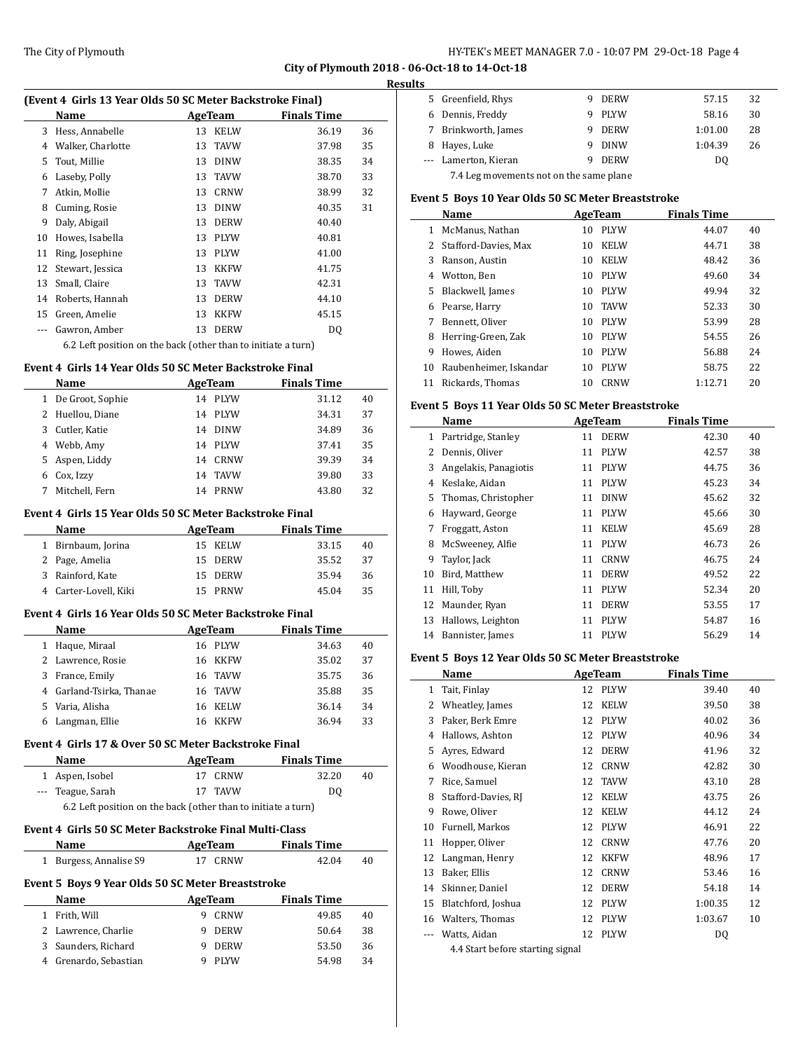#### **Results**

 $\overline{a}$ 

 $\overline{\phantom{0}}$ 

 $\frac{1}{2}$ 

| (Event 4 Girls 13 Year Olds 50 SC Meter Backstroke Final) |                                                               |    |             |                    |    |  |
|-----------------------------------------------------------|---------------------------------------------------------------|----|-------------|--------------------|----|--|
|                                                           | Name                                                          |    | AgeTeam     | <b>Finals Time</b> |    |  |
| 3                                                         | Hess, Annabelle                                               | 13 | <b>KELW</b> | 36.19              | 36 |  |
| 4                                                         | Walker, Charlotte                                             | 13 | <b>TAVW</b> | 37.98              | 35 |  |
| 5                                                         | Tout, Millie                                                  | 13 | <b>DINW</b> | 38.35              | 34 |  |
| 6                                                         | Laseby, Polly                                                 | 13 | <b>TAVW</b> | 38.70              | 33 |  |
| 7                                                         | Atkin, Mollie                                                 | 13 | <b>CRNW</b> | 38.99              | 32 |  |
| 8                                                         | Cuming, Rosie                                                 | 13 | <b>DINW</b> | 40.35              | 31 |  |
| 9                                                         | Daly, Abigail                                                 | 13 | <b>DERW</b> | 40.40              |    |  |
| 10                                                        | Howes, Isabella                                               | 13 | <b>PLYW</b> | 40.81              |    |  |
| 11                                                        | Ring, Josephine                                               | 13 | <b>PLYW</b> | 41.00              |    |  |
| 12                                                        | Stewart, Jessica                                              | 13 | <b>KKFW</b> | 41.75              |    |  |
| 13                                                        | Small, Claire                                                 | 13 | TAVW        | 42.31              |    |  |
| 14                                                        | Roberts, Hannah                                               | 13 | <b>DERW</b> | 44.10              |    |  |
| 15                                                        | Green, Amelie                                                 | 13 | <b>KKFW</b> | 45.15              |    |  |
|                                                           | Gawron, Amber                                                 | 13 | <b>DERW</b> | DQ                 |    |  |
|                                                           | 6.2 Left position on the back (other than to initiate a turn) |    |             |                    |    |  |
|                                                           | Event 4 Girls 14 Year Olds 50 SC Meter Backstroke Final       |    |             |                    |    |  |
| Name<br>AgeTeam<br><b>Finals Time</b>                     |                                                               |    |             |                    |    |  |

|    | <b>Name</b>      | AgeTeam |             | <b>Finals Time</b> |    |  |
|----|------------------|---------|-------------|--------------------|----|--|
| 1  | De Groot, Sophie | 14      | <b>PLYW</b> | 31.12              | 40 |  |
|    | 2 Huellou, Diane | 14      | PLYW        | 34.31              | 37 |  |
| 3  | Cutler, Katie    | 14      | <b>DINW</b> | 34.89              | 36 |  |
| 4  | Webb, Amy        | 14      | PLYW        | 37.41              | 35 |  |
| 5. | Aspen, Liddy     | 14      | CRNW        | 39.39              | 34 |  |
| 6  | Cox, Izzy        | 14      | <b>TAVW</b> | 39.80              | 33 |  |
|    | Mitchell, Fern   | 14      | PRNW        | 43.80              | 32 |  |
|    |                  |         |             |                    |    |  |

#### **Event 4 Girls 15 Year Olds 50 SC Meter Backstroke Final**

| <b>Name</b>           | AgeTeam |         | <b>Finals Time</b> |    |
|-----------------------|---------|---------|--------------------|----|
| 1 Birnbaum, Jorina    |         | 15 KELW | 33.15              | 40 |
| 2 Page, Amelia        |         | 15 DERW | 35.52              | 37 |
| 3 Rainford, Kate      |         | 15 DERW | 35.94              | 36 |
| 4 Carter-Lovell, Kiki |         | 15 PRNW | 45.04              | 35 |

#### **Event 4 Girls 16 Year Olds 50 SC Meter Backstroke Final**

|    | <b>Name</b>              | AgeTeam |             | <b>Finals Time</b> |    |
|----|--------------------------|---------|-------------|--------------------|----|
| 1  | Haque, Miraal            | 16 PLYW |             | 34.63              | 40 |
|    | 2 Lawrence, Rosie        | 16      | KKFW        | 35.02              | 37 |
| 3  | France, Emily            | 16      | TAVW        | 35.75              | 36 |
|    | 4 Garland-Tsirka, Thanae |         | 16 TAVW     | 35.88              | 35 |
| 5. | Varia, Alisha            | 16      | <b>KELW</b> | 36.14              | 34 |
|    | Langman, Ellie           |         | <b>KKFW</b> | 36.94              | 33 |

## **Event 4 Girls 17 & Over 50 SC Meter Backstroke Final**

| <b>Name</b>                                                   | AgeTeam | <b>Finals Time</b> |    |  |  |
|---------------------------------------------------------------|---------|--------------------|----|--|--|
| 1 Aspen, Isobel                                               | 17 CRNW | 32.20              | 40 |  |  |
| --- Teague, Sarah                                             | 17 TAVW | D <sub>0</sub>     |    |  |  |
| 6.2 Left position on the back (other than to initiate a turn) |         |                    |    |  |  |

# **Event 4 Girls 50 SC Meter Backstroke Final Multi-Class**

| Name                   | AgeTeam | <b>Finals Time</b> |    |  |  |  |
|------------------------|---------|--------------------|----|--|--|--|
| 1 Burgess, Annalise S9 | 17 CRNW | 42.04              | 40 |  |  |  |
|                        |         |                    |    |  |  |  |

# **Event 5 Boys 9 Year Olds 50 SC Meter Breaststroke**

| <b>Name</b>           | AgeTeam     | <b>Finals Time</b> |    |
|-----------------------|-------------|--------------------|----|
| Frith, Will           | CRNW        | 49.85              | 40 |
| 2 Lawrence, Charlie   | <b>DERW</b> | 50.64              | 38 |
| 3 Saunders, Richard   | <b>DERW</b> | 53.50              | 36 |
| 4 Grenardo, Sebastian | <b>PLYW</b> | 54.98              | 34 |

| . |                                         |   |             |         |    |  |
|---|-----------------------------------------|---|-------------|---------|----|--|
|   | 5 Greenfield, Rhys                      | 9 | <b>DERW</b> | 57.15   | 32 |  |
|   | 6 Dennis, Freddy                        | 9 | PLYW        | 58.16   | 30 |  |
| 7 | Brinkworth, James                       | ч | DERW        | 1:01.00 | 28 |  |
| 8 | Hayes, Luke                             | q | <b>DINW</b> | 1:04.39 | 26 |  |
|   | --- Lamerton, Kieran                    | q | <b>DERW</b> | DO.     |    |  |
|   | 7.4 Leg movements not on the same plane |   |             |         |    |  |

#### **Event 5 Boys 10 Year Olds 50 SC Meter Breaststroke**

|    | Name                   | AgeTeam           | <b>Finals Time</b> |    |
|----|------------------------|-------------------|--------------------|----|
|    | McManus, Nathan        | <b>PLYW</b><br>10 | 44.07              | 40 |
| 2  | Stafford-Davies, Max   | <b>KELW</b><br>10 | 44.71              | 38 |
| 3  | Ranson, Austin         | <b>KELW</b><br>10 | 48.42              | 36 |
| 4  | Wotton, Ben            | <b>PLYW</b><br>10 | 49.60              | 34 |
| 5. | Blackwell, James       | <b>PLYW</b><br>10 | 49.94              | 32 |
| 6  | Pearse, Harry          | <b>TAVW</b><br>10 | 52.33              | 30 |
| 7  | Bennett, Oliver        | <b>PLYW</b><br>10 | 53.99              | 28 |
| 8  | Herring-Green, Zak     | <b>PLYW</b><br>10 | 54.55              | 26 |
| 9  | Howes, Aiden           | <b>PLYW</b><br>10 | 56.88              | 24 |
| 10 | Raubenheimer, Iskandar | <b>PLYW</b><br>10 | 58.75              | 22 |
| 11 | Rickards, Thomas       | <b>CRNW</b><br>10 | 1:12.71            | 20 |

# **Event 5 Boys 11 Year Olds 50 SC Meter Breaststroke**

|              | Name                  |    | AgeTeam     | <b>Finals Time</b> |    |
|--------------|-----------------------|----|-------------|--------------------|----|
| $\mathbf{1}$ | Partridge, Stanley    | 11 | <b>DERW</b> | 42.30              | 40 |
| 2            | Dennis, Oliver        | 11 | <b>PLYW</b> | 42.57              | 38 |
| 3            | Angelakis, Panagiotis | 11 | <b>PLYW</b> | 44.75              | 36 |
| 4            | Keslake, Aidan        | 11 | <b>PLYW</b> | 45.23              | 34 |
| 5            | Thomas, Christopher   | 11 | <b>DINW</b> | 45.62              | 32 |
| 6            | Hayward, George       | 11 | <b>PLYW</b> | 45.66              | 30 |
| 7            | Froggatt, Aston       | 11 | <b>KELW</b> | 45.69              | 28 |
| 8            | McSweeney, Alfie      | 11 | <b>PLYW</b> | 46.73              | 26 |
| 9            | Taylor, Jack          | 11 | <b>CRNW</b> | 46.75              | 24 |
| 10           | Bird, Matthew         | 11 | <b>DERW</b> | 49.52              | 22 |
| 11           | Hill, Toby            | 11 | <b>PLYW</b> | 52.34              | 20 |
| 12           | Maunder, Ryan         | 11 | <b>DERW</b> | 53.55              | 17 |
| 13           | Hallows, Leighton     | 11 | <b>PLYW</b> | 54.87              | 16 |
| 14           | Bannister, James      | 11 | <b>PLYW</b> | 56.29              | 14 |

#### **Event 5 Boys 12 Year Olds 50 SC Meter Breaststroke**

|     | Name                             |    | <b>AgeTeam</b> | Finals Time |    |
|-----|----------------------------------|----|----------------|-------------|----|
| 1   | Tait, Finlay                     | 12 | <b>PLYW</b>    | 39.40       | 40 |
| 2   | Wheatley, James                  | 12 | <b>KELW</b>    | 39.50       | 38 |
| 3   | Paker, Berk Emre                 | 12 | <b>PLYW</b>    | 40.02       | 36 |
| 4   | Hallows, Ashton                  | 12 | <b>PLYW</b>    | 40.96       | 34 |
| 5   | Ayres, Edward                    | 12 | <b>DERW</b>    | 41.96       | 32 |
| 6   | Woodhouse, Kieran                | 12 | <b>CRNW</b>    | 42.82       | 30 |
| 7   | Rice, Samuel                     | 12 | <b>TAVW</b>    | 43.10       | 28 |
| 8   | Stafford-Davies, RJ              | 12 | <b>KELW</b>    | 43.75       | 26 |
| 9   | Rowe, Oliver                     | 12 | <b>KELW</b>    | 44.12       | 24 |
| 10  | Furnell, Markos                  | 12 | <b>PLYW</b>    | 46.91       | 22 |
| 11  | Hopper, Oliver                   | 12 | <b>CRNW</b>    | 47.76       | 20 |
| 12  | Langman, Henry                   | 12 | <b>KKFW</b>    | 48.96       | 17 |
| 13  | Baker, Ellis                     | 12 | <b>CRNW</b>    | 53.46       | 16 |
| 14  | Skinner, Daniel                  | 12 | <b>DERW</b>    | 54.18       | 14 |
| 15  | Blatchford, Joshua               | 12 | <b>PLYW</b>    | 1:00.35     | 12 |
| 16  | Walters, Thomas                  | 12 | <b>PLYW</b>    | 1:03.67     | 10 |
| --- | Watts, Aidan                     | 12 | <b>PLYW</b>    | DQ          |    |
|     | 4.4 Start before starting signal |    |                |             |    |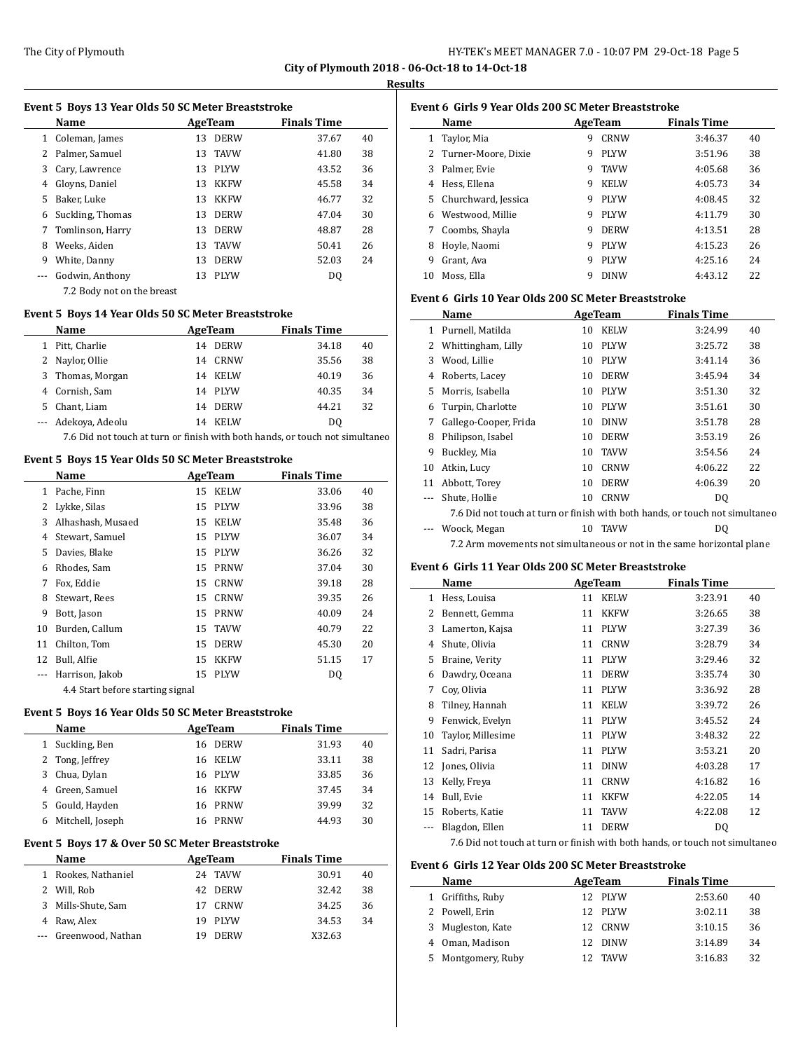$\frac{1}{2}$ 

 $\overline{a}$ 

 $\overline{\phantom{a}}$ 

#### **Results**

|         | Event 5 Boys 13 Year Olds 50 SC Meter Breaststroke |    |             |                    |    |
|---------|----------------------------------------------------|----|-------------|--------------------|----|
|         | Name                                               |    | AgeTeam     | <b>Finals Time</b> |    |
| 1       | Coleman, James                                     | 13 | <b>DERW</b> | 37.67              | 40 |
|         | Palmer, Samuel                                     | 13 | <b>TAVW</b> | 41.80              | 38 |
| 3       | Cary, Lawrence                                     | 13 | <b>PLYW</b> | 43.52              | 36 |
| 4       | Gloyns, Daniel                                     | 13 | KKFW        | 45.58              | 34 |
| 5       | Baker. Luke                                        | 13 | <b>KKFW</b> | 46.77              | 32 |
| 6       | Suckling, Thomas                                   | 13 | <b>DERW</b> | 47.04              | 30 |
| 7       | Tomlinson, Harry                                   | 13 | <b>DERW</b> | 48.87              | 28 |
| 8       | Weeks, Aiden                                       | 13 | <b>TAVW</b> | 50.41              | 26 |
| 9       | White, Danny                                       | 13 | <b>DERW</b> | 52.03              | 24 |
| $- - -$ | Godwin, Anthony                                    | 13 | <b>PLYW</b> | DQ                 |    |
|         | 7.2 Body not on the breast                         |    |             |                    |    |

#### **Event 5 Boys 14 Year Olds 50 SC Meter Breaststroke**

|   | Name             | AgeTeam |             | <b>Finals Time</b> |    |
|---|------------------|---------|-------------|--------------------|----|
|   | Pitt, Charlie    | 14      | <b>DERW</b> | 34.18              | 40 |
| 2 | Naylor, Ollie    | 14      | <b>CRNW</b> | 35.56              | 38 |
|   | 3 Thomas, Morgan | 14      | KELW        | 40.19              | 36 |
| 4 | Cornish, Sam     |         | 14 PLYW     | 40.35              | 34 |
| 5 | Chant, Liam      | 14      | <b>DERW</b> | 44.21              | 32 |
|   | Adekoya, Adeolu  | 14      | <b>KELW</b> | DO                 |    |
|   |                  |         |             |                    |    |

7.6 Did not touch at turn or finish with both hands, or touch not simultaneo

# **Event 5 Boys 15 Year Olds 50 SC Meter Breaststroke**

|    | Name              |    | AgeTeam     | <b>Finals Time</b> |    |
|----|-------------------|----|-------------|--------------------|----|
| 1  | Pache, Finn       | 15 | KELW        | 33.06              | 40 |
| 2  | Lykke, Silas      | 15 | <b>PLYW</b> | 33.96              | 38 |
| 3  | Alhashash, Musaed | 15 | <b>KELW</b> | 35.48              | 36 |
| 4  | Stewart, Samuel   | 15 | PLYW        | 36.07              | 34 |
| 5  | Davies, Blake     | 15 | PLYW        | 36.26              | 32 |
| 6  | Rhodes, Sam       | 15 | <b>PRNW</b> | 37.04              | 30 |
| 7  | Fox, Eddie        | 15 | CRNW        | 39.18              | 28 |
| 8  | Stewart, Rees     | 15 | <b>CRNW</b> | 39.35              | 26 |
| 9  | Bott, Jason       | 15 | PRNW        | 40.09              | 24 |
| 10 | Burden, Callum    | 15 | <b>TAVW</b> | 40.79              | 22 |
| 11 | Chilton, Tom      | 15 | <b>DERW</b> | 45.30              | 20 |
| 12 | Bull, Alfie       | 15 | <b>KKFW</b> | 51.15              | 17 |
|    | Harrison, Jakob   | 15 | <b>PLYW</b> | DQ                 |    |
|    |                   |    |             |                    |    |

4.4 Start before starting signal

# **Event 5 Boys 16 Year Olds 50 SC Meter Breaststroke**

|    | Name             |     | AgeTeam     | <b>Finals Time</b> |    |
|----|------------------|-----|-------------|--------------------|----|
|    | 1 Suckling, Ben  | 16. | <b>DERW</b> | 31.93              | 40 |
|    | 2 Tong, Jeffrey  |     | 16 KELW     | 33.11              | 38 |
| 3  | Chua, Dylan      |     | 16 PLYW     | 33.85              | 36 |
| 4  | Green, Samuel    |     | 16 KKFW     | 37.45              | 34 |
| 5. | Gould, Hayden    |     | 16 PRNW     | 39.99              | 32 |
| 6  | Mitchell, Joseph | 16  | PRNW        | 44.93              | 30 |

## **Event 5 Boys 17 & Over 50 SC Meter Breaststroke**

|    | <b>Name</b>       | AgeTeam            | <b>Finals Time</b> |    |
|----|-------------------|--------------------|--------------------|----|
| 1. | Rookes, Nathaniel | 24 TAVW            | 30.91              | 40 |
|    | Will, Rob         | 42 DERW            | 32.42              | 38 |
| 3  | Mills-Shute, Sam  | CRNW<br>17         | 34.25              | 36 |
|    | Raw, Alex         | <b>PLYW</b><br>19. | 34.53              | 34 |
|    | Greenwood, Nathan | <b>DERW</b>        | X32.63             |    |

|    | Event 6 Girls 9 Year Olds 200 SC Meter Breaststroke |   |             |                    |    |
|----|-----------------------------------------------------|---|-------------|--------------------|----|
|    | Name                                                |   | AgeTeam     | <b>Finals Time</b> |    |
| 1  | Taylor, Mia                                         | 9 | CRNW        | 3:46.37            | 40 |
|    | 2 Turner-Moore, Dixie                               | 9 | <b>PLYW</b> | 3:51.96            | 38 |
| 3  | Palmer, Evie                                        | 9 | <b>TAVW</b> | 4:05.68            | 36 |
| 4  | Hess, Ellena                                        | 9 | <b>KELW</b> | 4:05.73            | 34 |
| 5. | Churchward, Jessica                                 | 9 | <b>PLYW</b> | 4:08.45            | 32 |
| 6  | Westwood, Millie                                    | 9 | <b>PLYW</b> | 4:11.79            | 30 |
| 7  | Coombs, Shayla                                      | 9 | <b>DERW</b> | 4:13.51            | 28 |
| 8  | Hoyle, Naomi                                        | 9 | <b>PLYW</b> | 4:15.23            | 26 |
| 9  | Grant, Ava                                          | 9 | <b>PLYW</b> | 4:25.16            | 24 |
| 10 | Moss, Ella                                          | 9 | <b>DINW</b> | 4:43.12            | 22 |
|    |                                                     |   |             |                    |    |

# **Event 6 Girls 10 Year Olds 200 SC Meter Breaststroke**

|    | Name                                                                         |    | AgeTeam     | <b>Finals Time</b> |    |
|----|------------------------------------------------------------------------------|----|-------------|--------------------|----|
| 1  | Purnell, Matilda                                                             | 10 | <b>KELW</b> | 3:24.99            | 40 |
| 2  | Whittingham, Lilly                                                           | 10 | <b>PLYW</b> | 3:25.72            | 38 |
| 3  | Wood, Lillie                                                                 | 10 | <b>PLYW</b> | 3:41.14            | 36 |
| 4  | Roberts, Lacey                                                               | 10 | <b>DERW</b> | 3:45.94            | 34 |
| 5  | Morris, Isabella                                                             | 10 | <b>PLYW</b> | 3:51.30            | 32 |
| 6  | Turpin, Charlotte                                                            | 10 | <b>PLYW</b> | 3:51.61            | 30 |
| 7  | Gallego-Cooper, Frida                                                        | 10 | <b>DINW</b> | 3:51.78            | 28 |
| 8  | Philipson, Isabel                                                            | 10 | <b>DERW</b> | 3:53.19            | 26 |
| 9  | Buckley, Mia                                                                 | 10 | <b>TAVW</b> | 3:54.56            | 24 |
| 10 | Atkin, Lucy                                                                  | 10 | <b>CRNW</b> | 4:06.22            | 22 |
| 11 | Abbott, Torey                                                                | 10 | <b>DERW</b> | 4:06.39            | 20 |
|    | Shute, Hollie                                                                | 10 | <b>CRNW</b> | DQ                 |    |
|    | 7.6 Did not touch at turn or finish with both hands, or touch not simultaneo |    |             |                    |    |
|    | Woock, Megan                                                                 | 10 | <b>TAVW</b> | DQ                 |    |
|    | 7.2 Arm movements not simultaneous or not in the same horizontal plane       |    |             |                    |    |

# **Event 6 Girls 11 Year Olds 200 SC Meter Breaststroke**

| Name              |    |             | <b>Finals Time</b> |    |
|-------------------|----|-------------|--------------------|----|
| Hess, Louisa      | 11 | <b>KELW</b> | 3:23.91            | 40 |
| Bennett, Gemma    | 11 | <b>KKFW</b> | 3:26.65            | 38 |
| Lamerton, Kajsa   | 11 | <b>PLYW</b> | 3:27.39            | 36 |
| Shute, Olivia     | 11 | <b>CRNW</b> | 3:28.79            | 34 |
| Braine, Verity    | 11 | <b>PLYW</b> | 3:29.46            | 32 |
| Dawdry, Oceana    | 11 | <b>DERW</b> | 3:35.74            | 30 |
| Coy, Olivia       | 11 | <b>PLYW</b> | 3:36.92            | 28 |
| Tilney, Hannah    | 11 | <b>KELW</b> | 3:39.72            | 26 |
| Fenwick, Evelyn   | 11 | <b>PLYW</b> | 3:45.52            | 24 |
| Taylor, Millesime | 11 | <b>PLYW</b> | 3:48.32            | 22 |
| Sadri, Parisa     | 11 | <b>PLYW</b> | 3:53.21            | 20 |
| Jones, Olivia     | 11 | <b>DINW</b> | 4:03.28            | 17 |
| Kelly, Freya      | 11 | <b>CRNW</b> | 4:16.82            | 16 |
| Bull, Evie        | 11 | <b>KKFW</b> | 4:22.05            | 14 |
| Roberts, Katie    | 11 | <b>TAVW</b> | 4:22.08            | 12 |
| Blagdon, Ellen    | 11 | <b>DERW</b> | DQ                 |    |
|                   |    |             | AgeTeam            |    |

7.6 Did not touch at turn or finish with both hands, or touch not simultaneo

#### **Event 6 Girls 12 Year Olds 200 SC Meter Breaststroke**

|    | Name              | AgeTeam            | <b>Finals Time</b> |    |
|----|-------------------|--------------------|--------------------|----|
|    | 1 Griffiths, Ruby | 12 PLYW            | 2:53.60            | 40 |
|    | 2 Powell, Erin    | 12 PLYW            | 3:02.11            | 38 |
| 3  | Mugleston, Kate   | CRNW<br>12.        | 3:10.15            | 36 |
|    | 4 Oman, Madison   | <b>DINW</b><br>12. | 3:14.89            | 34 |
| 5. | Montgomery, Ruby  | <b>TAVW</b>        | 3:16.83            | 32 |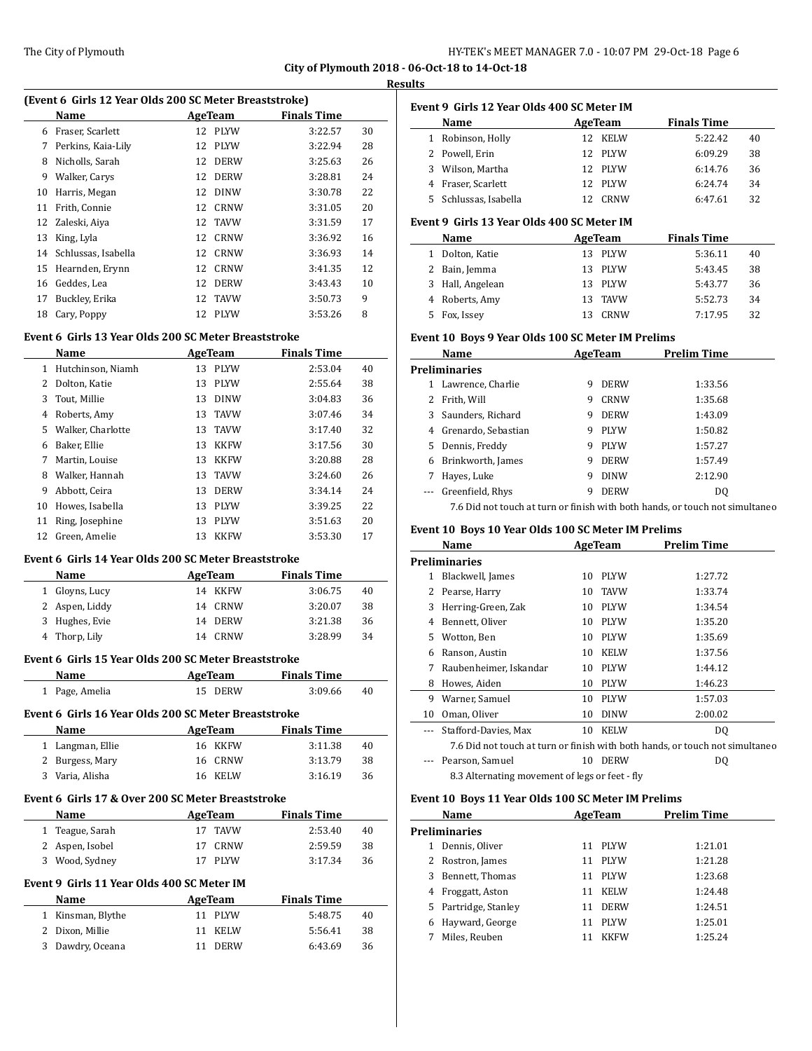l,

#### **Results**

|    | (Event 6 Girls 12 Year Olds 200 SC Meter Breaststroke) |    |             |                    |    |
|----|--------------------------------------------------------|----|-------------|--------------------|----|
|    | Name                                                   |    | AgeTeam     | <b>Finals Time</b> |    |
| 6  | Fraser, Scarlett                                       | 12 | PLYW        | 3:22.57            | 30 |
| 7  | Perkins, Kaia-Lily                                     | 12 | <b>PLYW</b> | 3:22.94            | 28 |
| 8  | Nicholls, Sarah                                        | 12 | <b>DERW</b> | 3:25.63            | 26 |
| 9  | Walker, Carys                                          | 12 | <b>DERW</b> | 3:28.81            | 24 |
| 10 | Harris, Megan                                          | 12 | <b>DINW</b> | 3:30.78            | 22 |
| 11 | Frith, Connie                                          | 12 | CRNW        | 3:31.05            | 20 |
| 12 | Zaleski, Aiya                                          | 12 | <b>TAVW</b> | 3:31.59            | 17 |
| 13 | King, Lyla                                             | 12 | <b>CRNW</b> | 3:36.92            | 16 |
| 14 | Schlussas, Isabella                                    | 12 | <b>CRNW</b> | 3:36.93            | 14 |
| 15 | Hearnden, Erynn                                        | 12 | CRNW        | 3:41.35            | 12 |
| 16 | Geddes, Lea                                            | 12 | <b>DERW</b> | 3:43.43            | 10 |
| 17 | Buckley, Erika                                         | 12 | <b>TAVW</b> | 3:50.73            | 9  |
| 18 | Cary, Poppy                                            | 12 | PLYW        | 3:53.26            | 8  |
|    |                                                        |    |             |                    |    |

# **Event 6 Girls 13 Year Olds 200 SC Meter Breaststroke**

|    | Name              |    | AgeTeam     | <b>Finals Time</b> |    |
|----|-------------------|----|-------------|--------------------|----|
| 1  | Hutchinson, Niamh | 13 | PLYW        | 2:53.04            | 40 |
| 2  | Dolton, Katie     | 13 | <b>PLYW</b> | 2:55.64            | 38 |
| 3  | Tout, Millie      | 13 | <b>DINW</b> | 3:04.83            | 36 |
| 4  | Roberts, Amy      | 13 | <b>TAVW</b> | 3:07.46            | 34 |
| 5. | Walker, Charlotte | 13 | <b>TAVW</b> | 3:17.40            | 32 |
| 6  | Baker, Ellie      | 13 | <b>KKFW</b> | 3:17.56            | 30 |
| 7  | Martin, Louise    | 13 | <b>KKFW</b> | 3:20.88            | 28 |
| 8  | Walker, Hannah    | 13 | <b>TAVW</b> | 3:24.60            | 26 |
| 9  | Abbott, Ceira     | 13 | <b>DERW</b> | 3:34.14            | 24 |
| 10 | Howes, Isabella   | 13 | <b>PLYW</b> | 3:39.25            | 22 |
| 11 | Ring, Josephine   | 13 | <b>PLYW</b> | 3:51.63            | 20 |
| 12 | Green, Amelie     | 13 | <b>KKFW</b> | 3:53.30            | 17 |

#### **Event 6 Girls 14 Year Olds 200 SC Meter Breaststroke**

| <b>Name</b>    | AgeTeam | <b>Finals Time</b> |    |
|----------------|---------|--------------------|----|
| 1 Glovns, Lucy | 14 KKFW | 3:06.75            | 40 |
| 2 Aspen, Liddy | 14 CRNW | 3:20.07            | 38 |
| 3 Hughes, Evie | 14 DERW | 3:21.38            | 36 |
| 4 Thorp, Lily  | 14 CRNW | 3:28.99            | 34 |

#### **Event 6 Girls 15 Year Olds 200 SC Meter Breaststroke**

|    | Name                                                 | AgeTeam           | <b>Finals Time</b> |    |
|----|------------------------------------------------------|-------------------|--------------------|----|
| 1  | Page, Amelia                                         | DERW<br>15.       | 3:09.66            | 40 |
|    | Event 6 Girls 16 Year Olds 200 SC Meter Breaststroke |                   |                    |    |
|    | Name                                                 | AgeTeam           | <b>Finals Time</b> |    |
|    | Langman, Ellie                                       | 16 KKFW           | 3:11.38            | 40 |
| 2. | Burgess, Mary                                        | CRNW<br>16        | 3:13.79            | 38 |
|    | Varia, Alisha                                        | <b>KELW</b><br>16 | 3:16.19            | 36 |

#### **Event 6 Girls 17 & Over 200 SC Meter Breaststroke**

| <b>Name</b>     | AgeTeam | <b>Finals Time</b> |    |
|-----------------|---------|--------------------|----|
| 1 Teague, Sarah | 17 TAVW | 2:53.40            | 40 |
| 2 Aspen, Isobel | 17 CRNW | 2.59.59            | 38 |
| 3 Wood, Sydney  | 17 PLYW | 3:17.34            | 36 |

# **Event 9 Girls 11 Year Olds 400 SC Meter IM**

| Name              | AgeTeam | <b>Finals Time</b> |    |
|-------------------|---------|--------------------|----|
| 1 Kinsman, Blythe | 11 PLYW | 5:48.75            | 40 |
| 2 Dixon, Millie   | 11 KELW | 5:56.41            | 38 |
| 3 Dawdry, Oceana  | 11 DERW | 6:43.69            | 36 |

|    | Event 9  Girls 12 Year Olds 400 SC Meter IM |     |         |                    |    |
|----|---------------------------------------------|-----|---------|--------------------|----|
|    | Name                                        |     | AgeTeam | <b>Finals Time</b> |    |
| 1  | Robinson, Holly                             |     | 12 KELW | 5:22.42            | 40 |
|    | 2 Powell. Erin                              | 12  | PLYW    | 6:09.29            | 38 |
| 3. | Wilson, Martha                              |     | 12 PLYW | 6:14.76            | 36 |
|    | Fraser, Scarlett                            | 12. | PLYW    | 6:24.74            | 34 |
|    | 5 Schlussas, Isabella                       | 12. | CRNW    | 6:47.61            | 32 |

# **Event 9 Girls 13 Year Olds 400 SC Meter IM**

|    | Name             |     | AgeTeam | <b>Finals Time</b> |    |
|----|------------------|-----|---------|--------------------|----|
|    | Dolton, Katie    | 13. | PLYW    | 5:36.11            | 40 |
|    | 2 Bain, Jemma    |     | 13 PLYW | 5:43.45            | 38 |
|    | 3 Hall, Angelean | 13. | PLYW    | 5:43.77            | 36 |
|    | 4 Roberts, Amy   | 13. | TAVW    | 5:52.73            | 34 |
| 5. | Fox, Issey       | 13  | CRNW    | 7:17.95            | 32 |

#### **Event 10 Boys 9 Year Olds 100 SC Meter IM Prelims**

|    | Name                |   | AgeTeam     | Prelim Time |
|----|---------------------|---|-------------|-------------|
|    | Preliminaries       |   |             |             |
| 1  | Lawrence, Charlie   | 9 | <b>DERW</b> | 1:33.56     |
| 2  | Frith, Will         | 9 | CRNW        | 1:35.68     |
| 3  | Saunders, Richard   | 9 | <b>DERW</b> | 1:43.09     |
| 4  | Grenardo, Sebastian | 9 | <b>PLYW</b> | 1:50.82     |
| 5. | Dennis, Freddy      | 9 | <b>PLYW</b> | 1:57.27     |
| 6  | Brinkworth, James   | 9 | <b>DERW</b> | 1:57.49     |
|    | Hayes, Luke         | 9 | <b>DINW</b> | 2:12.90     |
|    | Greenfield, Rhys    | q | <b>DERW</b> | DO.         |

7.6 Did not touch at turn or finish with both hands, or touch not simultaneo

#### **Event 10 Boys 10 Year Olds 100 SC Meter IM Prelims**

|    | Name                                           |    | AgeTeam     | Prelim Time                                                                  |
|----|------------------------------------------------|----|-------------|------------------------------------------------------------------------------|
|    | Preliminaries                                  |    |             |                                                                              |
| 1  | Blackwell, James                               | 10 | <b>PLYW</b> | 1:27.72                                                                      |
| 2  | Pearse, Harry                                  | 10 | <b>TAVW</b> | 1:33.74                                                                      |
| 3  | Herring-Green, Zak                             | 10 | <b>PLYW</b> | 1:34.54                                                                      |
| 4  | Bennett, Oliver                                | 10 | <b>PLYW</b> | 1:35.20                                                                      |
| 5  | Wotton, Ben                                    | 10 | <b>PLYW</b> | 1:35.69                                                                      |
| 6  | Ranson, Austin                                 | 10 | <b>KELW</b> | 1:37.56                                                                      |
| 7  | Raubenheimer, Iskandar                         | 10 | PLYW        | 1:44.12                                                                      |
| 8  | Howes, Aiden                                   | 10 | <b>PLYW</b> | 1:46.23                                                                      |
| 9  | Warner, Samuel                                 | 10 | <b>PLYW</b> | 1:57.03                                                                      |
| 10 | Oman, Oliver                                   | 10 | <b>DINW</b> | 2:00.02                                                                      |
|    | Stafford-Davies, Max                           | 10 | <b>KELW</b> | DO.                                                                          |
|    |                                                |    |             | 7.6 Did not touch at turn or finish with both hands, or touch not simultaneo |
|    | Pearson, Samuel                                | 10 | <b>DERW</b> | DQ                                                                           |
|    | 8.3 Alternating movement of legs or feet - fly |    |             |                                                                              |

#### **Event 10 Boys 11 Year Olds 100 SC Meter IM Prelims**

|               | Name               | AgeTeam |             | Prelim Time |  |
|---------------|--------------------|---------|-------------|-------------|--|
| Preliminaries |                    |         |             |             |  |
|               | Dennis, Oliver     | 11      | PLYW        | 1:21.01     |  |
|               | Rostron, James     | 11      | <b>PLYW</b> | 1:21.28     |  |
| 3             | Bennett, Thomas    | 11      | <b>PLYW</b> | 1:23.68     |  |
| 4             | Froggatt, Aston    | 11      | <b>KELW</b> | 1:24.48     |  |
| 5.            | Partridge, Stanley | 11      | <b>DERW</b> | 1:24.51     |  |
| 6             | Hayward, George    | 11      | <b>PLYW</b> | 1:25.01     |  |
|               | Miles, Reuben      |         | <b>KKFW</b> | 1:25.24     |  |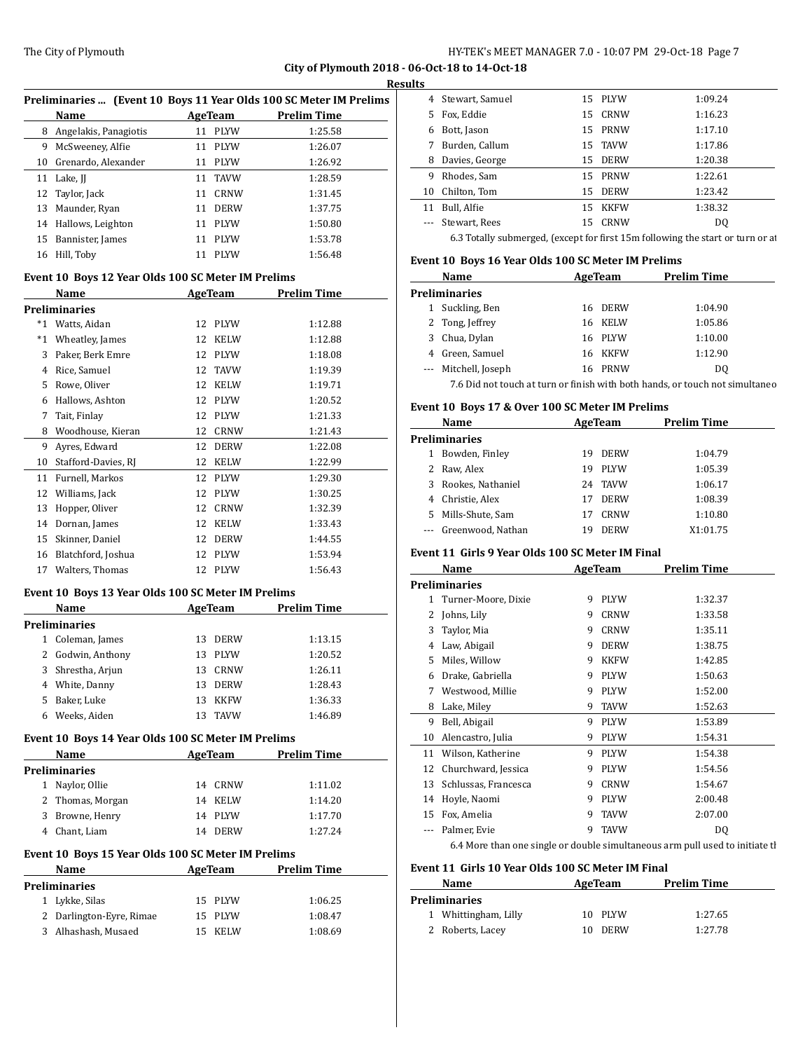$\overline{a}$ 

#### **Results**

| Preliminaries  (Event 10 Boys 11 Year Olds 100 SC Meter IM Prelims |                       |    |              |                    |  |
|--------------------------------------------------------------------|-----------------------|----|--------------|--------------------|--|
|                                                                    | Name                  |    | AgeTeam      | <b>Prelim Time</b> |  |
| 8                                                                  | Angelakis, Panagiotis | 11 | <b>PLYW</b>  | 1:25.58            |  |
| 9                                                                  | McSweeney, Alfie      |    | 11 PLYW      | 1:26.07            |  |
| 10                                                                 | Grenardo, Alexander   | 11 | <b>PLYW</b>  | 1:26.92            |  |
|                                                                    | 11 Lake, II           |    | 11 TAVW      | 1:28.59            |  |
|                                                                    | 12 Taylor, Jack       | 11 | CRNW         | 1:31.45            |  |
| 13                                                                 | Maunder, Ryan         | 11 | <b>DERW</b>  | 1:37.75            |  |
|                                                                    | 14 Hallows, Leighton  |    | 11 PLYW      | 1:50.80            |  |
| 15                                                                 | Bannister, James      | 11 | <b>PLYW</b>  | 1:53.78            |  |
| 16                                                                 | Hill, Toby            | 11 | <b>PI.YW</b> | 1:56.48            |  |

## **Event 10 Boys 12 Year Olds 100 SC Meter IM Prelims**

| Name    |                      | <b>AgeTeam</b> | Prelim Time |         |  |
|---------|----------------------|----------------|-------------|---------|--|
|         | <b>Preliminaries</b> |                |             |         |  |
| *1      | Watts, Aidan         | 12             | <b>PLYW</b> | 1:12.88 |  |
| $*_{1}$ | Wheatley, James      | 12             | <b>KELW</b> | 1:12.88 |  |
| 3       | Paker, Berk Emre     | 12             | <b>PLYW</b> | 1:18.08 |  |
| 4       | Rice, Samuel         | 12             | <b>TAVW</b> | 1:19.39 |  |
| 5       | Rowe, Oliver         | 12             | <b>KELW</b> | 1:19.71 |  |
| 6       | Hallows, Ashton      | 12             | <b>PLYW</b> | 1:20.52 |  |
| 7       | Tait, Finlay         | 12             | <b>PLYW</b> | 1:21.33 |  |
| 8       | Woodhouse, Kieran    | 12             | <b>CRNW</b> | 1:21.43 |  |
| 9       | Ayres, Edward        | 12             | <b>DERW</b> | 1:22.08 |  |
| 10      | Stafford-Davies, RJ  | 12             | <b>KELW</b> | 1:22.99 |  |
| 11      | Furnell, Markos      | 12             | <b>PLYW</b> | 1:29.30 |  |
| 12      | Williams, Jack       | 12             | <b>PLYW</b> | 1:30.25 |  |
| 13      | Hopper, Oliver       | 12             | <b>CRNW</b> | 1:32.39 |  |
| 14      | Dornan, James        | 12             | <b>KELW</b> | 1:33.43 |  |
| 15      | Skinner, Daniel      | 12             | <b>DERW</b> | 1:44.55 |  |
| 16      | Blatchford, Joshua   | 12             | <b>PLYW</b> | 1:53.94 |  |
| 17      | Walters, Thomas      | 12             | <b>PLYW</b> | 1:56.43 |  |

#### **Event 10 Boys 13 Year Olds 100 SC Meter IM Prelims**

| Name |                   |    | AgeTeam     | <b>Prelim Time</b> |  |
|------|-------------------|----|-------------|--------------------|--|
|      | Preliminaries     |    |             |                    |  |
|      | Coleman, James    | 13 | <b>DERW</b> | 1:13.15            |  |
|      | 2 Godwin, Anthony | 13 | <b>PLYW</b> | 1:20.52            |  |
| 3    | Shrestha, Arjun   | 13 | CRNW        | 1:26.11            |  |
| 4    | White, Danny      | 13 | <b>DERW</b> | 1:28.43            |  |
| 5.   | Baker, Luke       | 13 | <b>KKFW</b> | 1:36.33            |  |
| 6    | Weeks, Aiden      | 13 | <b>TAVW</b> | 1:46.89            |  |

#### **Event 10 Boys 14 Year Olds 100 SC Meter IM Prelims**

|                                                    | Name                   | AgeTeam |             | Prelim Time        |  |  |
|----------------------------------------------------|------------------------|---------|-------------|--------------------|--|--|
|                                                    | Preliminaries          |         |             |                    |  |  |
| 1                                                  | Naylor, Ollie          | 14      | CRNW        | 1:11.02            |  |  |
| 2                                                  | Thomas, Morgan         | 14      | KELW        | 1:14.20            |  |  |
| 3                                                  | Browne, Henry          | 14      | <b>PLYW</b> | 1:17.70            |  |  |
| 4                                                  | Chant, Liam            | 14      | <b>DERW</b> | 1:27.24            |  |  |
| Event 10 Boys 15 Year Olds 100 SC Meter IM Prelims |                        |         |             |                    |  |  |
|                                                    |                        |         |             |                    |  |  |
|                                                    | <b>Name</b>            | AgeTeam |             | <b>Prelim Time</b> |  |  |
|                                                    | Preliminaries          |         |             |                    |  |  |
| 1                                                  | Lykke, Silas           | 15      | <b>PLYW</b> | 1:06.25            |  |  |
| 2                                                  | Darlington-Eyre, Rimae | 15      | <b>PLYW</b> | 1:08.47            |  |  |

| 4        | Stewart, Samuel                                                                | 15. | PLYW        | 1:09.24 |  |  |  |
|----------|--------------------------------------------------------------------------------|-----|-------------|---------|--|--|--|
| 5        | Fox, Eddie                                                                     | 15  | CRNW        | 1:16.23 |  |  |  |
| 6        | Bott, Jason                                                                    |     | 15 PRNW     | 1:17.10 |  |  |  |
| 7        | Burden, Callum                                                                 | 15  | <b>TAVW</b> | 1:17.86 |  |  |  |
| 8        | Davies, George                                                                 | 15  | <b>DERW</b> | 1:20.38 |  |  |  |
| 9        | Rhodes, Sam                                                                    |     | 15 PRNW     | 1:22.61 |  |  |  |
| 10       | Chilton, Tom                                                                   | 15  | <b>DERW</b> | 1:23.42 |  |  |  |
| 11       | Bull, Alfie                                                                    | 15  | <b>KKFW</b> | 1:38.32 |  |  |  |
| $\cdots$ | Stewart, Rees                                                                  | 15. | CRNW        | DO.     |  |  |  |
|          | 6.3 Totally submerged, (except for first 15m following the start or turn or at |     |             |         |  |  |  |

## **Event 10 Boys 16 Year Olds 100 SC Meter IM Prelims**

|                      | Name                 |    | AgeTeam | <b>Prelim Time</b> |
|----------------------|----------------------|----|---------|--------------------|
| <b>Preliminaries</b> |                      |    |         |                    |
| 1                    | Suckling, Ben        | 16 | DERW    | 1:04.90            |
|                      | 2 Tong, Jeffrey      |    | 16 KELW | 1:05.86            |
|                      | 3 Chua, Dylan        |    | 16 PLYW | 1:10.00            |
|                      | 4 Green, Samuel      |    | 16 KKFW | 1:12.90            |
|                      | --- Mitchell, Joseph |    | 16 PRNW | DO.                |
|                      | _ _ _ _ _            |    |         |                    |

7.6 Did not touch at turn or finish with both hands, or touch not simultaneo

#### **Event 10 Boys 17 & Over 100 SC Meter IM Prelims**

| Name                 |                   |    | AgeTeam     | <b>Prelim Time</b> |  |
|----------------------|-------------------|----|-------------|--------------------|--|
| <b>Preliminaries</b> |                   |    |             |                    |  |
| 1                    | Bowden, Finley    | 19 | <b>DERW</b> | 1:04.79            |  |
|                      | 2 Raw, Alex       | 19 | <b>PLYW</b> | 1:05.39            |  |
| 3                    | Rookes, Nathaniel | 24 | TAVW        | 1:06.17            |  |
| 4                    | Christie, Alex    | 17 | <b>DERW</b> | 1:08.39            |  |
| 5.                   | Mills-Shute, Sam  | 17 | CRNW        | 1:10.80            |  |
|                      | Greenwood, Nathan | 19 | <b>DERW</b> | X1:01.75           |  |

#### **Event 11 Girls 9 Year Olds 100 SC Meter IM Final**

|    | Name                 |   | AgeTeam     | <b>Prelim Time</b> |  |
|----|----------------------|---|-------------|--------------------|--|
|    | Preliminaries        |   |             |                    |  |
| 1  | Turner-Moore, Dixie  | 9 | <b>PLYW</b> | 1:32.37            |  |
| 2  | Johns, Lily          | 9 | <b>CRNW</b> | 1:33.58            |  |
| 3  | Taylor, Mia          | 9 | <b>CRNW</b> | 1:35.11            |  |
| 4  | Law, Abigail         | 9 | <b>DERW</b> | 1:38.75            |  |
| 5  | Miles, Willow        | 9 | <b>KKFW</b> | 1:42.85            |  |
| 6  | Drake, Gabriella     | 9 | <b>PLYW</b> | 1:50.63            |  |
| 7  | Westwood, Millie     | 9 | <b>PLYW</b> | 1:52.00            |  |
| 8  | Lake, Miley          | 9 | <b>TAVW</b> | 1:52.63            |  |
| 9  | Bell, Abigail        | 9 | <b>PLYW</b> | 1:53.89            |  |
| 10 | Alencastro, Julia    | 9 | <b>PLYW</b> | 1:54.31            |  |
| 11 | Wilson, Katherine    | 9 | <b>PLYW</b> | 1:54.38            |  |
| 12 | Churchward, Jessica  | 9 | <b>PLYW</b> | 1:54.56            |  |
| 13 | Schlussas, Francesca | 9 | <b>CRNW</b> | 1:54.67            |  |
| 14 | Hoyle, Naomi         | 9 | <b>PLYW</b> | 2:00.48            |  |
| 15 | Fox, Amelia          | 9 | <b>TAVW</b> | 2:07.00            |  |
|    | Palmer, Evie         | 9 | TAVW        | DQ                 |  |
|    |                      |   |             |                    |  |

6.4 More than one single or double simultaneous arm pull used to initiate tl

#### **Event 11 Girls 10 Year Olds 100 SC Meter IM Final**

| Name                 |     | AgeTeam     | <b>Prelim Time</b> |  |
|----------------------|-----|-------------|--------------------|--|
| <b>Preliminaries</b> |     |             |                    |  |
| 1 Whittingham, Lilly |     | 10 PLYW     | 1:27.65            |  |
| 2 Roberts, Lacey     | 10. | <b>DERW</b> | 1:27.78            |  |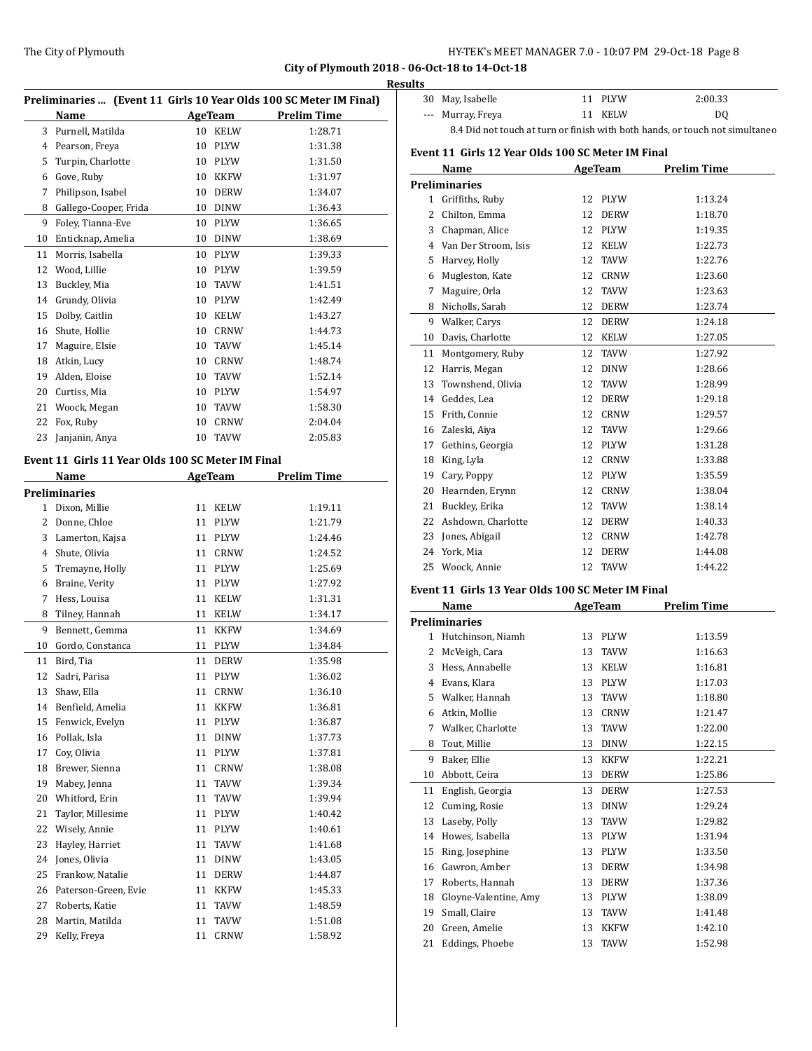|    |                                                   |    |             | Preliminaries  (Event 11 Girls 10 Year Olds 100 SC Meter IM Final) | Re |
|----|---------------------------------------------------|----|-------------|--------------------------------------------------------------------|----|
|    | Name                                              |    | AgeTeam     | <b>Prelim Time</b>                                                 |    |
|    | 3 Purnell, Matilda                                |    | 10 KELW     | 1:28.71                                                            |    |
| 4  | Pearson, Freya                                    | 10 | PLYW        | 1:31.38                                                            |    |
| 5  | Turpin, Charlotte                                 | 10 | PLYW        | 1:31.50                                                            |    |
| 6  | Gove, Ruby                                        | 10 | KKFW        | 1:31.97                                                            |    |
| 7  | Philipson, Isabel                                 | 10 | <b>DERW</b> | 1:34.07                                                            |    |
| 8  | Gallego-Cooper, Frida                             | 10 | DINW        | 1:36.43                                                            |    |
| 9  | Foley, Tianna-Eve                                 | 10 | PLYW        | 1:36.65                                                            |    |
| 10 | Enticknap, Amelia                                 | 10 | DINW        | 1:38.69                                                            |    |
| 11 | Morris, Isabella                                  | 10 | PLYW        | 1:39.33                                                            |    |
| 12 | Wood, Lillie                                      | 10 | PLYW        | 1:39.59                                                            |    |
| 13 | Buckley, Mia                                      | 10 | TAVW        | 1:41.51                                                            |    |
| 14 | Grundy, Olivia                                    | 10 | <b>PLYW</b> | 1:42.49                                                            |    |
| 15 | Dolby, Caitlin                                    | 10 | KELW        | 1:43.27                                                            |    |
| 16 | Shute, Hollie                                     | 10 | CRNW        | 1:44.73                                                            |    |
| 17 | Maguire, Elsie                                    | 10 | <b>TAVW</b> | 1:45.14                                                            |    |
| 18 | Atkin, Lucy                                       | 10 | CRNW        | 1:48.74                                                            |    |
| 19 | Alden, Eloise                                     | 10 | TAVW        | 1:52.14                                                            |    |
| 20 | Curtiss, Mia                                      | 10 | <b>PLYW</b> | 1:54.97                                                            |    |
| 21 | Woock, Megan                                      | 10 | TAVW        | 1:58.30                                                            |    |
| 22 | Fox, Ruby                                         | 10 | CRNW        | 2:04.04                                                            |    |
| 23 | Janjanin, Anya                                    | 10 | <b>TAVW</b> | 2:05.83                                                            |    |
|    |                                                   |    |             |                                                                    |    |
|    | Event 11 Girls 11 Year Olds 100 SC Meter IM Final |    |             |                                                                    |    |
|    | Name                                              |    | AgeTeam     | <b>Prelim Time</b>                                                 |    |
|    | Preliminaries                                     |    |             |                                                                    |    |
|    | 1 Dixon, Millie                                   | 11 | KELW        | 1:19.11                                                            |    |
| 2  | Donne, Chloe                                      | 11 | PLYW        | 1:21.79                                                            |    |
| 3  | Lamerton, Kajsa                                   | 11 | PLYW        | 1:24.46                                                            |    |
| 4  | Shute, Olivia                                     | 11 | CRNW        | 1:24.52                                                            |    |
| 5  | Tremayne, Holly                                   | 11 | <b>PLYW</b> | 1:25.69                                                            |    |
| 6  | Braine, Verity                                    | 11 | <b>PLYW</b> | 1:27.92                                                            |    |
| 7  | Hess, Louisa                                      | 11 | <b>KELW</b> | 1:31.31                                                            |    |
| 8  | Tilney, Hannah                                    | 11 | KELW        | 1:34.17                                                            |    |
| 9  | Bennett, Gemma                                    | 11 | <b>KKFW</b> | 1:34.69                                                            |    |
| 10 | Gordo, Constanca                                  | 11 | <b>PLYW</b> | 1:34.84                                                            |    |
| 11 | Bird, Tia                                         | 11 | <b>DERW</b> | 1:35.98                                                            |    |
|    | 12 Sadri, Parisa                                  |    | 11 PLYW     | 1:36.02                                                            |    |
| 13 | Shaw, Ella                                        |    | 11 CRNW     | 1:36.10                                                            |    |
| 14 | Benfield, Amelia                                  | 11 | KKFW        | 1:36.81                                                            |    |
| 15 | Fenwick, Evelyn                                   | 11 | PLYW        | 1:36.87                                                            |    |
| 16 | Pollak, Isla                                      | 11 | DINW        | 1:37.73                                                            |    |
| 17 | Coy, Olivia                                       | 11 | PLYW        | 1:37.81                                                            |    |
| 18 | Brewer, Sienna                                    | 11 | <b>CRNW</b> | 1:38.08                                                            |    |
| 19 | Mabey, Jenna                                      | 11 | TAVW        | 1:39.34                                                            |    |
| 20 | Whitford, Erin                                    | 11 | TAVW        | 1:39.94                                                            |    |
| 21 | Taylor, Millesime                                 | 11 | PLYW        | 1:40.42                                                            |    |
| 22 | Wisely, Annie                                     | 11 | PLYW        | 1:40.61                                                            |    |
| 23 | Hayley, Harriet                                   | 11 | TAVW        | 1:41.68                                                            |    |
| 24 | Jones, Olivia                                     | 11 | <b>DINW</b> | 1:43.05                                                            |    |
| 25 | Frankow, Natalie                                  | 11 | DERW        | 1:44.87                                                            |    |
| 26 | Paterson-Green, Evie                              | 11 | KKFW        | 1:45.33                                                            |    |
| 27 | Roberts, Katie                                    | 11 | TAVW        | 1:48.59                                                            |    |
| 28 | Martin, Matilda                                   | 11 | TAVW        | 1:51.08                                                            |    |
| 29 | Kelly, Freya                                      | 11 | CRNW        | 1:58.92                                                            |    |
|    |                                                   |    |             |                                                                    |    |

| esults |                   |         |                                                                              |
|--------|-------------------|---------|------------------------------------------------------------------------------|
|        | 30 May, Isabelle  | 11 PLYW | 2:00.33                                                                      |
|        | --- Murray, Freya | 11 KELW | D <sub>0</sub>                                                               |
|        |                   |         | 8.4 Did not touch at turn or finish with both hands, or touch not simultaneo |

#### **Event 11 Girls 12 Year Olds 100 SC Meter IM Final**

|                | Name                                              |    | <b>AgeTeam</b> | <b>Prelim Time</b> |
|----------------|---------------------------------------------------|----|----------------|--------------------|
|                | <b>Preliminaries</b>                              |    |                |                    |
| 1              | Griffiths, Ruby                                   | 12 | PLYW           | 1:13.24            |
| $\overline{2}$ | Chilton, Emma                                     |    | 12 DERW        | 1:18.70            |
|                | 3 Chapman, Alice                                  | 12 | PLYW           | 1:19.35            |
|                | 4 Van Der Stroom, Isis                            | 12 | <b>KELW</b>    | 1:22.73            |
| 5              | Harvey, Holly                                     | 12 | <b>TAVW</b>    | 1:22.76            |
| 6              | Mugleston, Kate                                   | 12 | CRNW           | 1:23.60            |
| 7              | Maguire, Orla                                     | 12 | <b>TAVW</b>    | 1:23.63            |
| 8              | Nicholls, Sarah                                   | 12 | <b>DERW</b>    | 1:23.74            |
|                | 9 Walker, Carys                                   | 12 | <b>DERW</b>    | 1:24.18            |
| 10             | Davis, Charlotte                                  | 12 | KELW           | 1:27.05            |
| 11             | Montgomery, Ruby                                  | 12 | <b>TAVW</b>    | 1:27.92            |
| 12             | Harris, Megan                                     | 12 | DINW           | 1:28.66            |
| 13             | Townshend, Olivia                                 | 12 | <b>TAVW</b>    | 1:28.99            |
|                | 14 Geddes, Lea                                    | 12 | <b>DERW</b>    | 1:29.18            |
|                | 15 Frith, Connie                                  | 12 | CRNW           | 1:29.57            |
|                | 16 Zaleski, Aiya                                  | 12 | <b>TAVW</b>    | 1:29.66            |
|                | 17 Gethins, Georgia                               |    | 12 PLYW        | 1:31.28            |
| 18             | King, Lyla                                        |    | 12 CRNW        | 1:33.88            |
| 19             | Cary, Poppy                                       |    | 12 PLYW        | 1:35.59            |
|                | 20 Hearnden, Erynn                                |    | 12 CRNW        | 1:38.04            |
|                | 21 Buckley, Erika                                 | 12 | TAVW           | 1:38.14            |
|                | 22 Ashdown, Charlotte                             |    | 12 DERW        | 1:40.33            |
| 23             | Jones, Abigail                                    | 12 | CRNW           | 1:42.78            |
| 24             | York, Mia                                         | 12 | <b>DERW</b>    | 1:44.08            |
| 25             | Woock, Annie                                      | 12 | <b>TAVW</b>    | 1:44.22            |
|                | Event 11 Girls 13 Year Olds 100 SC Meter IM Final |    |                |                    |
|                | Name                                              |    | AgeTeam        | <b>Prelim Time</b> |
|                | <b>Preliminaries</b>                              |    |                |                    |
|                | 1 Hutchinson, Niamh                               |    | 13 PLYW        | 1:13.59            |
|                | 2 McVeigh, Cara                                   | 13 | <b>TAVW</b>    | 1:16.63            |
|                | 3 Hess, Annabelle                                 |    | 13 KELW        | 1:16.81            |
| 4              | Evans, Klara                                      |    | 13 PLYW        | 1:17.03            |
|                | 5 Walker, Hannah                                  | 13 | TAVW           | 1:18.80            |
|                | 6 Atkin, Mollie                                   | 13 | CRNW           | 1:21.47            |
| 7              | Walker, Charlotte                                 | 13 | <b>TAVW</b>    | 1:22.00            |
| 8              | Tout, Millie                                      | 13 | <b>DINW</b>    | 1:22.15            |
| 9              | Baker, Ellie                                      | 13 | <b>KKFW</b>    | 1:22.21            |

 Abbott, Ceira 13 DERW 1:25.86 English, Georgia 13 DERW 1:27.53 Cuming, Rosie 13 DINW 1:29.24 Laseby, Polly 13 TAVW 1:29.82 Howes, Isabella 13 PLYW 1:31.94 Ring, Josephine 13 PLYW 1:33.50 Gawron, Amber 13 DERW 1:34.98 Roberts, Hannah 13 DERW 1:37.36 Gloyne-Valentine, Amy 13 PLYW 1:38.09 Small, Claire 13 TAVW 1:41.48 Green, Amelie 13 KKFW 1:42.10 Eddings, Phoebe 13 TAVW 1:52.98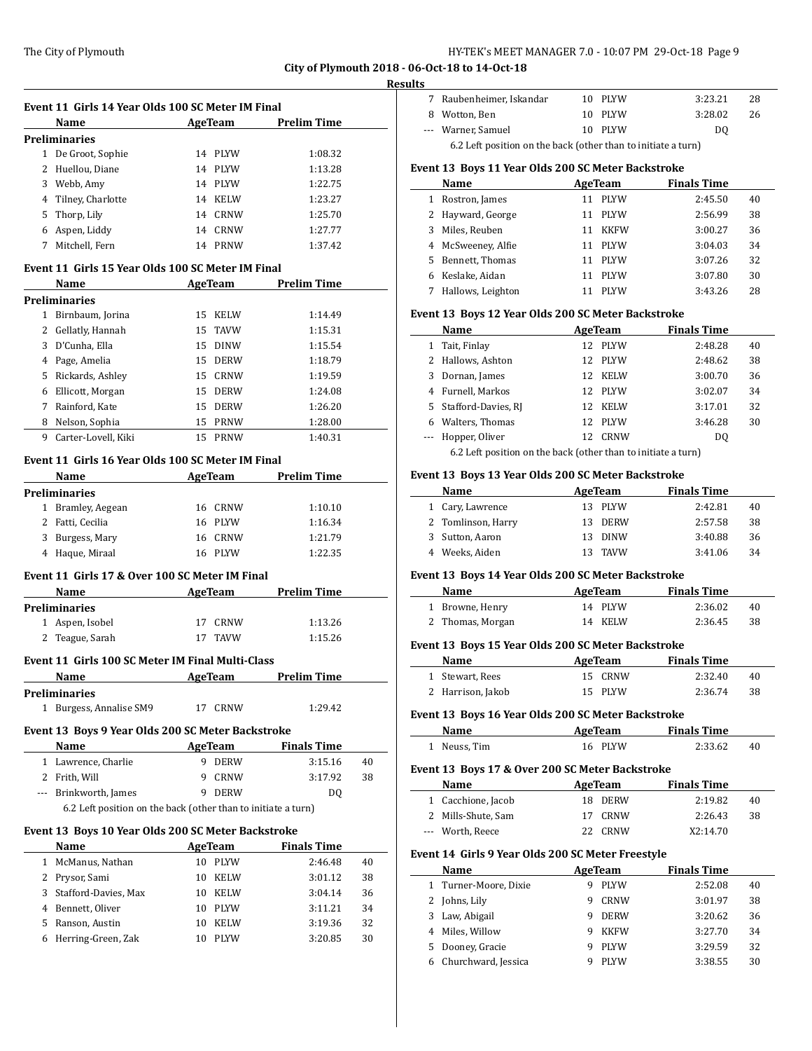#### **Results**

|              |                                                               |                          | City of Plymouth 2018 - 06 |        |
|--------------|---------------------------------------------------------------|--------------------------|----------------------------|--------|
|              |                                                               |                          |                            | Result |
|              | Event 11 Girls 14 Year Olds 100 SC Meter IM Final             |                          |                            |        |
|              | Name                                                          | <b>AgeTeam</b>           | <b>Prelim Time</b>         |        |
|              | <b>Preliminaries</b>                                          |                          |                            |        |
|              | 1 De Groot, Sophie                                            | 14 PLYW                  | 1:08.32                    |        |
|              | 2 Huellou, Diane                                              | 14 PLYW                  | 1:13.28                    |        |
|              | 3 Webb, Amy                                                   | 14 PLYW                  | 1:22.75                    |        |
|              | 4 Tilney, Charlotte                                           | 14 KELW                  | 1:23.27                    |        |
|              | 5 Thorp, Lily                                                 | 14 CRNW                  | 1:25.70                    |        |
|              | 6 Aspen, Liddy                                                | 14 CRNW                  | 1:27.77                    |        |
|              | 7 Mitchell, Fern                                              | 14 PRNW                  | 1:37.42                    |        |
|              |                                                               |                          |                            |        |
|              | Event 11 Girls 15 Year Olds 100 SC Meter IM Final             |                          |                            |        |
|              | Name                                                          | <b>AgeTeam</b>           | <b>Prelim Time</b>         |        |
|              | <b>Preliminaries</b>                                          |                          |                            |        |
|              | 1 Birnbaum, Jorina                                            | 15 KELW                  | 1:14.49                    |        |
|              | 2 Gellatly, Hannah                                            | 15 TAVW                  | 1:15.31                    |        |
|              | 3 D'Cunha, Ella                                               | 15 DINW                  | 1:15.54                    |        |
|              | 4 Page, Amelia                                                | 15 DERW                  | 1:18.79                    |        |
|              | 5 Rickards, Ashley                                            | 15 CRNW                  | 1:19.59                    |        |
|              | 6 Ellicott, Morgan                                            | 15 DERW                  | 1:24.08                    |        |
|              |                                                               |                          |                            |        |
|              | 7 Rainford, Kate                                              | 15 DERW                  | 1:26.20                    |        |
|              | 8 Nelson, Sophia                                              | 15 PRNW                  | 1:28.00                    |        |
|              | 9 Carter-Lovell, Kiki                                         | 15 PRNW                  | 1:40.31                    |        |
|              | Event 11 Girls 16 Year Olds 100 SC Meter IM Final             |                          |                            |        |
|              | Name                                                          | AgeTeam                  | <b>Prelim Time</b>         |        |
|              | <b>Preliminaries</b>                                          |                          |                            |        |
|              | 1 Bramley, Aegean                                             | 16 CRNW                  | 1:10.10                    |        |
|              | 2 Fatti, Cecilia                                              | 16 PLYW                  | 1:16.34                    |        |
|              |                                                               |                          |                            |        |
|              | 3 Burgess, Mary                                               | 16 CRNW                  | 1:21.79                    |        |
|              | 4 Haque, Miraal                                               | 16 PLYW                  | 1:22.35                    |        |
|              | Event 11 Girls 17 & Over 100 SC Meter IM Final                |                          |                            |        |
|              | Name                                                          | <b>Example 2</b> AgeTeam | Prelim Time                |        |
|              | <b>Preliminaries</b>                                          |                          |                            |        |
| $\mathbf{1}$ | Aspen, Isobel                                                 | 17 CRNW                  | 1:13.26                    |        |
|              | 2 Teague, Sarah                                               | 17 TAVW                  | 1:15.26                    |        |
|              |                                                               |                          |                            |        |
|              | Event 11 Girls 100 SC Meter IM Final Multi-Class              |                          |                            |        |
|              | Name                                                          | AgeTeam                  | <b>Prelim Time</b>         |        |
|              | <b>Preliminaries</b>                                          |                          |                            |        |
|              | 1 Burgess, Annalise SM9                                       | 17 CRNW                  | 1:29.42                    |        |
|              | Event 13 Boys 9 Year Olds 200 SC Meter Backstroke             |                          |                            |        |
|              |                                                               |                          |                            |        |
|              | Name                                                          | AgeTeam                  | <b>Finals Time</b>         |        |
|              | 1 Lawrence, Charlie                                           | <b>DERW</b><br>9         | 3:15.16                    | 40     |
|              | 2 Frith, Will                                                 | 9<br>CRNW                | 3:17.92                    | 38     |
|              | --- Brinkworth, James                                         | 9 DERW                   | DQ                         |        |
|              | 6.2 Left position on the back (other than to initiate a turn) |                          |                            |        |
|              | Event 13 Boys 10 Year Olds 200 SC Meter Backstroke            |                          |                            |        |
|              | Name                                                          | AgeTeam                  | <b>Finals Time</b>         |        |
|              | 1 McManus, Nathan                                             | 10 PLYW                  | 2:46.48                    | 40     |
|              |                                                               |                          |                            |        |
|              | 2 Prysor, Sami                                                | 10 KELW                  | 3:01.12                    | 38     |
|              | 3 Stafford-Davies, Max                                        | 10 KELW                  | 3:04.14                    | 36     |
|              | 4 Bennett, Oliver                                             | 10 PLYW                  | 3:11.21                    | 34     |
|              | 5 Ranson, Austin                                              | 10 KELW                  | 3:19.36                    | 32     |
|              | 6 Herring-Green, Zak                                          | 10 PLYW                  | 3:20.85                    | 30     |

| 7 Raubenheimer, Iskandar                                      | 10 PLYW | 3:23.21 | 28 |
|---------------------------------------------------------------|---------|---------|----|
| 8 Wotton, Ben                                                 | 10 PLYW | 3:28.02 | 26 |
| --- Warner, Samuel                                            | 10 PLYW | DO.     |    |
| 6.2 Left position on the back (other than to initiate a turn) |         |         |    |

#### **Event 13 Boys 11 Year Olds 200 SC Meter Backstroke**

|    | Name               | AgeTeam           | <b>Finals Time</b> |    |
|----|--------------------|-------------------|--------------------|----|
|    | Rostron, James     | <b>PLYW</b><br>11 | 2:45.50            | 40 |
|    | 2 Hayward, George  | <b>PLYW</b><br>11 | 2:56.99            | 38 |
| 3  | Miles, Reuben      | <b>KKFW</b><br>11 | 3:00.27            | 36 |
|    | 4 McSweeney, Alfie | <b>PLYW</b><br>11 | 3:04.03            | 34 |
| 5. | Bennett, Thomas    | <b>PLYW</b><br>11 | 3:07.26            | 32 |
| 6  | Keslake, Aidan     | <b>PLYW</b><br>11 | 3:07.80            | 30 |
|    | Hallows, Leighton  | <b>PLYW</b>       | 3:43.26            | 28 |

#### **Event 13 Boys 12 Year Olds 200 SC Meter Backstroke**

|    | Name                     |    | AgeTeam                                                                          | <b>Finals Time</b> |    |
|----|--------------------------|----|----------------------------------------------------------------------------------|--------------------|----|
| 1  | Tait, Finlay             |    | 12 PLYW                                                                          | 2:48.28            | 40 |
|    | 2 Hallows, Ashton        |    | 12 PLYW                                                                          | 2:48.62            | 38 |
| 3. | Dornan, James            |    | 12 KELW                                                                          | 3:00.70            | 36 |
|    | 4 Furnell, Markos        |    | 12 PLYW                                                                          | 3:02.07            | 34 |
|    | 5 Stafford-Davies, RJ    |    | 12 KELW                                                                          | 3:17.01            | 32 |
| 6. | Walters, Thomas          |    | 12 PLYW                                                                          | 3:46.28            | 30 |
|    | --- Hopper, Oliver       | 12 | CRNW                                                                             | DO.                |    |
|    | $\epsilon$ or $\epsilon$ |    | $\mathbf{a}$ and $\mathbf{a}$ and $\mathbf{a}$ and $\mathbf{a}$ and $\mathbf{a}$ |                    |    |

6.2 Left position on the back (other than to initiate a turn)

## **Event 13 Boys 13 Year Olds 200 SC Meter Backstroke**

| Name               | AgeTeam |         | <b>Finals Time</b> |    |
|--------------------|---------|---------|--------------------|----|
| 1 Cary, Lawrence   |         | 13 PLYW | 2:42.81            | 40 |
| 2 Tomlinson, Harry |         | 13 DERW | 2:57.58            | 38 |
| 3 Sutton, Aaron    |         | 13 DINW | 3:40.88            | 36 |
| 4 Weeks, Aiden     |         | 13 TAVW | 3:41.06            | 34 |

## **Event 13 Boys 14 Year Olds 200 SC Meter Backstroke**

| Name             | AgeTeam | <b>Finals Time</b> |    |
|------------------|---------|--------------------|----|
| 1 Browne, Henry  | 14 PLYW | 2:36.02            | 40 |
| 2 Thomas, Morgan | 14 KELW | 2:36.45            | 38 |

#### **Event 13 Boys 15 Year Olds 200 SC Meter Backstroke**

| Name              | AgeTeam | <b>Finals Time</b> |    |
|-------------------|---------|--------------------|----|
| 1 Stewart, Rees   | 15 CRNW | 2:32.40            | 40 |
| 2 Harrison, Jakob | 15 PLYW | 2:36.74            | 38 |

#### **Event 13 Boys 16 Year Olds 200 SC Meter Backstroke**

| Name         | AgeTeam | <b>Finals Time</b> |    |
|--------------|---------|--------------------|----|
| 1 Neuss, Tim | 16 PLYW | 2:33.62            | 40 |

#### **Event 13 Boys 17 & Over 200 SC Meter Backstroke**

| Name               | AgeTeam | <b>Finals Time</b> |    |
|--------------------|---------|--------------------|----|
| 1 Cacchione, Jacob | 18 DERW | 2:19.82            | 40 |
| 2 Mills-Shute, Sam | 17 CRNW | 2:26.43            | 38 |
| --- Worth, Reece   | 22 CRNW | X2:14.70           |    |

# **Event 14 Girls 9 Year Olds 200 SC Meter Freestyle**

|    | Name                  | AgeTeam |              | <b>Finals Time</b> |    |
|----|-----------------------|---------|--------------|--------------------|----|
|    | 1 Turner-Moore, Dixie |         | <b>PLYW</b>  | 2:52.08            | 40 |
|    | Johns, Lily           | 9       | CRNW         | 3:01.97            | 38 |
| 3  | Law, Abigail          | 9       | <b>DERW</b>  | 3:20.62            | 36 |
|    | Miles, Willow         | g       | KKFW         | 3:27.70            | 34 |
| 5. | Dooney, Gracie        | g       | <b>PLYW</b>  | 3:29.59            | 32 |
|    | Churchward, Jessica   |         | <b>PI.YW</b> | 3:38.55            | 30 |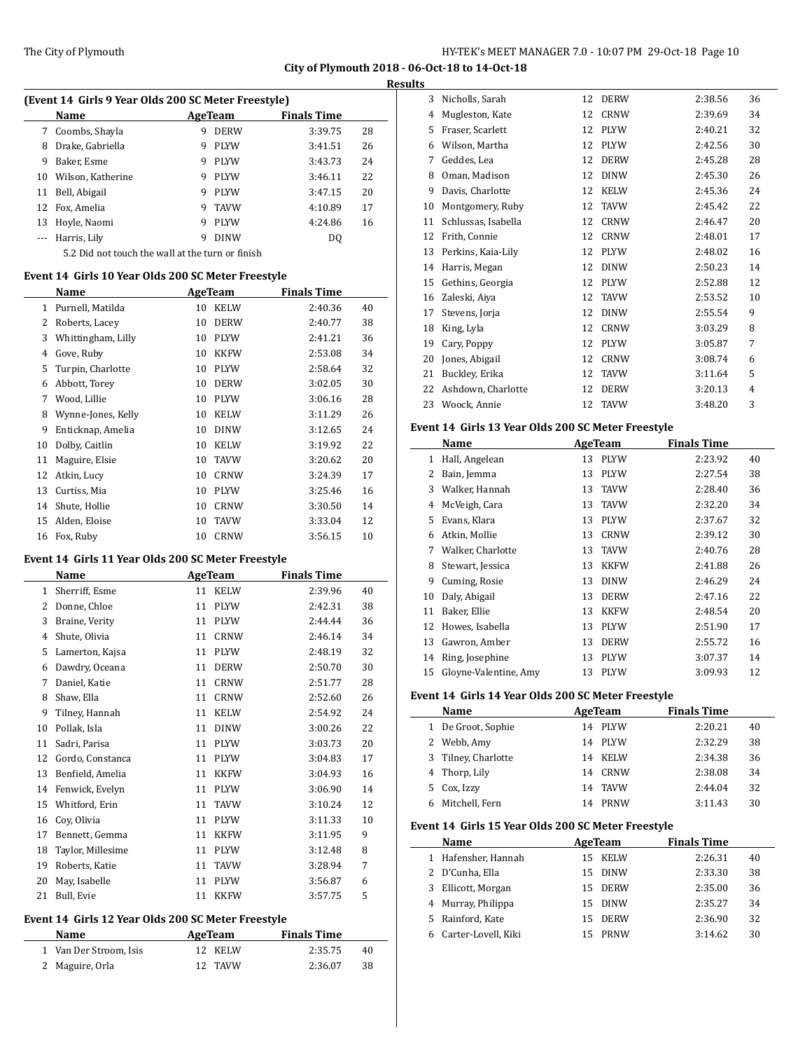|    | (Event 14 Girls 9 Year Olds 200 SC Meter Freestyle) |   |             |                    |    |  |  |
|----|-----------------------------------------------------|---|-------------|--------------------|----|--|--|
|    | Name                                                |   | AgeTeam     | <b>Finals Time</b> |    |  |  |
| 7  | Coombs, Shayla                                      | 9 | <b>DERW</b> | 3:39.75            | 28 |  |  |
| 8  | Drake, Gabriella                                    | 9 | <b>PLYW</b> | 3:41.51            | 26 |  |  |
| 9  | Baker, Esme                                         | 9 | <b>PLYW</b> | 3:43.73            | 24 |  |  |
| 10 | Wilson, Katherine                                   | 9 | <b>PLYW</b> | 3:46.11            | 22 |  |  |
| 11 | Bell, Abigail                                       | 9 | <b>PLYW</b> | 3:47.15            | 20 |  |  |
|    | 12 Fox, Amelia                                      | 9 | <b>TAVW</b> | 4:10.89            | 17 |  |  |
| 13 | Hoyle, Naomi                                        | 9 | <b>PLYW</b> | 4:24.86            | 16 |  |  |
|    | Harris, Lily                                        | 9 | DINW        | DO.                |    |  |  |

5.2 Did not touch the wall at the turn or finish

#### **Event 14 Girls 10 Year Olds 200 SC Meter Freestyle**

|    | Name               | AgeTeam |             | <b>Finals Time</b> |    |
|----|--------------------|---------|-------------|--------------------|----|
| 1  | Purnell, Matilda   | 10      | <b>KELW</b> | 2:40.36            | 40 |
| 2  | Roberts, Lacey     | 10      | <b>DERW</b> | 2:40.77            | 38 |
| 3  | Whittingham, Lilly | 10      | <b>PLYW</b> | 2:41.21            | 36 |
| 4  | Gove, Ruby         | 10      | <b>KKFW</b> | 2:53.08            | 34 |
| 5  | Turpin, Charlotte  | 10      | <b>PLYW</b> | 2:58.64            | 32 |
| 6  | Abbott, Torey      | 10      | <b>DERW</b> | 3:02.05            | 30 |
| 7  | Wood, Lillie       | 10      | <b>PLYW</b> | 3:06.16            | 28 |
| 8  | Wynne-Jones, Kelly | 10      | <b>KELW</b> | 3:11.29            | 26 |
| 9  | Enticknap, Amelia  | 10      | <b>DINW</b> | 3:12.65            | 24 |
| 10 | Dolby, Caitlin     | 10      | <b>KELW</b> | 3:19.92            | 22 |
| 11 | Maguire, Elsie     | 10      | <b>TAVW</b> | 3:20.62            | 20 |
| 12 | Atkin, Lucy        | 10      | <b>CRNW</b> | 3:24.39            | 17 |
| 13 | Curtiss, Mia       | 10      | <b>PLYW</b> | 3:25.46            | 16 |
| 14 | Shute, Hollie      | 10      | <b>CRNW</b> | 3:30.50            | 14 |
| 15 | Alden, Eloise      | 10      | <b>TAVW</b> | 3:33.04            | 12 |
| 16 | Fox, Ruby          | 10      | <b>CRNW</b> | 3:56.15            | 10 |

#### **Event 14 Girls 11 Year Olds 200 SC Meter Freestyle**

|    | Name              | <b>AgeTeam</b> |             | <b>Finals Time</b> |    |
|----|-------------------|----------------|-------------|--------------------|----|
| 1  | Sherriff, Esme    | 11             | <b>KELW</b> | 2:39.96            | 40 |
| 2  | Donne, Chloe      | 11             | <b>PLYW</b> | 2:42.31            | 38 |
| 3  | Braine, Verity    | 11             | <b>PLYW</b> | 2:44.44            | 36 |
| 4  | Shute, Olivia     | 11             | <b>CRNW</b> | 2:46.14            | 34 |
| 5  | Lamerton, Kajsa   | 11             | <b>PLYW</b> | 2:48.19            | 32 |
| 6  | Dawdry, Oceana    | 11             | <b>DERW</b> | 2:50.70            | 30 |
| 7  | Daniel, Katie     | 11             | <b>CRNW</b> | 2:51.77            | 28 |
| 8  | Shaw, Ella        | 11             | <b>CRNW</b> | 2:52.60            | 26 |
| 9  | Tilney, Hannah    | 11             | <b>KELW</b> | 2:54.92            | 24 |
| 10 | Pollak, Isla      | 11             | <b>DINW</b> | 3:00.26            | 22 |
| 11 | Sadri, Parisa     | 11             | <b>PLYW</b> | 3:03.73            | 20 |
| 12 | Gordo, Constanca  | 11             | <b>PLYW</b> | 3:04.83            | 17 |
| 13 | Benfield, Amelia  | 11             | <b>KKFW</b> | 3:04.93            | 16 |
| 14 | Fenwick, Evelyn   | 11             | <b>PLYW</b> | 3:06.90            | 14 |
| 15 | Whitford, Erin    | 11             | <b>TAVW</b> | 3:10.24            | 12 |
| 16 | Cov. Olivia       | 11             | <b>PLYW</b> | 3:11.33            | 10 |
| 17 | Bennett, Gemma    | 11             | <b>KKFW</b> | 3:11.95            | 9  |
| 18 | Taylor, Millesime | 11             | <b>PLYW</b> | 3:12.48            | 8  |
| 19 | Roberts, Katie    | 11             | <b>TAVW</b> | 3:28.94            | 7  |
| 20 | May, Isabelle     | 11             | <b>PLYW</b> | 3:56.87            | 6  |
| 21 | Bull, Evie        | 11             | <b>KKFW</b> | 3:57.75            | 5  |

## **Event 14 Girls 12 Year Olds 200 SC Meter Freestyle**

| Name                   | AgeTeam | <b>Finals Time</b> |    |
|------------------------|---------|--------------------|----|
| 1 Van Der Stroom, Isis | 12 KELW | 2:35.75            | 40 |
| 2 Maguire, Orla        | 12 TAVW | 2:36.07            | 38 |

| 3  | Nicholls, Sarah     | 12 | <b>DERW</b> | 2:38.56 | 36 |
|----|---------------------|----|-------------|---------|----|
| 4  | Mugleston, Kate     | 12 | <b>CRNW</b> | 2:39.69 | 34 |
| 5  | Fraser, Scarlett    | 12 | <b>PLYW</b> | 2:40.21 | 32 |
| 6  | Wilson, Martha      | 12 | <b>PLYW</b> | 2:42.56 | 30 |
| 7  | Geddes, Lea         | 12 | <b>DERW</b> | 2:45.28 | 28 |
| 8  | Oman, Madison       | 12 | <b>DINW</b> | 2:45.30 | 26 |
| 9  | Davis, Charlotte    | 12 | <b>KELW</b> | 2:45.36 | 24 |
| 10 | Montgomery, Ruby    | 12 | <b>TAVW</b> | 2:45.42 | 22 |
| 11 | Schlussas, Isabella | 12 | <b>CRNW</b> | 2:46.47 | 20 |
| 12 | Frith, Connie       | 12 | CRNW        | 2:48.01 | 17 |
| 13 | Perkins, Kaia-Lily  | 12 | <b>PLYW</b> | 2:48.02 | 16 |
| 14 | Harris, Megan       | 12 | <b>DINW</b> | 2:50.23 | 14 |
| 15 | Gethins, Georgia    | 12 | <b>PLYW</b> | 2:52.88 | 12 |
| 16 | Zaleski, Aiya       | 12 | <b>TAVW</b> | 2:53.52 | 10 |
| 17 | Stevens, Jorja      | 12 | <b>DINW</b> | 2:55.54 | 9  |
| 18 | King, Lyla          | 12 | CRNW        | 3:03.29 | 8  |
| 19 | Cary, Poppy         | 12 | <b>PLYW</b> | 3:05.87 | 7  |
| 20 | Jones, Abigail      | 12 | <b>CRNW</b> | 3:08.74 | 6  |
| 21 | Buckley, Erika      | 12 | <b>TAVW</b> | 3:11.64 | 5  |
| 22 | Ashdown, Charlotte  | 12 | <b>DERW</b> | 3:20.13 | 4  |
| 23 | Woock, Annie        | 12 | <b>TAVW</b> | 3:48.20 | 3  |
|    |                     |    |             |         |    |

#### **Event 14 Girls 13 Year Olds 200 SC Meter Freestyle**

|    | Name                  | <b>AgeTeam</b> |             | <b>Finals Time</b> |    |
|----|-----------------------|----------------|-------------|--------------------|----|
| 1  | Hall, Angelean        | 13             | <b>PLYW</b> | 2:23.92            | 40 |
| 2  | Bain, Jemma           | 13             | <b>PLYW</b> | 2:27.54            | 38 |
| 3  | Walker, Hannah        | 13             | <b>TAVW</b> | 2:28.40            | 36 |
| 4  | McVeigh, Cara         | 13             | <b>TAVW</b> | 2:32.20            | 34 |
| 5  | Evans, Klara          | 13             | <b>PLYW</b> | 2:37.67            | 32 |
| 6  | Atkin, Mollie         | 13             | <b>CRNW</b> | 2:39.12            | 30 |
| 7  | Walker, Charlotte     | 13             | <b>TAVW</b> | 2:40.76            | 28 |
| 8  | Stewart, Jessica      | 13             | <b>KKFW</b> | 2:41.88            | 26 |
| 9  | Cuming, Rosie         | 13             | <b>DINW</b> | 2:46.29            | 24 |
| 10 | Daly, Abigail         | 13             | <b>DERW</b> | 2:47.16            | 22 |
| 11 | Baker, Ellie          | 13             | <b>KKFW</b> | 2:48.54            | 20 |
| 12 | Howes, Isabella       | 13             | <b>PLYW</b> | 2:51.90            | 17 |
| 13 | Gawron, Amber         | 13             | <b>DERW</b> | 2:55.72            | 16 |
| 14 | Ring, Josephine       | 13             | <b>PLYW</b> | 3:07.37            | 14 |
| 15 | Gloyne-Valentine, Amy | 13             | <b>PLYW</b> | 3:09.93            | 12 |

#### **Event 14 Girls 14 Year Olds 200 SC Meter Freestyle**

| Name                | AgeTeam |         | <b>Finals Time</b> |    |
|---------------------|---------|---------|--------------------|----|
| 1 De Groot, Sophie  | 14      | PLYW    | 2:20.21            | 40 |
| 2 Webb, Amy         |         | 14 PLYW | 2:32.29            | 38 |
| 3 Tilney, Charlotte | 14      | KELW    | 2:34.38            | 36 |
| 4 Thorp, Lily       | 14      | CRNW    | 2:38.08            | 34 |
| 5 Cox, Izzy         | 14      | TAVW    | 2:44.04            | 32 |
| Mitchell, Fern      | 14      | PRNW    | 3:11.43            | 30 |

#### **Event 14 Girls 15 Year Olds 200 SC Meter Freestyle**

|   | Name                  | AgeTeam |             | <b>Finals Time</b> |    |  |
|---|-----------------------|---------|-------------|--------------------|----|--|
|   | 1 Hafensher, Hannah   | 15.     | <b>KELW</b> | 2:26.31            | 40 |  |
|   | 2 D'Cunha, Ella       | 15      | <b>DINW</b> | 2:33.30            | 38 |  |
| 3 | Ellicott, Morgan      |         | 15 DERW     | 2:35.00            | 36 |  |
|   | 4 Murray, Philippa    | 15      | <b>DINW</b> | 2:35.27            | 34 |  |
|   | 5 Rainford, Kate      | 15.     | DERW        | 2:36.90            | 32 |  |
|   | 6 Carter-Lovell, Kiki |         | PRNW        | 3:14.62            | 30 |  |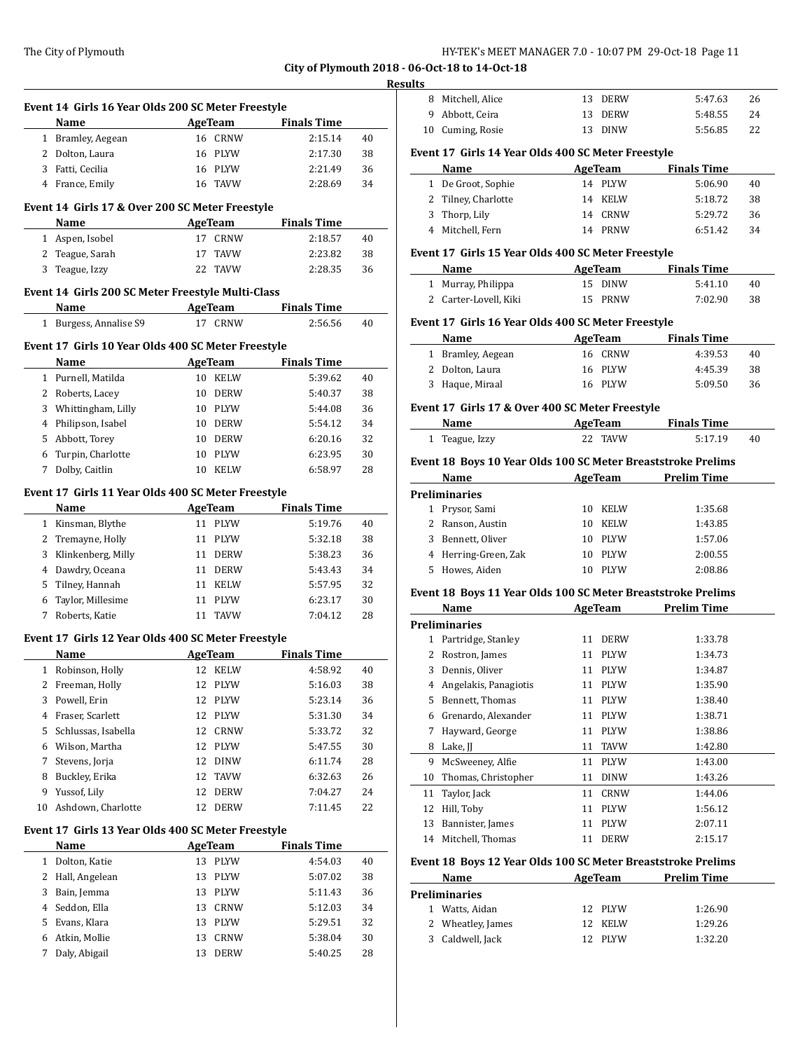# **Resu**

|                                                    | Event 14 Girls 16 Year Olds 200 SC Meter Freestyle      |                             |                               |          |  |  |  |
|----------------------------------------------------|---------------------------------------------------------|-----------------------------|-------------------------------|----------|--|--|--|
|                                                    | Name<br>1 Bramley, Aegean                               | <b>AgeTeam</b><br>16 CRNW   | <b>Finals Time</b><br>2:15.14 | 40       |  |  |  |
|                                                    |                                                         | 16 PLYW                     |                               |          |  |  |  |
|                                                    | 2 Dolton, Laura                                         | 16 PLYW                     | 2:17.30<br>2:21.49            | 38       |  |  |  |
|                                                    | 3 Fatti, Cecilia<br>4 France, Emily                     | 16 TAVW                     | 2:28.69                       | 36<br>34 |  |  |  |
|                                                    |                                                         |                             |                               |          |  |  |  |
|                                                    | Event 14 Girls 17 & Over 200 SC Meter Freestyle<br>Name | AgeTeam                     | <b>Finals Time</b>            |          |  |  |  |
|                                                    | 1 Aspen, Isobel                                         | 17 CRNW                     | 2:18.57                       | 40       |  |  |  |
|                                                    | 2 Teague, Sarah                                         | 17<br>TAVW                  | 2:23.82                       | 38       |  |  |  |
| 3                                                  | Teague, Izzy                                            | TAVW<br>22                  | 2:28.35                       | 36       |  |  |  |
|                                                    | Event 14 Girls 200 SC Meter Freestyle Multi-Class       |                             |                               |          |  |  |  |
|                                                    | Name                                                    | <b>Example 2</b> AgeTeam    | <b>Finals Time</b>            |          |  |  |  |
|                                                    | 1 Burgess, Annalise S9                                  | 17 CRNW                     | 2:56.56                       | 40       |  |  |  |
|                                                    | Event 17 Girls 10 Year Olds 400 SC Meter Freestyle      |                             |                               |          |  |  |  |
|                                                    | Name                                                    | <b>AgeTeam</b>              | <b>Finals Time</b>            |          |  |  |  |
|                                                    | 1 Purnell, Matilda                                      | 10 KELW                     | 5:39.62                       | 40       |  |  |  |
|                                                    | 2 Roberts, Lacey                                        | 10 DERW                     | 5:40.37                       | 38       |  |  |  |
| 3                                                  | Whittingham, Lilly                                      | 10 PLYW                     | 5:44.08                       | 36       |  |  |  |
|                                                    | 4 Philipson, Isabel                                     | 10 DERW                     | 5:54.12                       | 34       |  |  |  |
| 5.                                                 | Abbott, Torey                                           | 10 DERW                     | 6:20.16                       | 32       |  |  |  |
|                                                    | 6 Turpin, Charlotte                                     | PLYW<br>10                  | 6:23.95                       | 30       |  |  |  |
| 7                                                  | Dolby, Caitlin                                          | 10 KELW                     | 6:58.97                       | 28       |  |  |  |
|                                                    | Event 17 Girls 11 Year Olds 400 SC Meter Freestyle      |                             |                               |          |  |  |  |
|                                                    | Name                                                    | <b>AgeTeam</b>              | <b>Finals Time</b>            |          |  |  |  |
|                                                    | 1 Kinsman, Blythe                                       | 11 PLYW                     | 5:19.76                       | 40       |  |  |  |
|                                                    | 2 Tremayne, Holly                                       | 11 PLYW                     | 5:32.18                       | 38       |  |  |  |
|                                                    | 3 Klinkenberg, Milly                                    | 11 DERW                     | 5:38.23                       | 36       |  |  |  |
|                                                    | 4 Dawdry, Oceana                                        | 11 DERW                     | 5:43.43                       | 34       |  |  |  |
| 5.                                                 | Tilney, Hannah                                          | 11 KELW                     | 5:57.95                       | 32       |  |  |  |
| 6                                                  | Taylor, Millesime                                       | 11 PLYW                     | 6:23.17                       | 30       |  |  |  |
| 7                                                  | Roberts, Katie                                          | 11 TAVW                     | 7:04.12                       | 28       |  |  |  |
|                                                    |                                                         |                             |                               |          |  |  |  |
| Event 17 Girls 12 Year Olds 400 SC Meter Freestyle |                                                         |                             |                               |          |  |  |  |
|                                                    |                                                         |                             |                               |          |  |  |  |
|                                                    | Name                                                    | <b>AgeTeam</b>              | <b>Finals Time</b>            |          |  |  |  |
|                                                    | 1 Robinson, Holly                                       | 12 KELW                     | 4:58.92                       | 40       |  |  |  |
| $\mathbf{2}$                                       | Freeman, Holly                                          | 12 PLYW                     | 5:16.03                       | 38       |  |  |  |
| 3                                                  | Powell, Erin                                            | 12<br>PLYW                  | 5:23.14                       | 36       |  |  |  |
| 4                                                  | Fraser, Scarlett                                        | 12<br>PLYW                  | 5:31.30                       | 34       |  |  |  |
| 5                                                  | Schlussas, Isabella                                     | 12<br><b>CRNW</b>           | 5:33.72                       | 32       |  |  |  |
| 6                                                  | Wilson, Martha                                          | 12<br><b>PLYW</b>           | 5:47.55                       | 30       |  |  |  |
| 7                                                  | Stevens, Jorja                                          | 12<br>$\text{D} \text{INW}$ | 6:11.74                       | 28       |  |  |  |
| 8                                                  | Buckley, Erika                                          | 12<br>TAVW                  | 6:32.63                       | 26       |  |  |  |
| 9                                                  | Yussof, Lily<br>Ashdown, Charlotte                      | 12<br>DERW                  | 7:04.27                       | 24       |  |  |  |
| 10                                                 |                                                         | 12<br>DERW                  | 7:11.45                       | 22       |  |  |  |
|                                                    | Event 17 Girls 13 Year Olds 400 SC Meter Freestyle      |                             |                               |          |  |  |  |
|                                                    | Name                                                    | <b>AgeTeam</b>              | <b>Finals Time</b>            |          |  |  |  |
| $\mathbf{1}$                                       | Dolton, Katie                                           | 13<br>PLYW                  | 4:54.03                       | 40       |  |  |  |
| 2                                                  | Hall, Angelean                                          | 13<br>PLYW                  | 5:07.02                       | 38       |  |  |  |
| 3                                                  | Bain, Jemma                                             | 13<br>PLYW                  | 5:11.43                       | 36       |  |  |  |
| 4                                                  | Seddon, Ella                                            | 13<br>CRNW                  | 5:12.03                       | 34       |  |  |  |
| 5<br>6                                             | Evans, Klara<br>Atkin, Mollie                           | 13<br>PLYW<br>CRNW<br>13    | 5:29.51<br>5:38.04            | 32<br>30 |  |  |  |

|    | 8 Mitchell, Alice                                            |          | 13 DERW            | 5:47.63                              | 26       |
|----|--------------------------------------------------------------|----------|--------------------|--------------------------------------|----------|
|    | 9 Abbott, Ceira                                              |          | 13 DERW            | 5:48.55                              | 24       |
|    | 10 Cuming, Rosie                                             |          | 13 DINW            | 5:56.85                              | 22       |
|    | Event 17 Girls 14 Year Olds 400 SC Meter Freestyle           |          |                    |                                      |          |
|    | Name                                                         |          | AgeTeam            | <b>Finals Time</b>                   |          |
|    | 1 De Groot, Sophie                                           |          | 14 PLYW            | 5:06.90                              | 40       |
|    | 2 Tilney, Charlotte<br>3 Thorp, Lily                         |          | 14 KELW            | 5:18.72<br>5:29.72                   | 38       |
|    | 4 Mitchell, Fern                                             |          | 14 CRNW<br>14 PRNW | 6:51.42                              | 36<br>34 |
|    |                                                              |          |                    |                                      |          |
|    | Event 17 Girls 15 Year Olds 400 SC Meter Freestyle<br>Name   |          | <b>AgeTeam</b>     | <b>Finals Time</b>                   |          |
|    | 1 Murray, Philippa                                           |          | 15 DINW            | 5:41.10                              | 40       |
|    | 2 Carter-Lovell, Kiki                                        |          | 15 PRNW            | 7:02.90                              | 38       |
|    | Event 17 Girls 16 Year Olds 400 SC Meter Freestyle           |          |                    |                                      |          |
|    | Name                                                         |          | AgeTeam            | <b>Finals Time</b>                   |          |
|    | 1 Bramley, Aegean                                            |          | 16 CRNW            | 4:39.53                              | 40       |
|    | 2 Dolton, Laura                                              |          | 16 PLYW            | 4:45.39                              | 38       |
|    | 3 Haque, Miraal                                              |          | 16 PLYW            | 5:09.50                              | 36       |
|    | Event 17 Girls 17 & Over 400 SC Meter Freestyle              |          |                    |                                      |          |
|    | Name                                                         |          |                    | <b>Example 2 AgeTeam</b> Finals Time |          |
|    | 1 Teague, Izzy                                               |          | 22 TAVW            | 5:17.19                              | 40       |
|    | Event 18 Boys 10 Year Olds 100 SC Meter Breaststroke Prelims |          |                    |                                      |          |
|    | Name                                                         |          |                    | <b>Example 2 AgeTeam</b> Prelim Time |          |
|    | Preliminaries                                                |          |                    |                                      |          |
|    | 1 Prysor, Sami                                               |          | 10 KELW            | 1:35.68                              |          |
|    | 2 Ranson, Austin                                             |          | 10 KELW            | 1:43.85                              |          |
|    |                                                              |          | 10 PLYW            |                                      |          |
|    | 3 Bennett, Oliver                                            |          |                    | 1:57.06                              |          |
|    | 4 Herring-Green, Zak                                         |          | 10 PLYW            | 2:00.55                              |          |
|    | 5 Howes, Aiden                                               |          | 10 PLYW            | 2:08.86                              |          |
|    | Event 18 Boys 11 Year Olds 100 SC Meter Breaststroke Prelims |          |                    |                                      |          |
|    | Name                                                         |          |                    | AgeTeam Prelim Time                  |          |
|    | <b>Preliminaries</b>                                         |          |                    |                                      |          |
|    | 1 Partridge, Stanley                                         |          | 11 DERW            | 1:33.78                              |          |
|    | 2 Rostron, James                                             |          | 11 PLYW            | 1:34.73                              |          |
|    | 3 Dennis, Oliver                                             |          | 11 PLYW            | 1:34.87                              |          |
|    | 4 Angelakis, Panagiotis                                      |          | 11 PLYW            | 1:35.90                              |          |
|    | 5 Bennett, Thomas                                            | 11       | PLYW               | 1:38.40                              |          |
|    | 6 Grenardo, Alexander                                        | 11       | PLYW               | 1:38.71                              |          |
| 7  | Hayward, George                                              | 11       | PLYW               | 1:38.86                              |          |
| 8  | Lake, JJ                                                     | 11       | TAVW               | 1:42.80                              |          |
| 9  | McSweeney, Alfie                                             | 11       | PLYW               | 1:43.00                              |          |
| 10 | Thomas, Christopher                                          | 11       | <b>DINW</b>        | 1:43.26                              |          |
| 11 | Taylor, Jack                                                 | 11       | CRNW               | 1:44.06                              |          |
| 12 | Hill, Toby                                                   | 11       | PLYW               | 1:56.12                              |          |
| 13 | Bannister, James                                             | 11       | PLYW               | 2:07.11                              |          |
| 14 | Mitchell, Thomas                                             | 11       | <b>DERW</b>        | 2:15.17                              |          |
|    | Event 18 Boys 12 Year Olds 100 SC Meter Breaststroke Prelims |          |                    |                                      |          |
|    | Name                                                         |          | <b>AgeTeam</b>     | <b>Prelim Time</b>                   |          |
|    | <b>Preliminaries</b>                                         |          |                    |                                      |          |
|    | 1 Watts, Aidan<br>2 Wheatley, James                          | 12<br>12 | PLYW<br>KELW       | 1:26.90<br>1:29.26                   |          |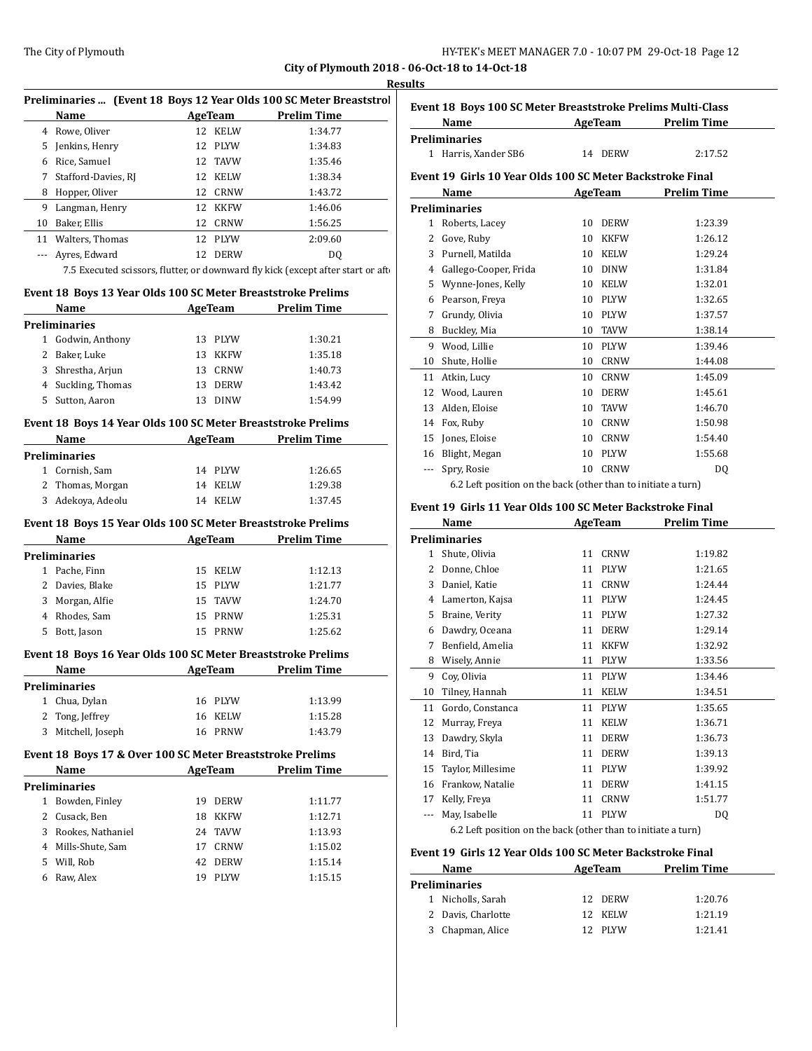**Results**

|                                                              |                   | City of Plymouth 2018 - 06-Oct-                                                 | <b>Results</b>             |
|--------------------------------------------------------------|-------------------|---------------------------------------------------------------------------------|----------------------------|
|                                                              |                   | Preliminaries  (Event 18 Boys 12 Year Olds 100 SC Meter Breaststrol             | <b>Event 1</b>             |
| Name                                                         | AgeTeam           | <b>Prelim Time</b>                                                              | N                          |
| 4 Rowe, Oliver                                               | 12 KELW           | 1:34.77                                                                         | Prelimi                    |
| 5 Jenkins, Henry                                             | 12 PLYW           | 1:34.83                                                                         | $1$ H                      |
| 6 Rice, Samuel                                               | 12 TAVW           | 1:35.46                                                                         |                            |
| 7 Stafford-Davies, RJ                                        | 12 KELW           | 1:38.34                                                                         | Event 1                    |
| 8 Hopper, Oliver                                             | 12 CRNW           | 1:43.72                                                                         |                            |
| 9 Langman, Henry                                             | 12 KKFW           | 1:46.06                                                                         | Prelimi                    |
| 10 Baker, Ellis                                              | 12 CRNW           | 1:56.25                                                                         | 1 R                        |
| 11 Walters, Thomas                                           | 12 PLYW           | 2:09.60                                                                         | G<br>$\mathbf{2}^{\prime}$ |
| --- Ayres, Edward                                            | 12 DERW           | DQ                                                                              | $3$ P                      |
|                                                              |                   | 7.5 Executed scissors, flutter, or downward fly kick (except after start or aft | 4                          |
| Event 18 Boys 13 Year Olds 100 SC Meter Breaststroke Prelims |                   |                                                                                 | 5 <sub>v</sub><br>6 P      |
| Name AgeTeam Prelim Time                                     |                   |                                                                                 | 7                          |
| <b>Preliminaries</b>                                         |                   |                                                                                 | 8 B                        |
| 1 Godwin, Anthony                                            | 13 PLYW           | 1:30.21                                                                         | 9 V                        |
| 2 Baker, Luke                                                | 13 KKFW           | 1:35.18                                                                         | 10 S                       |
| 3 Shrestha, Arjun                                            | 13 CRNW           | 1:40.73                                                                         | 11 A                       |
| 4 Suckling, Thomas                                           | 13 DERW           | 1:43.42                                                                         | 12 V                       |
| 5 Sutton, Aaron                                              | 13 DINW           | 1:54.99                                                                         | 13 A                       |
| Event 18 Boys 14 Year Olds 100 SC Meter Breaststroke Prelims |                   |                                                                                 | 14 F                       |
| Name                                                         | AgeTeam           | <b>Prelim Time</b>                                                              | $15$ Jo                    |
| <b>Preliminaries</b>                                         |                   |                                                                                 | 16 B                       |
| 1 Cornish, Sam                                               | 14 PLYW           | 1:26.65                                                                         | --- S                      |
| 2 Thomas, Morgan                                             | 14 KELW           | 1:29.38                                                                         |                            |
| 3 Adekoya, Adeolu                                            | 14 KELW           | 1:37.45                                                                         | <b>Event 1</b>             |
| Event 18 Boys 15 Year Olds 100 SC Meter Breaststroke Prelims |                   |                                                                                 |                            |
| Name                                                         | <b>AgeTeam</b>    | <b>Prelim Time</b>                                                              | Prelimi                    |
| <b>Preliminaries</b>                                         |                   |                                                                                 | 1 <sub>S</sub>             |
| 1 Pache, Finn                                                | 15 KELW           | 1:12.13                                                                         | 2 D                        |
| 2 Davies, Blake                                              | 15 PLYW           | 1:21.77                                                                         | 3                          |
| 3 Morgan, Alfie                                              | 15<br><b>TAVW</b> | 1:24.70                                                                         | 4L                         |
| 4 Rhodes, Sam                                                | 15 PRNW           | 1:25.31                                                                         | 5.                         |
| 5 Bott, Jason                                                | 15 PRNW           | 1:25.62                                                                         | 6 D                        |
|                                                              |                   |                                                                                 | 7                          |
| Event 18 Boys 16 Year Olds 100 SC Meter Breaststroke Prelims |                   |                                                                                 | 8                          |
| Name                                                         |                   | AgeTeam Prelim Time                                                             | 9                          |
| <b>Preliminaries</b>                                         |                   |                                                                                 | 10 T                       |

| 1 Chua, Dylan      | 16 PLYW | 1:13.99 |
|--------------------|---------|---------|
| 2 Tong, Jeffrey    | 16 KELW | 1:15.28 |
| 3 Mitchell, Joseph | 16 PRNW | 1:43.79 |
|                    |         |         |

# **Event 18 Boys 17 & Over 100 SC Meter Breaststroke Prelims**

| <b>Name</b>  |                      | AgeTeam |             | <b>Prelim Time</b> |  |
|--------------|----------------------|---------|-------------|--------------------|--|
|              | <b>Preliminaries</b> |         |             |                    |  |
| $\mathbf{1}$ | Bowden, Finley       | 19      | <b>DERW</b> | 1:11.77            |  |
|              | 2 Cusack, Ben        | 18      | <b>KKFW</b> | 1:12.71            |  |
|              | 3 Rookes, Nathaniel  | 24      | TAVW        | 1:13.93            |  |
|              | 4 Mills-Shute, Sam   | 17      | <b>CRNW</b> | 1:15.02            |  |
| 5.           | Will, Rob            | 42.     | <b>DERW</b> | 1:15.14            |  |
| 6            | Raw, Alex            | 19      | <b>PLYW</b> | 1:15.15            |  |

|              | Name                                                       |    | AgeTeam        | <b>Prelim Time</b> |
|--------------|------------------------------------------------------------|----|----------------|--------------------|
|              | Preliminaries                                              |    |                |                    |
| $\mathbf{1}$ | Harris, Xander SB6                                         |    | 14 DERW        | 2:17.52            |
|              | Event 19  Girls 10 Year Olds 100 SC Meter Backstroke Final |    |                |                    |
|              | Name                                                       |    | <b>AgeTeam</b> | <b>Prelim Time</b> |
|              | Preliminaries                                              |    |                |                    |
| $\mathbf{1}$ | Roberts, Lacey                                             | 10 | <b>DERW</b>    | 1:23.39            |
| 2            | Gove, Ruby                                                 | 10 | <b>KKFW</b>    | 1:26.12            |
| 3            | Purnell, Matilda                                           | 10 | <b>KELW</b>    | 1:29.24            |
| 4            | Gallego-Cooper, Frida                                      | 10 | <b>DINW</b>    | 1:31.84            |
| 5            | Wynne-Jones, Kelly                                         | 10 | <b>KELW</b>    | 1:32.01            |
| 6            | Pearson, Freya                                             | 10 | <b>PLYW</b>    | 1:32.65            |
| 7            | Grundy, Olivia                                             | 10 | <b>PLYW</b>    | 1:37.57            |
| 8            | Buckley, Mia                                               | 10 | <b>TAVW</b>    | 1:38.14            |
| 9            | Wood, Lillie                                               | 10 | <b>PLYW</b>    | 1:39.46            |
| 10           | Shute, Hollie                                              | 10 | <b>CRNW</b>    | 1:44.08            |
| 11           | Atkin, Lucy                                                | 10 | <b>CRNW</b>    | 1:45.09            |
| 12           | Wood, Lauren                                               | 10 | <b>DERW</b>    | 1:45.61            |
| 13           | Alden, Eloise                                              | 10 | <b>TAVW</b>    | 1:46.70            |
| 14           | Fox, Ruby                                                  | 10 | <b>CRNW</b>    | 1:50.98            |
| 15           | Jones, Eloise                                              | 10 | <b>CRNW</b>    | 1:54.40            |
| 16           | Blight, Megan                                              | 10 | <b>PLYW</b>    | 1:55.68            |
| ---          | Spry, Rosie                                                | 10 | <b>CRNW</b>    | DQ                 |

#### **Event 19 Girls 11 Year Olds 100 SC Meter Backstroke Final**

|    | Name                                                          | AgeTeam |             | <b>Prelim Time</b> |
|----|---------------------------------------------------------------|---------|-------------|--------------------|
|    | Preliminaries                                                 |         |             |                    |
| 1  | Shute, Olivia                                                 | 11      | <b>CRNW</b> | 1:19.82            |
| 2  | Donne, Chloe                                                  | 11      | <b>PLYW</b> | 1:21.65            |
| 3  | Daniel, Katie                                                 | 11      | <b>CRNW</b> | 1:24.44            |
| 4  | Lamerton, Kajsa                                               | 11      | <b>PLYW</b> | 1:24.45            |
| 5  | Braine, Verity                                                | 11      | <b>PLYW</b> | 1:27.32            |
| 6  | Dawdry, Oceana                                                | 11      | <b>DERW</b> | 1:29.14            |
| 7  | Benfield, Amelia                                              | 11      | <b>KKFW</b> | 1:32.92            |
| 8  | Wisely, Annie                                                 | 11      | <b>PLYW</b> | 1:33.56            |
| 9  | Coy, Olivia                                                   | 11      | <b>PLYW</b> | 1:34.46            |
| 10 | Tilney, Hannah                                                | 11      | <b>KELW</b> | 1:34.51            |
| 11 | Gordo, Constanca                                              | 11      | <b>PLYW</b> | 1:35.65            |
| 12 | Murray, Freya                                                 | 11      | <b>KELW</b> | 1:36.71            |
| 13 | Dawdry, Skyla                                                 | 11      | <b>DERW</b> | 1:36.73            |
| 14 | Bird, Tia                                                     | 11      | <b>DERW</b> | 1:39.13            |
| 15 | Taylor, Millesime                                             | 11      | <b>PLYW</b> | 1:39.92            |
| 16 | Frankow, Natalie                                              | 11      | <b>DERW</b> | 1:41.15            |
| 17 | Kelly, Freya                                                  | 11      | CRNW        | 1:51.77            |
|    | May, Isabelle                                                 | 11      | <b>PLYW</b> | DQ                 |
|    | 6.2 Left position on the back (other than to initiate a turn) |         |             |                    |

## **Event 19 Girls 12 Year Olds 100 SC Meter Backstroke Final**

| Name                 | AgeTeam     | <b>Prelim Time</b> |  |  |
|----------------------|-------------|--------------------|--|--|
| <b>Preliminaries</b> |             |                    |  |  |
| 1 Nicholls, Sarah    | 12 DERW     | 1:20.76            |  |  |
| 2 Davis, Charlotte   | 12 KELW     | 1:21.19            |  |  |
| 3 Chapman, Alice     | <b>PLYW</b> | 1:21.41            |  |  |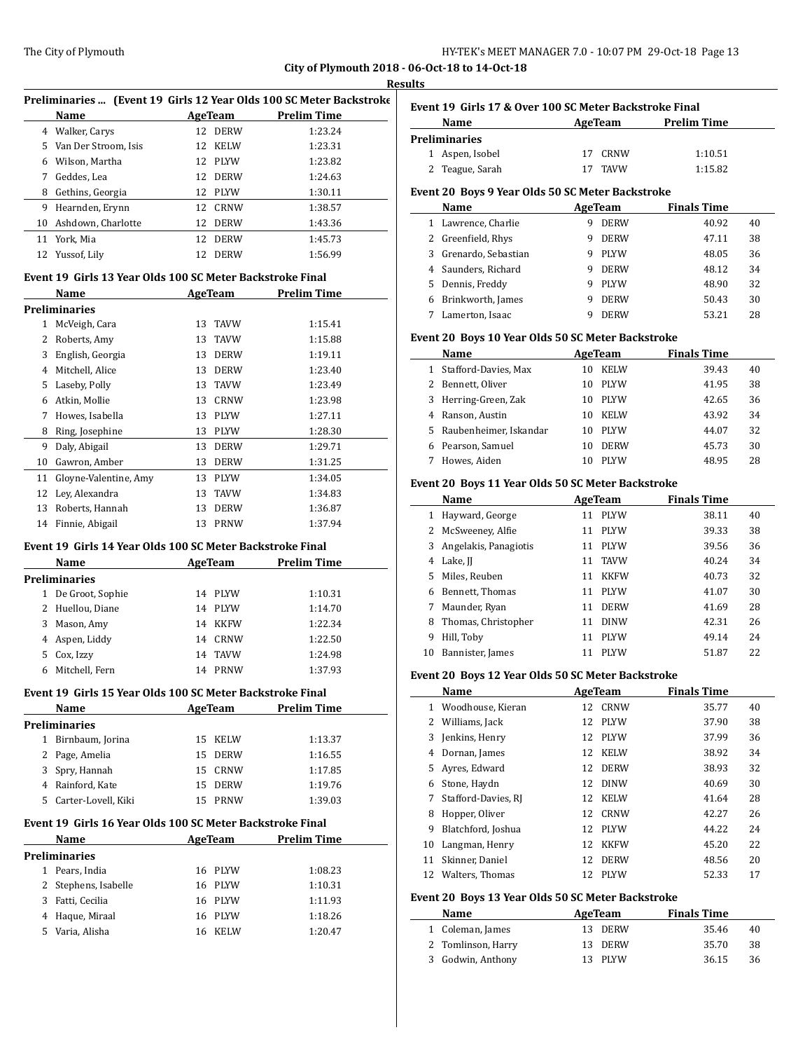**Results**

|    |                                                           |                           | Preliminaries  (Event 19 Girls 12 Year Olds 100 SC Meter Backstroke |
|----|-----------------------------------------------------------|---------------------------|---------------------------------------------------------------------|
|    | Name<br>4 Walker, Carys                                   | <b>AgeTeam</b><br>12 DERW | <b>Prelim Time</b><br>1:23.24                                       |
|    |                                                           | 12 KELW                   | 1:23.31                                                             |
|    | 5 Van Der Stroom, Isis                                    |                           |                                                                     |
|    | 6 Wilson, Martha                                          | 12 PLYW                   | 1:23.82                                                             |
| 7  | Geddes. Lea                                               | 12<br><b>DERW</b>         | 1:24.63                                                             |
| 8  | Gethins, Georgia                                          | 12 PLYW                   | 1:30.11                                                             |
| 9  | Hearnden, Erynn                                           | 12<br><b>CRNW</b>         | 1:38.57                                                             |
| 10 | Ashdown, Charlotte                                        | 12<br><b>DERW</b>         | 1:43.36                                                             |
| 11 | York, Mia                                                 | 12<br><b>DERW</b>         | 1:45.73                                                             |
| 12 | Yussof, Lily                                              | 12<br>DERW                | 1:56.99                                                             |
|    | Event 19 Girls 13 Year Olds 100 SC Meter Backstroke Final |                           |                                                                     |
|    | Name                                                      | <b>AgeTeam</b>            | <b>Prelim Time</b>                                                  |
|    | <b>Preliminaries</b>                                      |                           |                                                                     |
|    | 1 McVeigh, Cara                                           | 13<br>TAVW                | 1:15.41                                                             |
| 2  | Roberts, Amy                                              | 13<br>TAVW                | 1:15.88                                                             |
| 3  | English, Georgia                                          | <b>DERW</b><br>13         | 1:19.11                                                             |
| 4  | Mitchell, Alice                                           | <b>DERW</b><br>13         | 1:23.40                                                             |
| 5  | Laseby, Polly                                             | 13<br><b>TAVW</b>         | 1:23.49                                                             |
| 6  | Atkin, Mollie                                             | 13<br><b>CRNW</b>         | 1:23.98                                                             |
| 7  | Howes. Isabella                                           | 13<br><b>PLYW</b>         | 1:27.11                                                             |
| 8  | Ring, Josephine                                           | 13<br><b>PLYW</b>         | 1:28.30                                                             |
| 9  | Daly, Abigail                                             | 13<br><b>DERW</b>         | 1:29.71                                                             |
| 10 | Gawron, Amber                                             | 13<br><b>DERW</b>         | 1:31.25                                                             |
| 11 | Gloyne-Valentine, Amy                                     | 13 PLYW                   | 1:34.05                                                             |
| 12 | Ley, Alexandra                                            | 13<br>TAVW                | 1:34.83                                                             |
|    | 13 Roberts, Hannah                                        | 13<br><b>DERW</b>         | 1:36.87                                                             |
|    | 14 Finnie, Abigail                                        | PRNW<br>13                | 1:37.94                                                             |
|    |                                                           |                           |                                                                     |
|    | Event 19 Girls 14 Year Olds 100 SC Meter Backstroke Final |                           |                                                                     |
|    | Name                                                      | AgeTeam                   | <b>Prelim Time</b>                                                  |
|    | <b>Preliminaries</b>                                      |                           |                                                                     |
|    | 1 De Groot, Sophie                                        | 14 PLYW                   | 1:10.31                                                             |
| 2  | Huellou, Diane                                            | 14 PLYW                   | 1:14.70                                                             |
| 3  | Mason, Amy                                                | 14<br><b>KKFW</b>         | 1:22.34                                                             |
| 4  | Aspen, Liddy                                              | 14<br>CRNW                | 1:22.50                                                             |
| 5  | Cox, Izzy                                                 | 14<br><b>TAVW</b>         | 1:24.98                                                             |
| 6  | Mitchell, Fern                                            | 14<br><b>PRNW</b>         | 1:37.93                                                             |
|    | Event 19 Girls 15 Year Olds 100 SC Meter Backstroke Final |                           |                                                                     |
|    | Name                                                      | <b>AgeTeam</b>            | <b>Prelim Time</b>                                                  |
|    | Preliminaries                                             |                           |                                                                     |
|    | 1 Birnbaum, Jorina                                        | 15 KELW                   | 1:13.37                                                             |
|    | 2 Page, Amelia                                            | 15 DERW                   | 1:16.55                                                             |
|    | 3 Spry, Hannah                                            | 15 CRNW                   | 1:17.85                                                             |
|    | 4 Rainford, Kate                                          | 15 DERW                   | 1:19.76                                                             |
|    | 5 Carter-Lovell, Kiki                                     | 15 PRNW                   | 1:39.03                                                             |
|    |                                                           |                           |                                                                     |
|    |                                                           |                           | <b>Prelim Time</b>                                                  |
|    | Event 19 Girls 16 Year Olds 100 SC Meter Backstroke Final |                           |                                                                     |
|    | Name                                                      | AgeTeam                   |                                                                     |
|    | Preliminaries                                             |                           |                                                                     |
|    | 1 Pears, India                                            | 16 PLYW                   | 1:08.23                                                             |
|    | 2 Stephens, Isabelle                                      | 16 PLYW                   | 1:10.31                                                             |
|    | 3 Fatti, Cecilia                                          | 16 PLYW                   | 1:11.93                                                             |
|    | 4 Haque, Miraal<br>5 Varia, Alisha                        | 16 PLYW<br>16 KELW        | 1:18.26<br>1:20.47                                                  |

|              | Name                                              |    | <b>AgeTeam</b>         | <b>Prelim Time</b>          |    |
|--------------|---------------------------------------------------|----|------------------------|-----------------------------|----|
|              | <b>Preliminaries</b>                              |    |                        |                             |    |
| 1            | Aspen, Isobel                                     | 17 | CRNW                   | 1:10.51                     |    |
| 2            | Teague, Sarah                                     | 17 | <b>TAVW</b>            | 1:15.82                     |    |
|              | Event 20 Boys 9 Year Olds 50 SC Meter Backstroke  |    |                        |                             |    |
|              | Name                                              |    | AgeTeam                | <b>Finals Time</b>          |    |
|              | 1 Lawrence, Charlie                               |    | 9 DERW                 | 40.92                       | 40 |
|              | 2 Greenfield, Rhys                                |    | 9 DERW                 | 47.11                       | 38 |
|              | 3 Grenardo, Sebastian                             |    | 9 PLYW                 | 48.05                       | 36 |
|              | 4 Saunders, Richard                               |    | 9 DERW                 | 48.12                       | 34 |
|              | 5 Dennis, Freddy                                  |    | 9 PLYW                 | 48.90                       | 32 |
|              | 6 Brinkworth, James                               |    | 9 DERW                 | 50.43                       | 30 |
| 7            | Lamerton, Isaac                                   | 9  | <b>DERW</b>            | 53.21                       | 28 |
|              | Event 20 Boys 10 Year Olds 50 SC Meter Backstroke |    |                        |                             |    |
|              |                                                   |    |                        |                             |    |
|              | Name<br>1 Stafford-Davies, Max                    | 10 | AgeTeam<br><b>KELW</b> | <b>Finals Time</b><br>39.43 | 40 |
|              | 2 Bennett, Oliver                                 |    | 10 PLYW                | 41.95                       | 38 |
|              |                                                   |    |                        | 42.65                       | 36 |
|              | 3 Herring-Green, Zak<br>4 Ranson, Austin          |    | 10 PLYW<br>10 KELW     | 43.92                       | 34 |
|              |                                                   |    |                        |                             | 32 |
|              | 5 Raubenheimer, Iskandar                          |    | 10 PLYW                | 44.07<br>45.73              |    |
|              | 6 Pearson, Samuel<br>7 Howes, Aiden               |    | 10 DERW<br>10 PLYW     |                             | 30 |
|              |                                                   |    |                        | 48.95                       | 28 |
|              | Event 20 Boys 11 Year Olds 50 SC Meter Backstroke |    |                        |                             |    |
|              | Name                                              |    | <b>AgeTeam</b>         | <b>Finals Time</b>          |    |
|              | 1 Hayward, George                                 |    | 11 PLYW                | 38.11                       | 40 |
|              | 2 McSweeney, Alfie                                |    | 11 PLYW                | 39.33                       | 38 |
|              | 3 Angelakis, Panagiotis                           |    | 11 PLYW                | 39.56                       | 36 |
|              | 4 Lake, JJ                                        |    | 11 TAVW                | 40.24                       | 34 |
|              | 5 Miles, Reuben                                   |    | 11 KKFW                | 40.73                       | 32 |
|              | 6 Bennett, Thomas                                 |    | 11 PLYW                | 41.07                       | 30 |
|              | 7 Maunder, Ryan                                   |    | 11 DERW                | 41.69                       | 28 |
|              | 8 Thomas, Christopher                             |    | 11 DINW                | 42.31                       | 26 |
|              | 9 Hill, Toby                                      |    | 11 PLYW                | 49.14                       | 24 |
|              | 10 Bannister, James                               |    | 11 PLYW                | 51.87                       | 22 |
|              |                                                   |    |                        |                             |    |
|              | Event 20 Boys 12 Year Olds 50 SC Meter Backstroke |    |                        |                             |    |
|              | Name                                              |    | AgeTeam                | <b>Finals Time</b>          |    |
| $\mathbf{1}$ | Woodhouse, Kieran                                 | 12 | CRNW                   | 35.77                       | 40 |
| 2            | Williams, Jack                                    | 12 | PLYW                   | 37.90                       | 38 |
| 3            | Jenkins, Henry                                    | 12 | PLYW                   | 37.99                       | 36 |
| 4            | Dornan, James                                     | 12 | KELW                   | 38.92                       | 34 |
| 5            | Ayres, Edward                                     | 12 | <b>DERW</b>            | 38.93                       | 32 |
|              | 6 Stone, Haydn                                    | 12 | <b>DINW</b>            | 40.69                       | 30 |
| 7            | Stafford-Davies, RJ                               | 12 | KELW                   | 41.64                       | 28 |
| 8            | Hopper, Oliver                                    | 12 | CRNW                   | 42.27                       | 26 |
| 9            | Blatchford, Joshua                                | 12 | PLYW                   | 44.22                       | 24 |
| 10           | Langman, Henry                                    | 12 | <b>KKFW</b>            | 45.20                       | 22 |
|              | Skinner, Daniel                                   | 12 | DERW                   | 48.56                       | 20 |
| 11           |                                                   |    |                        |                             |    |
| 12           | Walters, Thomas                                   | 12 | PLYW                   | 52.33                       | 17 |

| <b>Name</b>        | AgeTeam | <b>Finals Time</b> |  |
|--------------------|---------|--------------------|--|
| 1 Coleman, James   | 13 DERW | 35.46<br>40        |  |
| 2 Tomlinson, Harry | 13 DERW | 35.70<br>38        |  |
| 3 Godwin, Anthony  | 13 PLYW | 36.15<br>36        |  |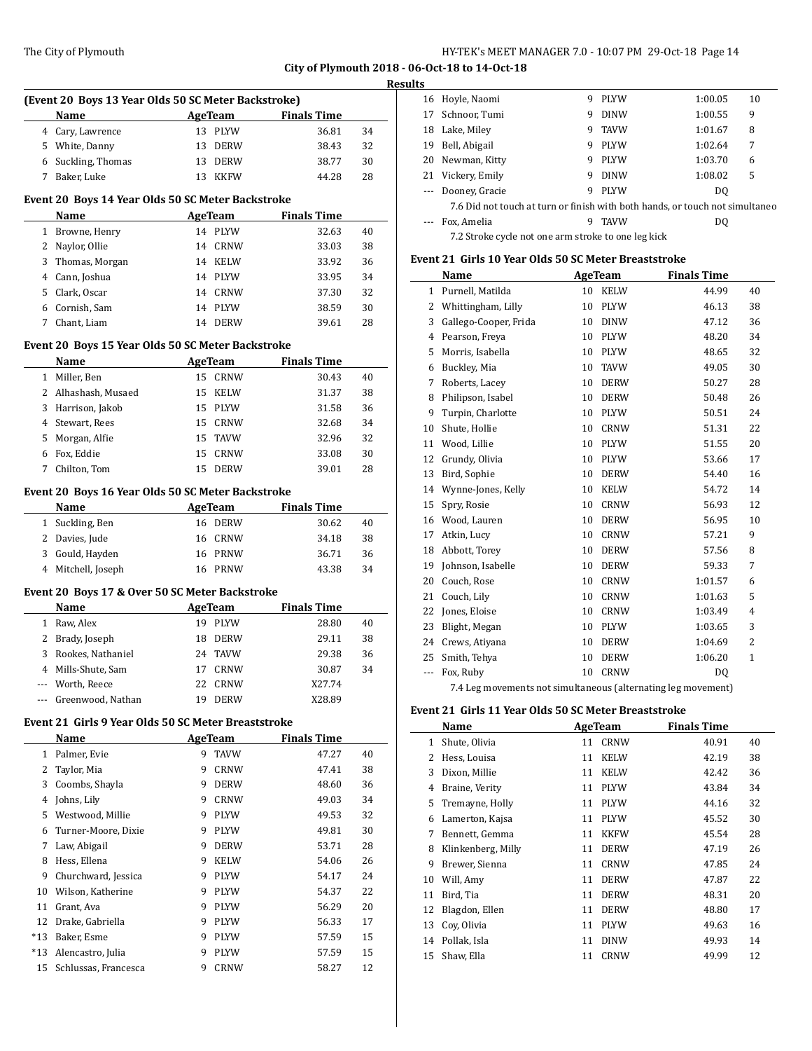#### The City of Plymouth **HY-TEK's MEET MANAGER 7.0 - 10:07 PM 29-Oct-18** Page 14

**City of Plymouth 2018 - 06-Oct-18 to 14-Oct-18**

# **Results (Event 20 Boys 13 Year Olds 50 SC Meter Backstroke) Name Age Team Finals Time**  Cary, Lawrence 13 PLYW 36.81 34 White, Danny 13 DERW 38.43 32 Suckling, Thomas 13 DERW 38.77 30 Baker, Luke 13 KKFW 44.28 28 **Event 20 Boys 14 Year Olds 50 SC Meter Backstroke Name AgeTeam Finals Time**  Browne, Henry 14 PLYW 32.63 40 Naylor, Ollie 14 CRNW 33.03 38 Thomas, Morgan 14 KELW 33.92 36 Cann, Joshua 14 PLYW 33.95 34 Clark, Oscar 14 CRNW 37.30 32 Cornish, Sam 14 PLYW 38.59 30 Chant, Liam 14 DERW 39.61 28 **Event 20 Boys 15 Year Olds 50 SC Meter Backstroke Name Age Team Finals Time** Miller, Ben 15 CRNW 30.43 40 2 Alhashash, Musaed 15 KELW 31.37 38 Harrison, Jakob 15 PLYW 31.58 36 Stewart, Rees 15 CRNW 32.68 34 Morgan, Alfie 15 TAVW 32.96 32 Fox, Eddie 15 CRNW 33.08 30 Chilton, Tom 15 DERW 39.01 28 **Event 20 Boys 16 Year Olds 50 SC Meter Backstroke Name Age Team Finals Time** Suckling, Ben 16 DERW 30.62 40 Davies, Jude 16 CRNW 34.18 38 Gould, Hayden 16 PRNW 36.71 36 Mitchell, Joseph 16 PRNW 43.38 34 **Event 20 Boys 17 & Over 50 SC Meter Backstroke Name AgeTeam Finals Time**  Raw, Alex 19 PLYW 28.80 40 Brady, Joseph 18 DERW 29.11 38 Rookes, Nathaniel 24 TAVW 29.38 36 Mills-Shute, Sam 17 CRNW 30.87 34 --- Worth, Reece 22 CRNW X27.74 Greenwood, Nathan 19 DERW X28.89 **Event 21 Girls 9 Year Olds 50 SC Meter Breaststroke Name Age Team Finals Time** 1 Palmer, Evie 9 TAVW 47.27 40 Taylor, Mia 9 CRNW 47.41 38 Coombs, Shayla 9 DERW 48.60 36 Johns, Lily 9 CRNW 49.03 34 Westwood, Millie 9 PLYW 49.53 32 Turner-Moore, Dixie 9 PLYW 49.81 30 Law, Abigail 9 DERW 53.71 28 Hess, Ellena 9 KELW 54.06 26 9 Churchward, Jessica 9 PLYW 54.17 24 Wilson, Katherine 9 PLYW 54.37 22 Grant, Ava 9 PLYW 56.29 20 Drake, Gabriella 9 PLYW 56.33 17 \*13 Baker, Esme 9 PLYW 57.59 15

\*13 Alencastro, Julia 9 PLYW 57.59 15 Schlussas, Francesca 9 CRNW 58.27 12

| د. |                                                                              |   |             |         |    |  |  |
|----|------------------------------------------------------------------------------|---|-------------|---------|----|--|--|
| 16 | Hoyle, Naomi                                                                 | 9 | <b>PLYW</b> | 1:00.05 | 10 |  |  |
| 17 | Schnoor, Tumi                                                                | 9 | <b>DINW</b> | 1:00.55 | 9  |  |  |
| 18 | Lake, Miley                                                                  | 9 | <b>TAVW</b> | 1:01.67 | 8  |  |  |
| 19 | Bell, Abigail                                                                | 9 | <b>PLYW</b> | 1:02.64 | 7  |  |  |
| 20 | Newman, Kitty                                                                | 9 | <b>PLYW</b> | 1:03.70 | 6  |  |  |
| 21 | Vickery, Emily                                                               | 9 | <b>DINW</b> | 1:08.02 | 5  |  |  |
|    | Dooney, Gracie                                                               | 9 | <b>PLYW</b> | DO.     |    |  |  |
|    | 7.6 Did not touch at turn or finish with both hands, or touch not simultaneo |   |             |         |    |  |  |
|    | Fox, Amelia                                                                  | 9 | <b>TAVW</b> | DO.     |    |  |  |
|    | 7.2 Stroke cycle not one arm stroke to one leg kick                          |   |             |         |    |  |  |

#### **Event 21 Girls 10 Year Olds 50 SC Meter Breaststroke**

|              | Name                  | AgeTeam |             | <b>Finals Time</b> |              |
|--------------|-----------------------|---------|-------------|--------------------|--------------|
| $\mathbf{1}$ | Purnell, Matilda      | 10      | <b>KELW</b> | 44.99              | 40           |
| 2            | Whittingham, Lilly    | 10      | <b>PLYW</b> | 46.13              | 38           |
| 3            | Gallego-Cooper, Frida | 10      | <b>DINW</b> | 47.12              | 36           |
| 4            | Pearson, Freya        | 10      | <b>PLYW</b> | 48.20              | 34           |
| 5            | Morris, Isabella      | 10      | <b>PLYW</b> | 48.65              | 32           |
| 6            | Buckley, Mia          | 10      | <b>TAVW</b> | 49.05              | 30           |
| 7            | Roberts, Lacey        | 10      | <b>DERW</b> | 50.27              | 28           |
| 8            | Philipson, Isabel     | 10      | <b>DERW</b> | 50.48              | 26           |
| 9            | Turpin, Charlotte     | 10      | PLYW        | 50.51              | 24           |
| 10           | Shute, Hollie         | 10      | CRNW        | 51.31              | 22           |
| 11           | Wood, Lillie          | 10      | <b>PLYW</b> | 51.55              | 20           |
| 12           | Grundy, Olivia        | 10      | <b>PLYW</b> | 53.66              | 17           |
| 13           | Bird, Sophie          | 10      | <b>DERW</b> | 54.40              | 16           |
| 14           | Wynne-Jones, Kelly    | 10      | <b>KELW</b> | 54.72              | 14           |
| 15           | Spry, Rosie           | 10      | <b>CRNW</b> | 56.93              | 12           |
| 16           | Wood, Lauren          | 10      | <b>DERW</b> | 56.95              | 10           |
| 17           | Atkin, Lucy           | 10      | <b>CRNW</b> | 57.21              | 9            |
| 18           | Abbott, Torey         | 10      | <b>DERW</b> | 57.56              | 8            |
| 19           | Johnson, Isabelle     | 10      | <b>DERW</b> | 59.33              | 7            |
| 20           | Couch, Rose           | 10      | <b>CRNW</b> | 1:01.57            | 6            |
| 21           | Couch, Lily           | 10      | <b>CRNW</b> | 1:01.63            | 5            |
| 22           | Jones, Eloise         | 10      | <b>CRNW</b> | 1:03.49            | 4            |
| 23           | Blight, Megan         | 10      | <b>PLYW</b> | 1:03.65            | 3            |
| 24           | Crews, Atiyana        | 10      | <b>DERW</b> | 1:04.69            | 2            |
| 25           | Smith, Tehya          | 10      | <b>DERW</b> | 1:06.20            | $\mathbf{1}$ |
| ---          | Fox, Ruby             | 10      | <b>CRNW</b> | DQ                 |              |
|              |                       |         |             |                    |              |

7.4 Leg movements not simultaneous (alternating leg movement)

#### **Event 21 Girls 11 Year Olds 50 SC Meter Breaststroke**

|    | Name               | AgeTeam |             | <b>Finals Time</b> |    |
|----|--------------------|---------|-------------|--------------------|----|
| 1  | Shute, Olivia      | 11      | <b>CRNW</b> | 40.91              | 40 |
| 2  | Hess, Louisa       | 11      | <b>KELW</b> | 42.19              | 38 |
| 3  | Dixon, Millie      | 11      | <b>KELW</b> | 42.42              | 36 |
| 4  | Braine, Verity     | 11      | <b>PLYW</b> | 43.84              | 34 |
| 5  | Tremayne, Holly    | 11      | <b>PLYW</b> | 44.16              | 32 |
| 6  | Lamerton, Kajsa    | 11      | <b>PLYW</b> | 45.52              | 30 |
| 7  | Bennett, Gemma     | 11      | <b>KKFW</b> | 45.54              | 28 |
| 8  | Klinkenberg, Milly | 11      | <b>DERW</b> | 47.19              | 26 |
| 9  | Brewer, Sienna     | 11      | <b>CRNW</b> | 47.85              | 24 |
| 10 | Will, Amy          | 11      | <b>DERW</b> | 47.87              | 22 |
| 11 | Bird, Tia          | 11      | <b>DERW</b> | 48.31              | 20 |
| 12 | Blagdon, Ellen     | 11      | <b>DERW</b> | 48.80              | 17 |
| 13 | Cov. Olivia        | 11      | <b>PLYW</b> | 49.63              | 16 |
| 14 | Pollak, Isla       | 11      | <b>DINW</b> | 49.93              | 14 |
| 15 | Shaw, Ella         | 11      | <b>CRNW</b> | 49.99              | 12 |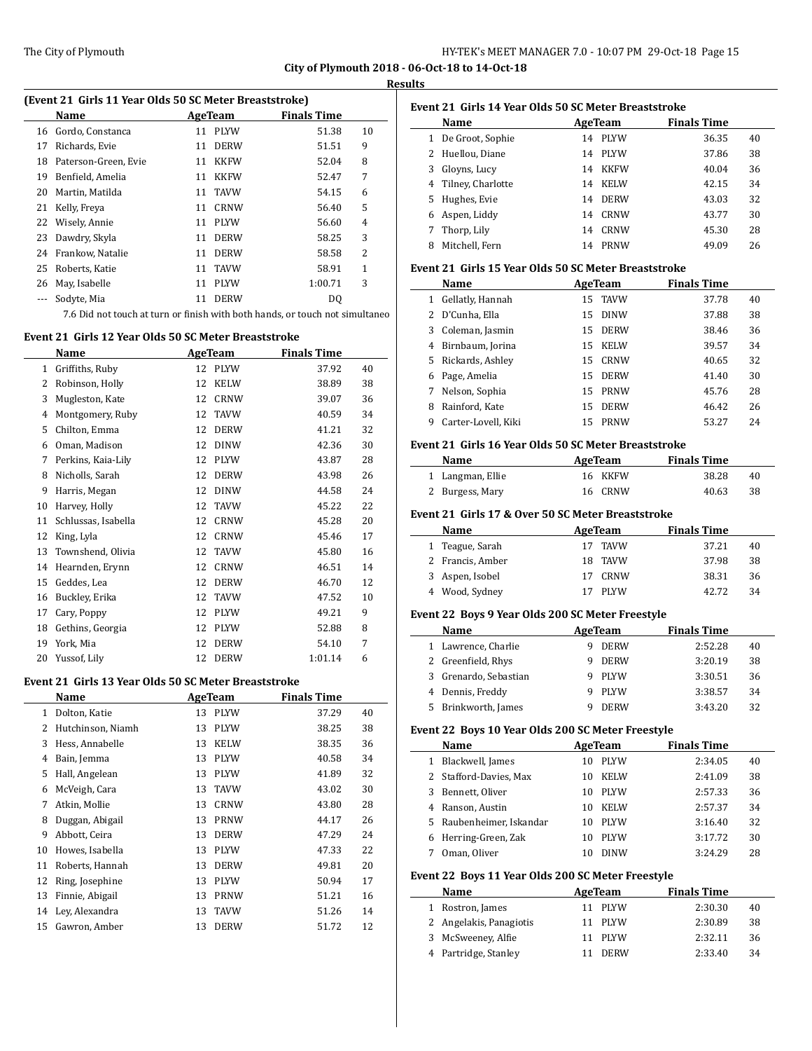$\frac{1}{2}$ 

# **Results**

| (Event 21 Girls 11 Year Olds 50 SC Meter Breaststroke) |                      |    |             |                    |    |  |  |  |
|--------------------------------------------------------|----------------------|----|-------------|--------------------|----|--|--|--|
|                                                        | Name                 |    | AgeTeam     | <b>Finals Time</b> |    |  |  |  |
| 16                                                     | Gordo, Constanca     | 11 | <b>PLYW</b> | 51.38              | 10 |  |  |  |
| 17                                                     | Richards, Evie       | 11 | <b>DERW</b> | 51.51              | 9  |  |  |  |
| 18                                                     | Paterson-Green, Evie | 11 | <b>KKFW</b> | 52.04              | 8  |  |  |  |
| 19                                                     | Benfield, Amelia     | 11 | <b>KKFW</b> | 52.47              | 7  |  |  |  |
| 20                                                     | Martin, Matilda      | 11 | TAVW        | 54.15              | 6  |  |  |  |
| 21                                                     | Kelly, Freya         | 11 | <b>CRNW</b> | 56.40              | 5  |  |  |  |
| 22                                                     | Wisely, Annie        | 11 | <b>PLYW</b> | 56.60              | 4  |  |  |  |
| 23                                                     | Dawdry, Skyla        | 11 | <b>DERW</b> | 58.25              | 3  |  |  |  |
| 24                                                     | Frankow, Natalie     | 11 | <b>DERW</b> | 58.58              | 2  |  |  |  |
| 25                                                     | Roberts, Katie       | 11 | <b>TAVW</b> | 58.91              | 1  |  |  |  |
| 26                                                     | May, Isabelle        | 11 | <b>PLYW</b> | 1:00.71            | 3  |  |  |  |
|                                                        | Sodyte, Mia          | 11 | <b>DERW</b> | DQ                 |    |  |  |  |
|                                                        |                      |    |             |                    |    |  |  |  |

7.6 Did not touch at turn or finish with both hands, or touch not simultaneo

# **Event 21 Girls 12 Year Olds 50 SC Meter Breaststroke**

|              | Name                | AgeTeam |             | <b>Finals Time</b> |    |
|--------------|---------------------|---------|-------------|--------------------|----|
| $\mathbf{1}$ | Griffiths, Ruby     | 12      | <b>PLYW</b> | 37.92              | 40 |
| 2            | Robinson, Holly     | 12      | <b>KELW</b> | 38.89              | 38 |
| 3            | Mugleston, Kate     | 12      | <b>CRNW</b> | 39.07              | 36 |
| 4            | Montgomery, Ruby    | 12      | <b>TAVW</b> | 40.59              | 34 |
| 5            | Chilton, Emma       | 12      | <b>DERW</b> | 41.21              | 32 |
| 6            | Oman, Madison       | 12      | <b>DINW</b> | 42.36              | 30 |
| 7            | Perkins, Kaia-Lily  | 12      | <b>PLYW</b> | 43.87              | 28 |
| 8            | Nicholls, Sarah     | 12      | <b>DERW</b> | 43.98              | 26 |
| 9            | Harris, Megan       | 12      | <b>DINW</b> | 44.58              | 24 |
| 10           | Harvey, Holly       | 12      | <b>TAVW</b> | 45.22              | 22 |
| 11           | Schlussas, Isabella | 12      | <b>CRNW</b> | 45.28              | 20 |
| 12           | King, Lyla          | 12      | <b>CRNW</b> | 45.46              | 17 |
| 13           | Townshend, Olivia   | 12      | <b>TAVW</b> | 45.80              | 16 |
| 14           | Hearnden, Erynn     | 12      | <b>CRNW</b> | 46.51              | 14 |
| 15           | Geddes, Lea         | 12      | <b>DERW</b> | 46.70              | 12 |
| 16           | Buckley, Erika      | 12      | <b>TAVW</b> | 47.52              | 10 |
| 17           | Cary, Poppy         | 12      | <b>PLYW</b> | 49.21              | 9  |
| 18           | Gethins, Georgia    | 12      | PLYW        | 52.88              | 8  |
| 19           | York, Mia           | 12      | <b>DERW</b> | 54.10              | 7  |
| 20           | Yussof, Lily        | 12      | <b>DERW</b> | 1:01.14            | 6  |

#### **Event 21 Girls 13 Year Olds 50 SC Meter Breaststroke**

|    | Name              |    | <b>AgeTeam</b> | <b>Finals Time</b> |    |
|----|-------------------|----|----------------|--------------------|----|
| 1  | Dolton, Katie     | 13 | <b>PLYW</b>    | 37.29              | 40 |
| 2  | Hutchinson, Niamh | 13 | <b>PLYW</b>    | 38.25              | 38 |
| 3  | Hess, Annabelle   | 13 | <b>KELW</b>    | 38.35              | 36 |
| 4  | Bain, Jemma       | 13 | <b>PLYW</b>    | 40.58              | 34 |
| 5  | Hall, Angelean    | 13 | <b>PLYW</b>    | 41.89              | 32 |
| 6  | McVeigh, Cara     | 13 | <b>TAVW</b>    | 43.02              | 30 |
| 7  | Atkin, Mollie     | 13 | <b>CRNW</b>    | 43.80              | 28 |
| 8  | Duggan, Abigail   | 13 | <b>PRNW</b>    | 44.17              | 26 |
| 9  | Abbott, Ceira     | 13 | <b>DERW</b>    | 47.29              | 24 |
| 10 | Howes, Isabella   | 13 | <b>PLYW</b>    | 47.33              | 22 |
| 11 | Roberts, Hannah   | 13 | <b>DERW</b>    | 49.81              | 20 |
| 12 | Ring, Josephine   | 13 | <b>PLYW</b>    | 50.94              | 17 |
| 13 | Finnie, Abigail   | 13 | <b>PRNW</b>    | 51.21              | 16 |
| 14 | Lev, Alexandra    | 13 | <b>TAVW</b>    | 51.26              | 14 |
| 15 | Gawron, Amber     | 13 | <b>DERW</b>    | 51.72              | 12 |
|    |                   |    |                |                    |    |

| Event 21 Girls 14 Year Olds 50 SC Meter Breaststroke |                   |    |             |                    |    |
|------------------------------------------------------|-------------------|----|-------------|--------------------|----|
|                                                      | Name              |    | AgeTeam     | <b>Finals Time</b> |    |
| 1                                                    | De Groot, Sophie  | 14 | <b>PLYW</b> | 36.35              | 40 |
|                                                      | 2 Huellou, Diane  | 14 | <b>PLYW</b> | 37.86              | 38 |
| 3                                                    | Gloyns, Lucy      | 14 | <b>KKFW</b> | 40.04              | 36 |
| 4                                                    | Tilney, Charlotte | 14 | <b>KELW</b> | 42.15              | 34 |
| 5.                                                   | Hughes, Evie      | 14 | <b>DERW</b> | 43.03              | 32 |
| 6                                                    | Aspen, Liddy      | 14 | CRNW        | 43.77              | 30 |
|                                                      | Thorp, Lily       | 14 | CRNW        | 45.30              | 28 |
| 8                                                    | Mitchell, Fern    | 14 | PRNW        | 49.09              | 26 |

#### **Event 21 Girls 15 Year Olds 50 SC Meter Breaststroke**

|    | Name                |    | AgeTeam     | <b>Finals Time</b> |    |
|----|---------------------|----|-------------|--------------------|----|
| 1  | Gellatly, Hannah    |    | 15 TAVW     | 37.78              | 40 |
|    | D'Cunha, Ella       | 15 | <b>DINW</b> | 37.88              | 38 |
| 3  | Coleman, Jasmin     | 15 | <b>DERW</b> | 38.46              | 36 |
| 4  | Birnbaum, Jorina    | 15 | <b>KELW</b> | 39.57              | 34 |
| 5. | Rickards, Ashley    | 15 | CRNW        | 40.65              | 32 |
| 6  | Page, Amelia        | 15 | <b>DERW</b> | 41.40              | 30 |
| 7  | Nelson, Sophia      | 15 | PRNW        | 45.76              | 28 |
| 8  | Rainford, Kate      | 15 | <b>DERW</b> | 46.42              | 26 |
| 9  | Carter-Lovell, Kiki | 15 | <b>PRNW</b> | 53.27              | 24 |

#### **Event 21 Girls 16 Year Olds 50 SC Meter Breaststroke**

| <b>Name</b>      | AgeTeam | <b>Finals Time</b> |     |
|------------------|---------|--------------------|-----|
| 1 Langman, Ellie | 16 KKFW | 38.28              | 40  |
| 2 Burgess, Mary  | 16 CRNW | 40.63              | -38 |

#### **Event 21 Girls 17 & Over 50 SC Meter Breaststroke**

| Name             | AgeTeam    | <b>Finals Time</b> |    |
|------------------|------------|--------------------|----|
| 1 Teague, Sarah  | 17 TAVW    | 37.21              | 40 |
| 2 Francis, Amber | 18 TAVW    | 37.98              | 38 |
| 3 Aspen, Isobel  | 17 CRNW    | 38.31              | 36 |
| 4 Wood, Sydney   | PLYW<br>17 | 42.72              | 34 |

#### **Event 22 Boys 9 Year Olds 200 SC Meter Freestyle**

|   | Name                | AgeTeam |             | <b>Finals Time</b> |    |
|---|---------------------|---------|-------------|--------------------|----|
|   | 1 Lawrence, Charlie |         | <b>DERW</b> | 2:52.28            | 40 |
|   | 2 Greenfield, Rhys  |         | <b>DERW</b> | 3:20.19            | 38 |
| 3 | Grenardo, Sebastian |         | <b>PLYW</b> | 3:30.51            | 36 |
|   | 4 Dennis, Freddy    |         | <b>PLYW</b> | 3:38.57            | 34 |
|   | Brinkworth, James   |         | <b>DERW</b> | 3:43.20            | 32 |

## **Event 22 Boys 10 Year Olds 200 SC Meter Freestyle**

|    | Name                     | AgeTeam |             | <b>Finals Time</b> |    |
|----|--------------------------|---------|-------------|--------------------|----|
| 1  | Blackwell, James         | 10      | <b>PLYW</b> | 2:34.05            | 40 |
|    | 2 Stafford-Davies, Max   | 10      | <b>KELW</b> | 2:41.09            | 38 |
| 3. | Bennett, Oliver          | 10      | <b>PLYW</b> | 2:57.33            | 36 |
| 4  | Ranson, Austin           | 10      | <b>KELW</b> | 2:57.37            | 34 |
|    | 5 Raubenheimer, Iskandar | 10      | <b>PLYW</b> | 3:16.40            | 32 |
| 6. | Herring-Green, Zak       | 10      | <b>PLYW</b> | 3:17.72            | 30 |
|    | Oman, Oliver             | 10      | <b>DINW</b> | 3.24.29            | 28 |
|    |                          |         |             |                    |    |

# **Event 22 Boys 11 Year Olds 200 SC Meter Freestyle**

| AgeTeam<br><b>Name</b>  |             | <b>Finals Time</b> |    |
|-------------------------|-------------|--------------------|----|
| Rostron, James          | 11 PLYW     | 2:30.30            | 40 |
| 2 Angelakis, Panagiotis | 11 PLYW     | 2:30.89            | 38 |
| 3 McSweeney, Alfie      | 11 PLYW     | 2:32.11            | 36 |
| 4 Partridge, Stanley    | <b>DERW</b> | 2:33.40            | 34 |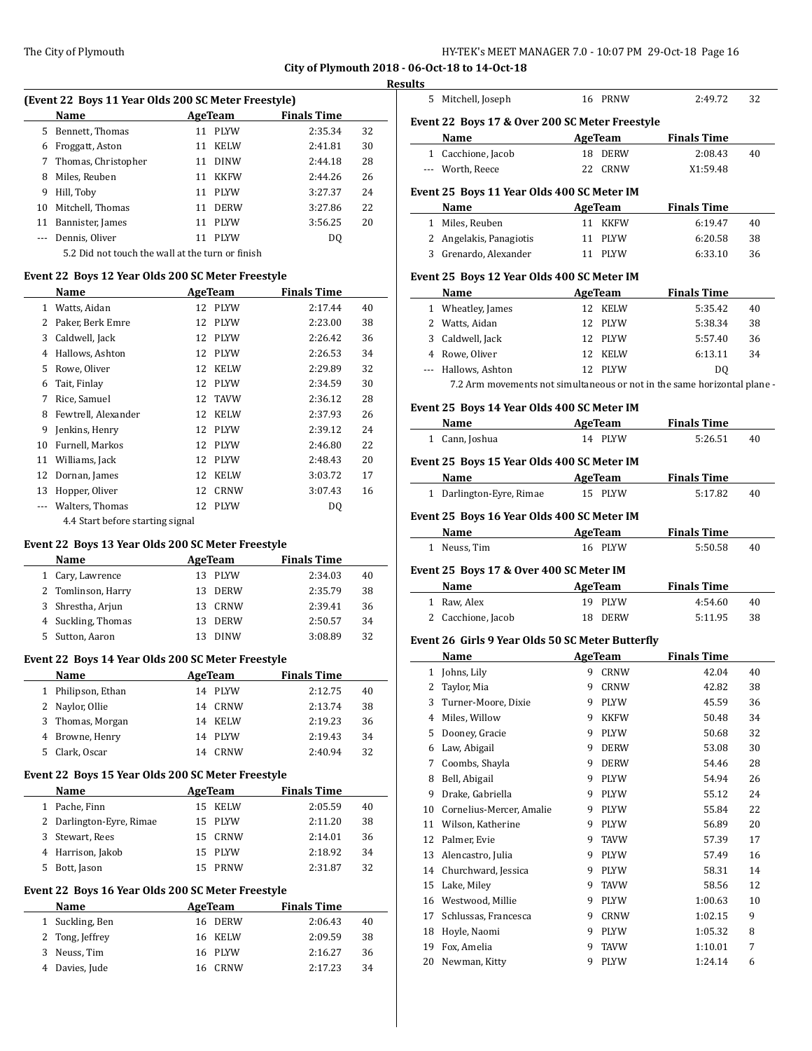#### **Results**

| (Event 22 Boys 11 Year Olds 200 SC Meter Freestyle) |                                                  |    |             |                    |    |  |
|-----------------------------------------------------|--------------------------------------------------|----|-------------|--------------------|----|--|
|                                                     | Name                                             |    | AgeTeam     | <b>Finals Time</b> |    |  |
| 5                                                   | Bennett, Thomas                                  | 11 | <b>PLYW</b> | 2:35.34            | 32 |  |
| 6                                                   | Froggatt, Aston                                  | 11 | <b>KELW</b> | 2:41.81            | 30 |  |
| 7                                                   | Thomas, Christopher                              | 11 | <b>DINW</b> | 2:44.18            | 28 |  |
| 8                                                   | Miles, Reuben                                    | 11 | KKFW        | 2:44.26            | 26 |  |
| 9                                                   | Hill, Toby                                       | 11 | <b>PLYW</b> | 3:27.37            | 24 |  |
| 10                                                  | Mitchell, Thomas                                 | 11 | <b>DERW</b> | 3:27.86            | 22 |  |
| 11                                                  | Bannister, James                                 | 11 | <b>PLYW</b> | 3:56.25            | 20 |  |
| $\frac{1}{2}$                                       | Dennis, Oliver                                   | 11 | <b>PLYW</b> | DO                 |    |  |
|                                                     | 5.2 Did not touch the wall at the turn or finish |    |             |                    |    |  |

## **Event 22 Boys 12 Year Olds 200 SC Meter Freestyle**

|              | Name                             | <b>AgeTeam</b> |             | <b>Finals Time</b> |    |
|--------------|----------------------------------|----------------|-------------|--------------------|----|
| $\mathbf{1}$ | Watts, Aidan                     | 12             | <b>PLYW</b> | 2:17.44            | 40 |
| 2            | Paker, Berk Emre                 | 12             | <b>PLYW</b> | 2:23.00            | 38 |
| 3            | Caldwell, Jack                   | 12             | <b>PLYW</b> | 2:26.42            | 36 |
| 4            | Hallows, Ashton                  | 12             | <b>PLYW</b> | 2:26.53            | 34 |
| 5            | Rowe, Oliver                     | 12             | <b>KELW</b> | 2:29.89            | 32 |
| 6            | Tait, Finlay                     | 12             | <b>PLYW</b> | 2:34.59            | 30 |
| 7            | Rice, Samuel                     | 12             | <b>TAVW</b> | 2:36.12            | 28 |
| 8            | Fewtrell, Alexander              | 12             | <b>KELW</b> | 2:37.93            | 26 |
| 9            | Jenkins, Henry                   | 12             | <b>PLYW</b> | 2:39.12            | 24 |
| 10           | Furnell, Markos                  | 12             | <b>PLYW</b> | 2:46.80            | 22 |
| 11           | Williams, Jack                   | 12             | PLYW        | 2:48.43            | 20 |
| 12           | Dornan, James                    | 12             | <b>KELW</b> | 3:03.72            | 17 |
| 13           | Hopper, Oliver                   | 12             | <b>CRNW</b> | 3:07.43            | 16 |
| $---$        | Walters, Thomas                  | 12             | PLYW        | DQ                 |    |
|              | 4.4 Start before starting signal |                |             |                    |    |

## **Event 22 Boys 13 Year Olds 200 SC Meter Freestyle**

|    | Name               | AgeTeam |             | <b>Finals Time</b> |    |
|----|--------------------|---------|-------------|--------------------|----|
|    | 1 Cary, Lawrence   |         | 13 PLYW     | 2:34.03            | 40 |
|    | 2 Tomlinson, Harry | 13.     | DERW        | 2:35.79            | 38 |
|    | 3 Shrestha, Arjun  | 13.     | CRNW        | 2:39.41            | 36 |
|    | 4 Suckling, Thomas |         | 13 DERW     | 2:50.57            | 34 |
| 5. | Sutton, Aaron      | 13.     | <b>DINW</b> | 3:08.89            | 32 |

# **Event 22 Boys 14 Year Olds 200 SC Meter Freestyle**

 $\overline{a}$ 

 $\overline{a}$ 

 $\overline{\phantom{0}}$ 

| Name               | AgeTeam |         | <b>Finals Time</b> |    |
|--------------------|---------|---------|--------------------|----|
| 1 Philipson, Ethan |         | 14 PLYW | 2:12.75            | 40 |
| 2 Naylor, Ollie    |         | 14 CRNW | 2:13.74            | 38 |
| 3 Thomas, Morgan   |         | 14 KELW | 2:19.23            | 36 |
| 4 Browne, Henry    |         | 14 PLYW | 2:19.43            | 34 |
| Clark, Oscar       | 14      | CRNW    | 2:40.94            | 32 |

## **Event 22 Boys 15 Year Olds 200 SC Meter Freestyle**

|   | Name                     | AgeTeam     | <b>Finals Time</b> |    |
|---|--------------------------|-------------|--------------------|----|
|   | Pache, Finn              | KELW<br>15. | 2:05.59            | 40 |
|   | 2 Darlington-Eyre, Rimae | 15 PLYW     | 2:11.20            | 38 |
| 3 | Stewart, Rees            | CRNW<br>15. | 2:14.01            | 36 |
|   | 4 Harrison, Jakob        | 15 PLYW     | 2:18.92            | 34 |
|   | Bott, Jason              | <b>PRNW</b> | 2:31.87            | 32 |

## **Event 22 Boys 16 Year Olds 200 SC Meter Freestyle**

| Name            |  |                                                     |                                                                |
|-----------------|--|-----------------------------------------------------|----------------------------------------------------------------|
| 1 Suckling, Ben |  |                                                     | 40                                                             |
| 2 Tong, Jeffrey |  |                                                     | 38                                                             |
| Neuss, Tim      |  |                                                     | 36                                                             |
| 4 Davies, Jude  |  |                                                     | 34                                                             |
|                 |  | AgeTeam<br>16 DERW<br>16 KELW<br>16 PLYW<br>16 CRNW | <b>Finals Time</b><br>2:06.43<br>2:09.59<br>2:16.27<br>2.17.23 |

|          | 5 Mitchell, Joseph                                                       |   | 16 PRNW             | 2:49.72            | 32     |
|----------|--------------------------------------------------------------------------|---|---------------------|--------------------|--------|
|          |                                                                          |   |                     |                    |        |
|          | Event 22 Boys 17 & Over 200 SC Meter Freestyle                           |   |                     |                    |        |
|          | Name                                                                     |   | AgeTeam             | <b>Finals Time</b> |        |
|          | 1 Cacchione, Jacob                                                       |   | 18 DERW             | 2:08.43            | 40     |
|          | --- Worth, Reece                                                         |   | 22 CRNW             | X1:59.48           |        |
|          |                                                                          |   |                     |                    |        |
|          | Event 25 Boys 11 Year Olds 400 SC Meter IM                               |   |                     |                    |        |
|          | Name                                                                     |   | AgeTeam             | <b>Finals Time</b> |        |
|          | 1 Miles, Reuben                                                          |   | 11 KKFW             | 6:19.47            | 40     |
|          | 2 Angelakis, Panagiotis                                                  |   | 11 PLYW             | 6:20.58            | 38     |
|          | 3 Grenardo, Alexander                                                    |   | 11 PLYW             | 6:33.10            | 36     |
|          | Event 25 Boys 12 Year Olds 400 SC Meter IM                               |   |                     |                    |        |
|          | Name                                                                     |   | AgeTeam             | <b>Finals Time</b> |        |
|          | 1 Wheatley, James                                                        |   | 12 KELW             | 5:35.42            | 40     |
|          | 2 Watts, Aidan                                                           |   | 12 PLYW             | 5:38.34            | 38     |
|          | 3 Caldwell, Jack                                                         |   | 12 PLYW             | 5:57.40            | 36     |
|          | 4 Rowe, Oliver                                                           |   | 12 KELW             | 6:13.11            | 34     |
|          | --- Hallows, Ashton                                                      |   | 12 PLYW             | DQ                 |        |
|          | 7.2 Arm movements not simultaneous or not in the same horizontal plane - |   |                     |                    |        |
|          | Event 25 Boys 14 Year Olds 400 SC Meter IM                               |   |                     |                    |        |
|          | Name AgeTeam                                                             |   |                     | <b>Finals Time</b> |        |
|          | 1 Cann, Joshua                                                           |   | 14 PLYW             | 5:26.51            | 40     |
|          |                                                                          |   |                     |                    |        |
|          | Event 25 Boys 15 Year Olds 400 SC Meter IM                               |   |                     |                    |        |
|          | Name                                                                     |   | AgeTeam             | <b>Finals Time</b> |        |
|          |                                                                          |   |                     |                    |        |
|          | 1 Darlington-Eyre, Rimae                                                 |   | 15 PLYW             | 5:17.82            | 40     |
|          | Event 25 Boys 16 Year Olds 400 SC Meter IM                               |   |                     |                    |        |
|          |                                                                          |   |                     |                    |        |
|          | Name                                                                     |   | AgeTeam             | <b>Finals Time</b> |        |
|          | 1 Neuss, Tim                                                             |   | 16 PLYW             | 5:50.58            | 40     |
|          | Event 25 Boys 17 & Over 400 SC Meter IM                                  |   |                     |                    |        |
|          | Name                                                                     |   | AgeTeam             | <b>Finals Time</b> |        |
|          | 1 Raw, Alex                                                              |   | 19 PLYW             | 4:54.60            | 40     |
|          | 2 Cacchione, Jacob                                                       |   | 18 DERW             | 5:11.95            | 38     |
|          |                                                                          |   |                     |                    |        |
|          | Event 26 Girls 9 Year Olds 50 SC Meter Butterfly                         |   |                     |                    |        |
|          | Name                                                                     |   | AgeTeam             | <b>Finals Time</b> |        |
|          | 1 Johns, Lily                                                            |   | 9 CRNW              | 42.04              | 40     |
| 2        | Taylor, Mia                                                              | 9 | CRNW                | 42.82              | 38     |
| 3        | Turner-Moore, Dixie                                                      | 9 | PLYW                | 45.59              | 36     |
| 4        | Miles, Willow                                                            | 9 | KKFW                | 50.48              | 34     |
| 5        | Dooney, Gracie                                                           | 9 | PLYW                | 50.68              | 32     |
| 6        | Law, Abigail                                                             | 9 | <b>DERW</b>         | 53.08              | 30     |
| 7        | Coombs, Shayla                                                           | 9 | DERW                | 54.46              | 28     |
| 8        | Bell, Abigail                                                            | 9 | PLYW                |                    | 26     |
|          |                                                                          | 9 |                     | 54.94              |        |
| 9        | Drake, Gabriella                                                         |   | PLYW                | 55.12              | 24     |
| 10       | Cornelius-Mercer, Amalie                                                 | 9 | PLYW                | 55.84              | 22     |
| 11       | Wilson, Katherine                                                        | 9 | PLYW                | 56.89              | 20     |
| 12       | Palmer, Evie                                                             | 9 | TAVW                | 57.39              | 17     |
| 13       | Alencastro, Julia                                                        | 9 | PLYW                | 57.49              | 16     |
| 14       | Churchward, Jessica                                                      | 9 | PLYW                | 58.31              | 14     |
| 15       | Lake, Miley                                                              | 9 | TAVW                | 58.56              | 12     |
| 16       | Westwood, Millie                                                         | 9 | PLYW                | 1:00.63            | 10     |
| 17       | Schlussas, Francesca                                                     | 9 | CRNW                | 1:02.15            | 9      |
| 18       | Hoyle, Naomi                                                             | 9 | PLYW                | 1:05.32            | 8      |
|          |                                                                          | 9 |                     |                    |        |
| 19<br>20 | Fox, Amelia<br>Newman, Kitty                                             | 9 | TAVW<br><b>PLYW</b> | 1:10.01<br>1:24.14 | 7<br>6 |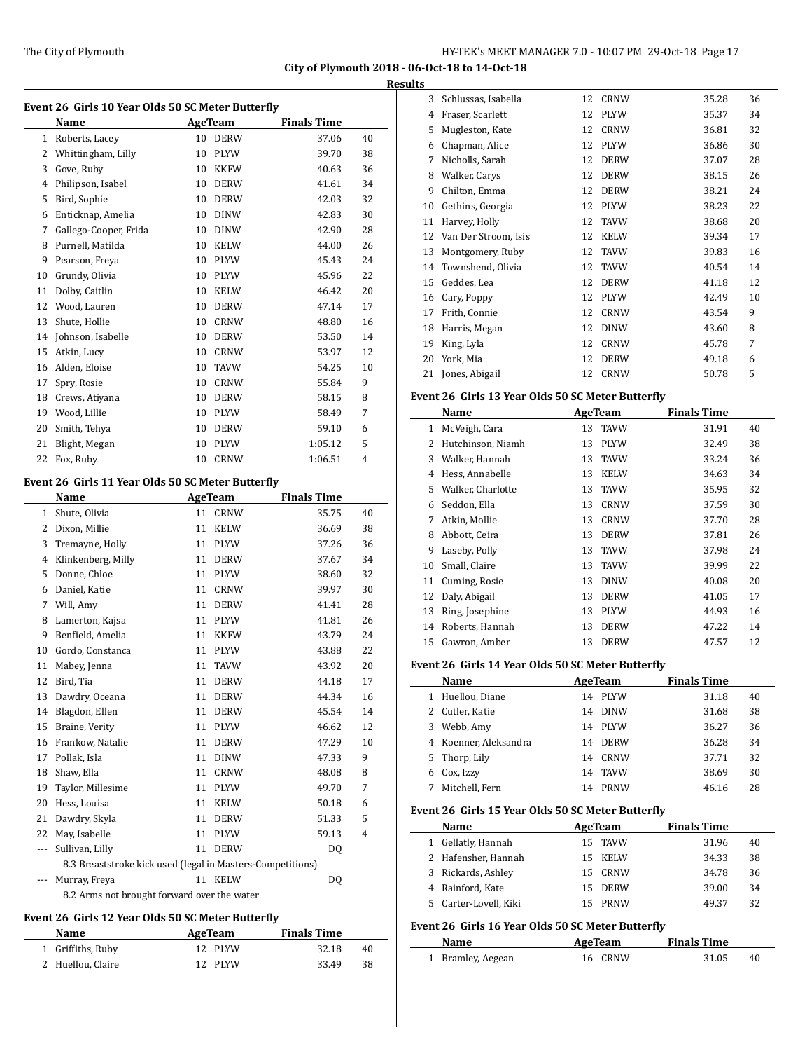$\overline{\phantom{0}}$ 

 $\overline{\phantom{a}}$ 

|              | Event 26 Girls 10 Year Olds 50 SC Meter Butterfly          |                |                |                    |    |
|--------------|------------------------------------------------------------|----------------|----------------|--------------------|----|
|              | Name                                                       | <b>AgeTeam</b> |                | <b>Finals Time</b> |    |
| $\mathbf{1}$ | Roberts, Lacey                                             | 10             | <b>DERW</b>    | 37.06              | 40 |
| 2            | Whittingham, Lilly                                         | 10             | PLYW           | 39.70              | 38 |
| 3            | Gove, Ruby                                                 | 10             | <b>KKFW</b>    | 40.63              | 36 |
| 4            | Philipson, Isabel                                          | 10             | <b>DERW</b>    | 41.61              | 34 |
| 5            | Bird, Sophie                                               | 10             | <b>DERW</b>    | 42.03              | 32 |
| 6            | Enticknap, Amelia                                          | 10             | <b>DINW</b>    | 42.83              | 30 |
| 7            | Gallego-Cooper, Frida                                      | 10             | <b>DINW</b>    | 42.90              | 28 |
| 8            | Purnell, Matilda                                           | 10             | <b>KELW</b>    | 44.00              | 26 |
| 9            | Pearson, Freva                                             | 10             | PLYW           | 45.43              | 24 |
| 10           | Grundy, Olivia                                             |                | 10 PLYW        | 45.96              | 22 |
| 11           | Dolby, Caitlin                                             |                | 10 KELW        | 46.42              | 20 |
| 12           | Wood, Lauren                                               | 10             | DERW           | 47.14              | 17 |
| 13           | Shute, Hollie                                              | 10             | <b>CRNW</b>    | 48.80              | 16 |
| 14           | Johnson, Isabelle                                          | 10             | <b>DERW</b>    | 53.50              | 14 |
| 15           | Atkin, Lucy                                                | 10             | <b>CRNW</b>    | 53.97              | 12 |
| 16           | Alden, Eloise                                              | 10             | <b>TAVW</b>    | 54.25              | 10 |
| 17           | Spry, Rosie                                                | 10             | <b>CRNW</b>    | 55.84              | 9  |
| 18           | Crews, Atiyana                                             | 10             | <b>DERW</b>    | 58.15              | 8  |
| 19           | Wood, Lillie                                               | 10             | <b>PLYW</b>    | 58.49              | 7  |
| 20           | Smith, Tehya                                               | 10             | <b>DERW</b>    | 59.10              | 6  |
| 21           | Blight, Megan                                              | 10             | PLYW           | 1:05.12            | 5  |
| 22           | Fox, Ruby                                                  | 10             | <b>CRNW</b>    | 1:06.51            | 4  |
|              |                                                            |                |                |                    |    |
|              | Event 26 Girls 11 Year Olds 50 SC Meter Butterfly          |                |                |                    |    |
|              | Name                                                       |                | <b>AgeTeam</b> | <b>Finals Time</b> |    |
| 1            | Shute, Olivia                                              | 11             | <b>CRNW</b>    | 35.75              | 40 |
| 2            | Dixon, Millie                                              | 11             | <b>KELW</b>    | 36.69              | 38 |
| 3            | Tremayne, Holly                                            | 11             | PLYW           | 37.26              | 36 |
| 4            | Klinkenberg, Milly                                         | 11             | <b>DERW</b>    | 37.67              | 34 |
| 5            | Donne, Chloe                                               | 11             | <b>PLYW</b>    | 38.60              | 32 |
| 6            | Daniel, Katie                                              | 11             | <b>CRNW</b>    | 39.97              | 30 |
| 7            | Will, Amy                                                  | 11             | <b>DERW</b>    | 41.41              | 28 |
| 8            | Lamerton, Kajsa                                            | 11             | <b>PLYW</b>    | 41.81              | 26 |
| 9            | Benfield, Amelia                                           | 11             | <b>KKFW</b>    | 43.79              | 24 |
| 10           | Gordo, Constanca                                           | 11             | <b>PLYW</b>    | 43.88              | 22 |
| 11           | Mabey, Jenna                                               | 11             | <b>TAVW</b>    | 43.92              | 20 |
| 12           | Bird, Tia                                                  | 11             | <b>DERW</b>    | 44.18              | 17 |
| 13           | Dawdry, Oceana                                             | 11             | DERW           | 44.34              | 16 |
| 14           | Blagdon, Ellen                                             | 11             | DERW           | 45.54              | 14 |
| 15           | Braine, Verity                                             | 11             | PLYW           | 46.62              | 12 |
| 16           | Frankow, Natalie                                           | 11             | <b>DERW</b>    | 47.29              | 10 |
| 17           | Pollak, Isla                                               | 11             | <b>DINW</b>    | 47.33              | 9  |
| 18           | Shaw, Ella                                                 | 11             | CRNW           | 48.08              | 8  |
| 19           | Taylor, Millesime                                          | 11             | PLYW           | 49.70              | 7  |
| 20           | Hess, Louisa                                               | 11             | KELW           | 50.18              | 6  |
| 21           | Dawdry, Skyla                                              | 11             | DERW           | 51.33              | 5  |
| 22           | May, Isabelle                                              | 11             | PLYW           | 59.13              | 4  |
| ---          | Sullivan, Lilly                                            | 11             | DERW           | DQ                 |    |
|              | 8.3 Breaststroke kick used (legal in Masters-Competitions) |                |                |                    |    |
| ---          | Murray, Freya                                              |                | 11 KELW        | DQ                 |    |
|              | 8.2 Arms not brought forward over the water                |                |                |                    |    |
|              |                                                            |                |                |                    |    |

#### **Event 26 Girls 12 Year Olds 50 SC Meter Butterfly**

| Name              | AgeTeam | <b>Finals Time</b> |     |
|-------------------|---------|--------------------|-----|
| 1 Griffiths, Ruby | 12 PLYW | 32.18              | 40  |
| 2 Huellou, Claire | 12 PLYW | 33.49              | -38 |

| 3  | Schlussas, Isabella  | 12 | <b>CRNW</b> | 35.28 | 36 |
|----|----------------------|----|-------------|-------|----|
| 4  | Fraser, Scarlett     | 12 | <b>PLYW</b> | 35.37 | 34 |
| 5  | Mugleston, Kate      | 12 | <b>CRNW</b> | 36.81 | 32 |
| 6  | Chapman, Alice       | 12 | <b>PLYW</b> | 36.86 | 30 |
| 7  | Nicholls, Sarah      | 12 | <b>DERW</b> | 37.07 | 28 |
| 8  | Walker, Carys        | 12 | <b>DERW</b> | 38.15 | 26 |
| 9  | Chilton, Emma        | 12 | <b>DERW</b> | 38.21 | 24 |
| 10 | Gethins, Georgia     | 12 | <b>PLYW</b> | 38.23 | 22 |
| 11 | Harvey, Holly        | 12 | <b>TAVW</b> | 38.68 | 20 |
| 12 | Van Der Stroom, Isis | 12 | <b>KELW</b> | 39.34 | 17 |
| 13 | Montgomery, Ruby     | 12 | <b>TAVW</b> | 39.83 | 16 |
| 14 | Townshend, Olivia    | 12 | <b>TAVW</b> | 40.54 | 14 |
| 15 | Geddes, Lea          | 12 | <b>DERW</b> | 41.18 | 12 |
| 16 | Cary, Poppy          | 12 | <b>PLYW</b> | 42.49 | 10 |
| 17 | Frith, Connie        | 12 | <b>CRNW</b> | 43.54 | 9  |
| 18 | Harris, Megan        | 12 | <b>DINW</b> | 43.60 | 8  |
| 19 | King, Lyla           | 12 | <b>CRNW</b> | 45.78 | 7  |
| 20 | York, Mia            | 12 | <b>DERW</b> | 49.18 | 6  |
| 21 | Jones, Abigail       | 12 | <b>CRNW</b> | 50.78 | 5  |

## **Event 26 Girls 13 Year Olds 50 SC Meter Butterfly**

|    | Name              |    | <b>AgeTeam</b> | <b>Finals Time</b> |    |
|----|-------------------|----|----------------|--------------------|----|
| 1  | McVeigh, Cara     | 13 | <b>TAVW</b>    | 31.91              | 40 |
| 2  | Hutchinson, Niamh | 13 | <b>PLYW</b>    | 32.49              | 38 |
| 3  | Walker, Hannah    | 13 | <b>TAVW</b>    | 33.24              | 36 |
| 4  | Hess, Annabelle   | 13 | <b>KELW</b>    | 34.63              | 34 |
| 5  | Walker, Charlotte | 13 | <b>TAVW</b>    | 35.95              | 32 |
| 6  | Seddon, Ella      | 13 | <b>CRNW</b>    | 37.59              | 30 |
| 7  | Atkin, Mollie     | 13 | <b>CRNW</b>    | 37.70              | 28 |
| 8  | Abbott, Ceira     | 13 | <b>DERW</b>    | 37.81              | 26 |
| 9  | Laseby, Polly     | 13 | <b>TAVW</b>    | 37.98              | 24 |
| 10 | Small, Claire     | 13 | <b>TAVW</b>    | 39.99              | 22 |
| 11 | Cuming, Rosie     | 13 | <b>DINW</b>    | 40.08              | 20 |
| 12 | Daly, Abigail     | 13 | <b>DERW</b>    | 41.05              | 17 |
| 13 | Ring, Josephine   | 13 | <b>PLYW</b>    | 44.93              | 16 |
| 14 | Roberts, Hannah   | 13 | <b>DERW</b>    | 47.22              | 14 |
| 15 | Gawron, Amber     | 13 | <b>DERW</b>    | 47.57              | 12 |

#### **Event 26 Girls 14 Year Olds 50 SC Meter Butterfly**

|   | Name                  | AgeTeam | <b>Finals Time</b> |    |
|---|-----------------------|---------|--------------------|----|
|   | 1 Huellou, Diane      | 14 PLYW | 31.18              | 40 |
|   | 2 Cutler, Katie       | 14 DINW | 31.68              | 38 |
|   | 3 Webb, Amy           | 14 PLYW | 36.27              | 36 |
|   | 4 Koenner, Aleksandra | 14 DERW | 36.28              | 34 |
|   | 5 Thorp, Lily         | 14 CRNW | 37.71              | 32 |
| 6 | Cox, Izzy             | 14 TAVW | 38.69              | 30 |
|   | Mitchell, Fern        | 14 PRNW | 46.16              | 28 |

## **Event 26 Girls 15 Year Olds 50 SC Meter Butterfly**

| Name                  | AgeTeam | <b>Finals Time</b> |    |  |
|-----------------------|---------|--------------------|----|--|
| 1 Gellatly, Hannah    | 15 TAVW | 31.96              | 40 |  |
| 2 Hafensher, Hannah   | 15 KELW | 34.33              | 38 |  |
| 3 Rickards, Ashley    | 15 CRNW | 34.78              | 36 |  |
| 4 Rainford, Kate      | 15 DERW | 39.00              | 34 |  |
| 5 Carter-Lovell, Kiki | PRNW    | 49.37              | 32 |  |

# **Event 26 Girls 16 Year Olds 50 SC Meter Butterfly**

| Name              | AgeTeam | <b>Finals Time</b> |    |
|-------------------|---------|--------------------|----|
| 1 Bramley, Aegean | 16 CRNW | 31.05              | 40 |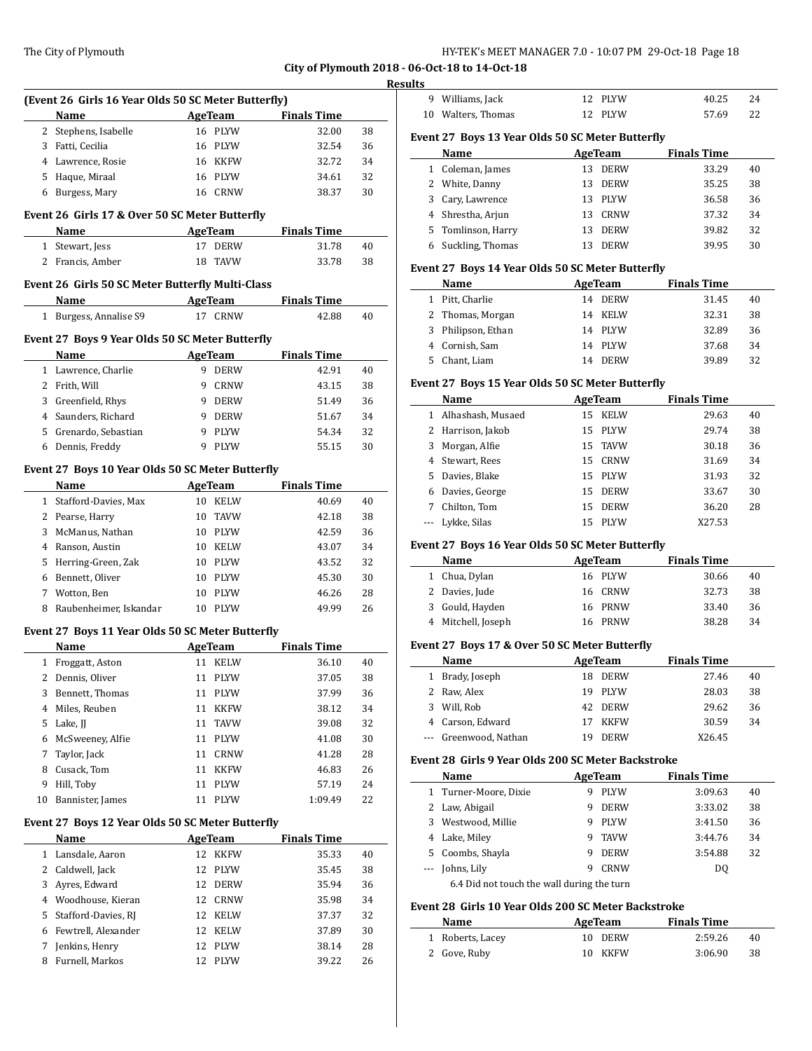|  | HY-TEK's MEET MANAGER 7.0 - 10:07 PM 29-Oct-18 Page 18 |
|--|--------------------------------------------------------|

|    |                                                     |    |                           |                             |    | resul |
|----|-----------------------------------------------------|----|---------------------------|-----------------------------|----|-------|
|    | (Event 26 Girls 16 Year Olds 50 SC Meter Butterfly) |    |                           |                             |    |       |
|    | Name                                                |    | AgeTeam                   | <b>Finals Time</b>          |    |       |
|    | 2 Stephens, Isabelle                                |    | 16 PLYW                   | 32.00                       | 38 | I     |
|    | 3 Fatti, Cecilia                                    |    | 16 PLYW                   | 32.54                       | 36 |       |
|    | 4 Lawrence, Rosie                                   |    | 16 KKFW                   | 32.72                       | 34 |       |
|    | 5 Haque, Miraal                                     |    | 16 PLYW                   | 34.61                       | 32 |       |
|    | 6 Burgess, Mary                                     |    | 16 CRNW                   | 38.37                       | 30 |       |
|    | Event 26 Girls 17 & Over 50 SC Meter Butterfly      |    |                           |                             |    |       |
|    | Name                                                |    | <b>AgeTeam</b>            | <b>Finals Time</b>          |    |       |
|    | 1 Stewart, Jess                                     |    | 17 DERW                   | 31.78                       | 40 |       |
|    | 2 Francis, Amber                                    | 18 | TAVW                      | 33.78                       | 38 | F     |
|    | Event 26 Girls 50 SC Meter Butterfly Multi-Class    |    |                           |                             |    |       |
|    | Name                                                |    | AgeTeam                   | <b>Finals Time</b>          |    |       |
|    | 1 Burgess, Annalise S9                              |    | 17 CRNW                   | 42.88                       | 40 |       |
|    | Event 27 Boys 9 Year Olds 50 SC Meter Butterfly     |    |                           |                             |    |       |
|    | Name                                                |    | <b>AgeTeam</b>            | <b>Finals Time</b>          |    |       |
|    | 1 Lawrence, Charlie                                 |    | 9 DERW                    | 42.91                       | 40 |       |
|    | 2 Frith, Will                                       |    | 9 CRNW                    | 43.15                       | 38 | I     |
|    | 3 Greenfield, Rhys                                  |    | 9 DERW                    | 51.49                       | 36 |       |
|    | 4 Saunders, Richard                                 |    | 9 DERW                    | 51.67                       | 34 |       |
|    | 5 Grenardo, Sebastian                               |    | 9 PLYW                    | 54.34                       | 32 |       |
|    | 6 Dennis, Freddy                                    |    | 9 PLYW                    | 55.15                       | 30 |       |
|    |                                                     |    |                           |                             |    |       |
|    | Event 27 Boys 10 Year Olds 50 SC Meter Butterfly    |    |                           |                             |    |       |
|    | Name<br>1 Stafford-Davies, Max                      |    | <b>AgeTeam</b><br>10 KELW | <b>Finals Time</b><br>40.69 | 40 |       |
|    |                                                     |    |                           |                             |    |       |
|    | 2 Pearse, Harry                                     |    | 10 TAVW                   | 42.18                       | 38 |       |
|    | 3 McManus, Nathan                                   |    | 10 PLYW                   | 42.59                       | 36 | F     |
|    | 4 Ranson, Austin                                    |    | 10 KELW                   | 43.07                       | 34 |       |
|    | 5 Herring-Green, Zak                                |    | 10 PLYW                   | 43.52                       | 32 |       |
|    | 6 Bennett, Oliver                                   |    | 10 PLYW                   | 45.30                       | 30 |       |
|    | 7 Wotton, Ben                                       |    | 10 PLYW                   | 46.26                       | 28 |       |
| 8  | Raubenheimer, Iskandar                              |    | 10 PLYW                   | 49.99                       | 26 |       |
|    | Event 27 Boys 11 Year Olds 50 SC Meter Butterfly    |    |                           |                             |    |       |
|    | <b>Name</b>                                         |    | <b>AgeTeam</b>            | <b>Finals Time</b>          |    | I     |
|    | 1 Froggatt, Aston                                   |    | 11 KELW                   | 36.10                       | 40 |       |
|    | 2 Dennis, Oliver                                    |    | 11 PLYW                   | 37.05                       | 38 |       |
| 3  | Bennett, Thomas                                     |    | 11 PLYW                   | 37.99                       | 36 |       |
|    | 4 Miles, Reuben                                     | 11 | KKFW                      | 38.12                       | 34 |       |
| 5  | Lake, JJ                                            |    | 11 TAVW                   | 39.08                       | 32 |       |
| 6  | McSweeney, Alfie                                    |    | 11 PLYW                   | 41.08                       | 30 |       |
| 7  | Taylor, Jack                                        |    | 11 CRNW                   | 41.28                       | 28 | F     |
|    | 8 Cusack, Tom                                       | 11 | KKFW                      | 46.83                       | 26 |       |
| 9  | Hill, Toby                                          | 11 | PLYW                      | 57.19                       | 24 |       |
| 10 | Bannister, James                                    | 11 | PLYW                      | 1:09.49                     | 22 |       |
|    | Event 27 Boys 12 Year Olds 50 SC Meter Butterfly    |    |                           |                             |    |       |
|    | Name                                                |    | AgeTeam                   | <b>Finals Time</b>          |    |       |
|    | 1 Lansdale, Aaron                                   | 12 | KKFW                      | 35.33                       | 40 |       |
|    | 2 Caldwell, Jack                                    | 12 | PLYW                      | 35.45                       | 38 |       |
|    | 3 Ayres, Edward                                     |    | 12 DERW                   | 35.94                       | 36 |       |
|    | 4 Woodhouse, Kieran                                 |    | 12 CRNW                   | 35.98                       | 34 | I     |
| 5  | Stafford-Davies, RJ                                 |    | 12 KELW                   | 37.37                       | 32 |       |
|    | 6 Fewtrell, Alexander                               |    | 12 KELW                   | 37.89                       | 30 |       |
| 7  | Jenkins, Henry                                      | 12 | PLYW                      | 38.14                       | 28 |       |
| 8  | Furnell, Markos                                     | 12 | PLYW                      | 39.22                       | 26 |       |
|    |                                                     |    |                           |                             |    |       |
|    |                                                     |    |                           |                             |    |       |

| Results        | 9 Williams, Jack                                   |        | 12 PLYW            | 40.25                       | 24 |
|----------------|----------------------------------------------------|--------|--------------------|-----------------------------|----|
|                | 10 Walters, Thomas                                 |        | 12 PLYW            | 57.69                       | 22 |
|                |                                                    |        |                    |                             |    |
|                | Event 27 Boys 13 Year Olds 50 SC Meter Butterfly   |        |                    |                             |    |
|                | Name                                               |        | AgeTeam            | <b>Finals Time</b>          |    |
|                | 1 Coleman, James                                   |        | 13 DERW            | 33.29                       | 40 |
|                | 2 White, Danny                                     |        | 13 DERW            | 35.25                       | 38 |
|                | 3 Cary, Lawrence                                   |        | 13 PLYW            | 36.58                       | 36 |
|                | 4 Shrestha, Arjun                                  |        | 13 CRNW            | 37.32                       | 34 |
|                | 5 Tomlinson, Harry                                 |        | 13 DERW            | 39.82                       | 32 |
|                | 6 Suckling, Thomas                                 |        | 13 DERW            | 39.95                       | 30 |
|                | Event 27 Boys 14 Year Olds 50 SC Meter Butterfly   |        |                    |                             |    |
|                | Name                                               |        | <b>AgeTeam</b>     | <b>Finals Time</b>          |    |
|                | 1 Pitt, Charlie                                    |        | 14 DERW            | 31.45                       | 40 |
|                | 2 Thomas, Morgan                                   |        | 14 KELW            | 32.31                       | 38 |
|                | 3 Philipson, Ethan                                 |        | 14 PLYW            | 32.89                       | 36 |
|                | 4 Cornish, Sam                                     |        | 14 PLYW            | 37.68                       | 34 |
|                | 5 Chant, Liam                                      |        | 14 DERW            | 39.89                       | 32 |
|                |                                                    |        |                    |                             |    |
|                | Event 27 Boys 15 Year Olds 50 SC Meter Butterfly   |        |                    |                             |    |
|                | Name<br>1 Alhashash, Musaed                        |        | AgeTeam<br>15 KELW | <b>Finals Time</b><br>29.63 | 40 |
|                |                                                    |        |                    |                             |    |
|                | 2 Harrison, Jakob                                  |        | 15 PLYW            | 29.74                       | 38 |
|                | 3 Morgan, Alfie                                    |        | 15 TAVW            | 30.18                       | 36 |
|                | 4 Stewart, Rees                                    |        | 15 CRNW            | 31.69                       | 34 |
|                | 5 Davies, Blake                                    |        | 15 PLYW            | 31.93                       | 32 |
|                | 6 Davies, George                                   |        | 15 DERW            | 33.67                       | 30 |
|                | 7 Chilton, Tom                                     | 15     | <b>DERW</b>        | 36.20                       | 28 |
|                | --- Lykke, Silas                                   |        | 15 PLYW            | X27.53                      |    |
|                | Event 27 Boys 16 Year Olds 50 SC Meter Butterfly   |        |                    |                             |    |
|                | Name                                               |        | AgeTeam            | <b>Finals Time</b>          |    |
|                | 1 Chua, Dylan                                      |        | 16 PLYW            | 30.66                       | 40 |
|                | 2 Davies, Jude                                     |        | 16 CRNW            | 32.73                       | 38 |
|                | 3 Gould, Hayden                                    |        | 16 PRNW            | 33.40                       | 36 |
|                | 4 Mitchell, Joseph                                 |        | 16 PRNW            | 38.28                       | 34 |
|                | Event 27 Boys 17 & Over 50 SC Meter Butterfly      |        |                    |                             |    |
|                | Name                                               |        | <b>AgeTeam</b>     | <b>Finals Time</b>          |    |
| 1              | Brady, Joseph                                      |        | 18 DERW            | 27.46                       | 40 |
| 2              | Raw, Alex                                          | 19     | PLYW               | 28.03                       | 38 |
| 3              | Will, Rob                                          | 42     | <b>DERW</b>        | 29.62                       | 36 |
| $\overline{4}$ | Carson, Edward                                     | 17     | <b>KKFW</b>        | 30.59                       | 34 |
| ---            | Greenwood, Nathan                                  | 19     | DERW               | X26.45                      |    |
|                |                                                    |        |                    |                             |    |
|                | Event 28 Girls 9 Year Olds 200 SC Meter Backstroke |        |                    |                             |    |
|                | Name                                               |        | <b>AgeTeam</b>     | <b>Finals Time</b>          |    |
| $\mathbf{1}$   | Turner-Moore, Dixie                                | 9      | PLYW               | 3:09.63                     | 40 |
|                | 2 Law, Abigail                                     | 9      | DERW               | 3:33.02                     | 38 |
| 3              | Westwood, Millie                                   | 9      | PLYW               | 3:41.50                     | 36 |
|                |                                                    |        |                    |                             |    |
|                | 4 Lake, Miley                                      | 9      | TAVW               | 3:44.76                     | 34 |
| $---$          | 5 Coombs, Shayla<br>Johns, Lily                    | 9<br>9 | DERW<br>CRNW       | 3:54.88<br>DQ               | 32 |

6.4 Did not touch the wall during the turn

#### **Event 28 Girls 10 Year Olds 200 SC Meter Backstroke**

| Name             | AgeTeam | <b>Finals Time</b> |    |
|------------------|---------|--------------------|----|
| 1 Roberts, Lacey | 10 DERW | 2:59.26            | 40 |
| 2 Gove, Ruby     | 10 KKFW | 3:06.90            | 38 |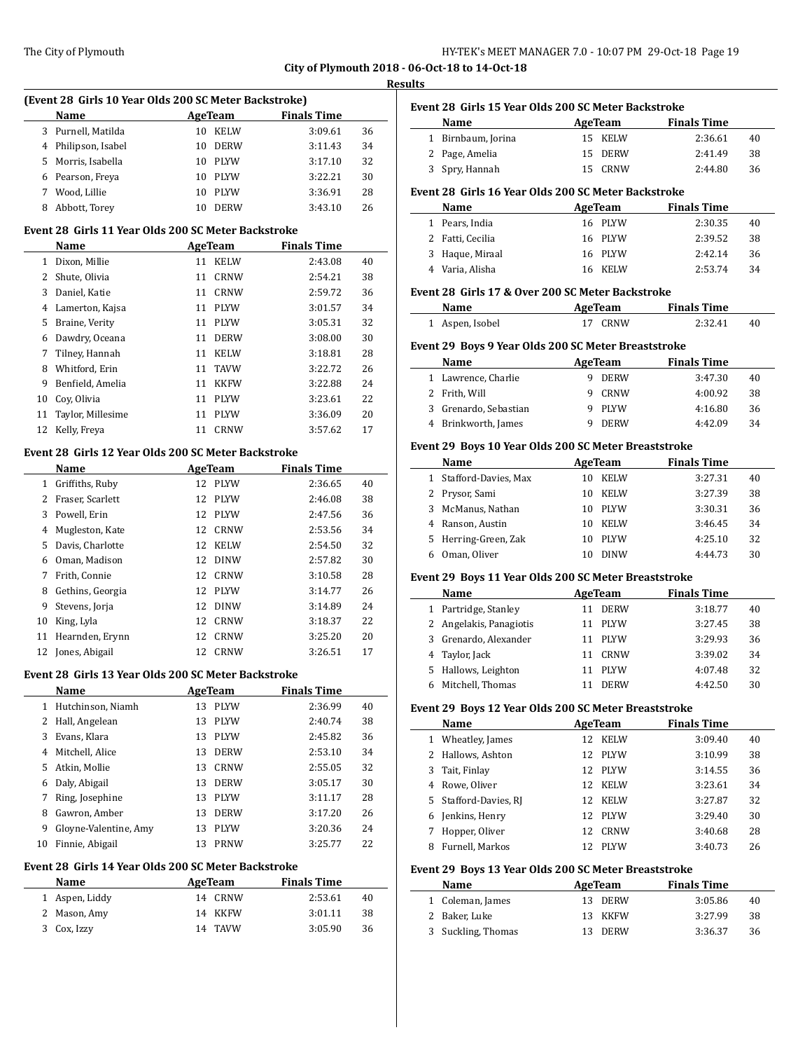#### **Resul**

| (Event 28 Girls 10 Year Olds 200 SC Meter Backstroke) |    |             |                    |    |
|-------------------------------------------------------|----|-------------|--------------------|----|
| <b>Name</b>                                           |    | AgeTeam     | <b>Finals Time</b> |    |
| 3 Purnell, Matilda                                    | 10 | <b>KELW</b> | 3:09.61            | 36 |
| 4 Philipson, Isabel                                   | 10 | <b>DERW</b> | 3:11.43            | 34 |
| 5 Morris, Isabella                                    | 10 | <b>PLYW</b> | 3:17.10            | 32 |
| 6 Pearson, Freya                                      | 10 | <b>PLYW</b> | 3:22.21            | 30 |
| Wood, Lillie                                          | 10 | <b>PLYW</b> | 3:36.91            | 28 |
| Abbott, Torey                                         | 10 | <b>DERW</b> | 3:43.10            | 26 |

#### **Event 28 Girls 11 Year Olds 200 SC Meter Backstroke**

|    | <b>Name</b>       |    | AgeTeam     | <b>Finals Time</b> |    |
|----|-------------------|----|-------------|--------------------|----|
| 1  | Dixon, Millie     | 11 | <b>KELW</b> | 2:43.08            | 40 |
| 2  | Shute, Olivia     | 11 | <b>CRNW</b> | 2:54.21            | 38 |
| 3  | Daniel, Katie     | 11 | CRNW        | 2:59.72            | 36 |
| 4  | Lamerton, Kajsa   | 11 | <b>PLYW</b> | 3:01.57            | 34 |
| 5  | Braine, Verity    | 11 | <b>PLYW</b> | 3:05.31            | 32 |
| 6  | Dawdry, Oceana    | 11 | <b>DERW</b> | 3:08.00            | 30 |
| 7  | Tilney, Hannah    | 11 | <b>KELW</b> | 3:18.81            | 28 |
| 8  | Whitford, Erin    | 11 | <b>TAVW</b> | 3:22.72            | 26 |
| 9  | Benfield, Amelia  | 11 | <b>KKFW</b> | 3:22.88            | 24 |
| 10 | Cov. Olivia       | 11 | <b>PLYW</b> | 3:23.61            | 22 |
| 11 | Taylor, Millesime | 11 | <b>PLYW</b> | 3:36.09            | 20 |
| 12 | Kelly, Freya      | 11 | CRNW        | 3:57.62            | 17 |

## **Event 28 Girls 12 Year Olds 200 SC Meter Backstroke**

|    | Name             |    | AgeTeam     | <b>Finals Time</b> |    |
|----|------------------|----|-------------|--------------------|----|
| 1  | Griffiths, Ruby  | 12 | PLYW        | 2:36.65            | 40 |
| 2  | Fraser, Scarlett | 12 | <b>PLYW</b> | 2:46.08            | 38 |
| 3  | Powell, Erin     | 12 | PLYW        | 2:47.56            | 36 |
| 4  | Mugleston, Kate  | 12 | CRNW        | 2:53.56            | 34 |
| 5. | Davis, Charlotte | 12 | <b>KELW</b> | 2:54.50            | 32 |
| 6  | Oman, Madison    |    | 12 DINW     | 2:57.82            | 30 |
| 7  | Frith, Connie    |    | 12 CRNW     | 3:10.58            | 28 |
| 8  | Gethins, Georgia |    | 12 PLYW     | 3:14.77            | 26 |
| 9  | Stevens, Jorja   | 12 | <b>DINW</b> | 3:14.89            | 24 |
| 10 | King, Lyla       | 12 | <b>CRNW</b> | 3:18.37            | 22 |
| 11 | Hearnden, Erynn  | 12 | <b>CRNW</b> | 3:25.20            | 20 |
| 12 | Jones, Abigail   | 12 | <b>CRNW</b> | 3:26.51            | 17 |

#### **Event 28 Girls 13 Year Olds 200 SC Meter Backstroke**

|    | Name                  |    | AgeTeam     | <b>Finals Time</b> |    |
|----|-----------------------|----|-------------|--------------------|----|
| 1  | Hutchinson, Niamh     | 13 | <b>PLYW</b> | 2:36.99            | 40 |
| 2  | Hall, Angelean        | 13 | <b>PLYW</b> | 2:40.74            | 38 |
| 3  | Evans, Klara          | 13 | <b>PLYW</b> | 2:45.82            | 36 |
| 4  | Mitchell, Alice       | 13 | <b>DERW</b> | 2:53.10            | 34 |
| 5  | Atkin, Mollie         | 13 | CRNW        | 2:55.05            | 32 |
| 6  | Daly, Abigail         | 13 | <b>DERW</b> | 3:05.17            | 30 |
| 7  | Ring, Josephine       | 13 | <b>PLYW</b> | 3:11.17            | 28 |
| 8  | Gawron, Amber         | 13 | <b>DERW</b> | 3:17.20            | 26 |
| 9  | Gloyne-Valentine, Amy | 13 | <b>PLYW</b> | 3:20.36            | 24 |
| 10 | Finnie, Abigail       | 13 | <b>PRNW</b> | 3:25.77            | 22 |

# **Event 28 Girls 14 Year Olds 200 SC Meter Backstroke**

| Name           | AgeTeam | <b>Finals Time</b> |    |
|----------------|---------|--------------------|----|
| 1 Aspen, Liddy | 14 CRNW | 2:53.61            | 40 |
| 2 Mason, Amy   | 14 KKFW | 3:01.11            | 38 |
| 3 Cox, Izzy    | 14 TAVW | 3:05.90            | 36 |

|   | Event 28 Girls 15 Year Olds 200 SC Meter Backstroke  |                 |                |                    |    |
|---|------------------------------------------------------|-----------------|----------------|--------------------|----|
|   | Name                                                 |                 | <b>AgeTeam</b> | <b>Finals Time</b> |    |
|   | 1 Birnbaum, Jorina                                   | 15 <sup>7</sup> | <b>KELW</b>    | 2:36.61            | 40 |
|   | 2 Page, Amelia                                       | 15              | <b>DERW</b>    | 2:41.49            | 38 |
|   | 3 Spry, Hannah                                       |                 | 15 CRNW        | 2:44.80            | 36 |
|   | Event 28 Girls 16 Year Olds 200 SC Meter Backstroke  |                 |                |                    |    |
|   | Name                                                 |                 | <b>AgeTeam</b> | <b>Finals Time</b> |    |
|   | 1 Pears, India                                       |                 | 16 PLYW        | 2:30.35            | 40 |
|   | 2 Fatti, Cecilia                                     |                 | 16 PLYW        | 2:39.52            | 38 |
|   | 3 Haque, Miraal                                      |                 | 16 PLYW        | 2:42.14            | 36 |
|   | 4 Varia, Alisha                                      |                 | 16 KELW        | 2:53.74            | 34 |
|   | Event 28 Girls 17 & Over 200 SC Meter Backstroke     |                 |                |                    |    |
|   | Name                                                 |                 | AgeTeam        | <b>Finals Time</b> |    |
|   | 1 Aspen, Isobel                                      |                 | 17 CRNW        | 2:32.41            | 40 |
|   | Event 29 Boys 9 Year Olds 200 SC Meter Breaststroke  |                 |                |                    |    |
|   | Name                                                 |                 | AgeTeam        | <b>Finals Time</b> |    |
|   | 1 Lawrence, Charlie                                  |                 | 9 DERW         | 3:47.30            | 40 |
|   | 2 Frith, Will                                        |                 | 9 CRNW         | 4:00.92            | 38 |
|   | 3 Grenardo, Sebastian                                |                 | 9 PLYW         | 4:16.80            | 36 |
| 4 | Brinkworth, James                                    | 9               | <b>DERW</b>    | 4:42.09            | 34 |
|   | Event 29 Boys 10 Year Olds 200 SC Meter Breaststroke |                 |                |                    |    |
|   | Name                                                 |                 | <b>AgeTeam</b> | <b>Finals Time</b> |    |
| 1 | Stafford-Davies, Max                                 |                 | 10 KELW        | 3:27.31            | 40 |
|   | 2 Prysor, Sami                                       |                 | 10 KELW        | 3:27.39            | 38 |
| 3 | McManus, Nathan                                      |                 | 10 PLYW        | 3:30.31            | 36 |
|   | 4 Ranson, Austin                                     |                 | 10 KELW        | 3:46.45            | 34 |
| 5 | Herring-Green, Zak                                   | 10              | <b>PLYW</b>    | 4:25.10            | 32 |
| 6 | Oman, Oliver                                         |                 | 10 DINW        | 4:44.73            | 30 |
|   | Event 29 Boys 11 Year Olds 200 SC Meter Breaststroke |                 |                |                    |    |
|   | Name                                                 |                 | <b>AgeTeam</b> | <b>Finals Time</b> |    |
|   | 1 Partridge, Stanley                                 |                 | 11 DERW        | 3:18.77            | 40 |
| 2 | Angelakis, Panagiotis                                |                 | 11 PLYW        | 3:27.45            | 38 |
|   | Grenardo, Alexander                                  |                 | 11 PLYW        | 3:29.93            | 36 |

# **Event 29 Boys 12 Year Olds 200 SC Meter Breaststroke**

|   | Name                  |     | AgeTeam     | <b>Finals Time</b> |    |
|---|-----------------------|-----|-------------|--------------------|----|
| 1 | Wheatley, James       | 12. | <b>KELW</b> | 3:09.40            | 40 |
|   | 2 Hallows, Ashton     |     | 12 PLYW     | 3:10.99            | 38 |
| 3 | Tait, Finlay          | 12. | PLYW        | 3:14.55            | 36 |
| 4 | Rowe, Oliver          | 12  | <b>KELW</b> | 3:23.61            | 34 |
|   | 5 Stafford-Davies, RJ | 12. | <b>KELW</b> | 3:27.87            | 32 |
| 6 | Jenkins, Henry        |     | 12 PLYW     | 3:29.40            | 30 |
|   | Hopper, Oliver        | 12  | CRNW        | 3:40.68            | 28 |
| 8 | Furnell, Markos       | 12. | <b>PLYW</b> | 3:40.73            | 26 |

 Taylor, Jack 11 CRNW 3:39.02 34 Hallows, Leighton 11 PLYW 4:07.48 32 Mitchell, Thomas 11 DERW 4:42.50 30

## **Event 29 Boys 13 Year Olds 200 SC Meter Breaststroke**

 $\frac{1}{2}$ 

| <b>Name</b>   |                    | AgeTeam | <b>Finals Time</b> |    |
|---------------|--------------------|---------|--------------------|----|
|               | 1 Coleman, James   | 13 DERW | 3:05.86            | 40 |
| 2 Baker, Luke |                    | 13 KKFW | 3:27.99            | 38 |
|               | 3 Suckling, Thomas | 13 DERW | 3:36.37            | 36 |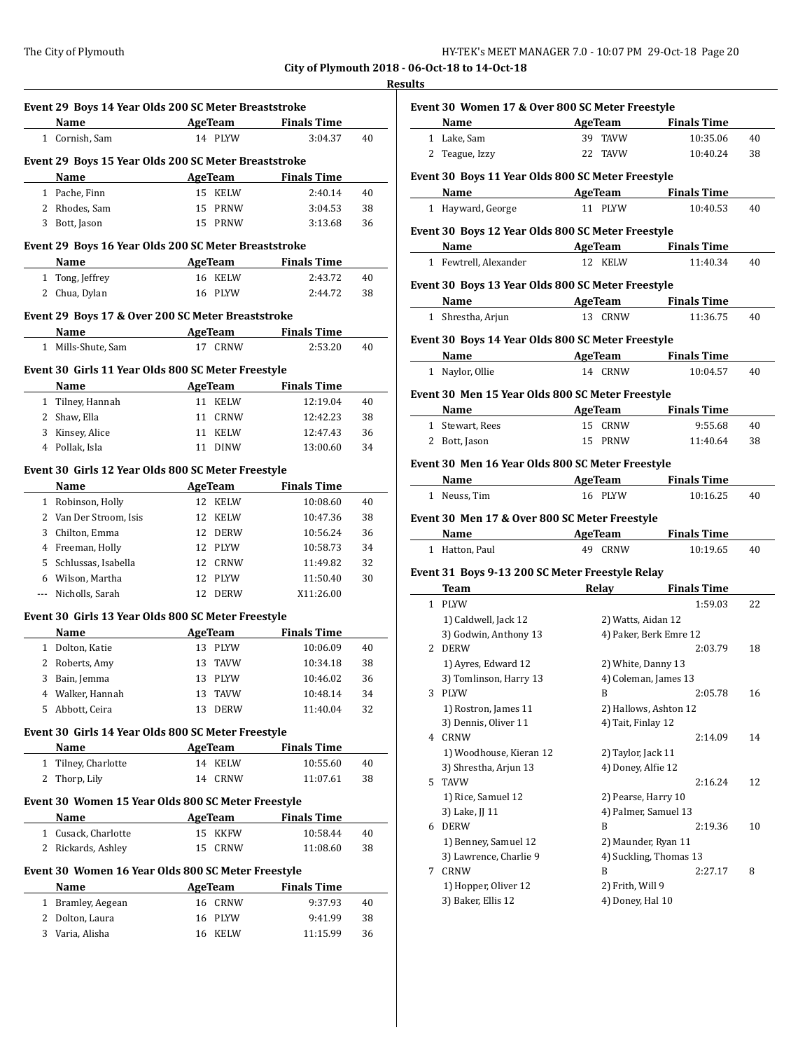# **Results**

|              | Name                                                       | Event 29 Boys 14 Year Olds 200 SC Meter Breaststroke | <b>Example 2.1 AgeTeam</b> Finals Time               |          |
|--------------|------------------------------------------------------------|------------------------------------------------------|------------------------------------------------------|----------|
|              | 1 Cornish, Sam                                             | 14 PLYW                                              | 3:04.37                                              | 40       |
|              | Event 29 Boys 15 Year Olds 200 SC Meter Breaststroke       |                                                      |                                                      |          |
|              | Name                                                       |                                                      | <b>Example 2</b> AgeTeam <b>Property</b> Finals Time |          |
|              | 1 Pache, Finn                                              | 15 KELW                                              | 2:40.14                                              | 40       |
|              | 2 Rhodes, Sam                                              | 15<br>PRNW                                           | 3:04.53                                              | 38       |
|              | 3 Bott, Jason                                              | 15 PRNW                                              | 3:13.68                                              | 36       |
|              |                                                            |                                                      |                                                      |          |
|              | Event 29 Boys 16 Year Olds 200 SC Meter Breaststroke       |                                                      |                                                      |          |
|              | Name                                                       | 16 KELW                                              | AgeTeam Finals Time<br>2:43.72                       |          |
|              | 1 Tong, Jeffrey                                            |                                                      |                                                      | 40       |
|              | 2 Chua, Dylan                                              | 16 PLYW                                              | 2:44.72                                              | 38       |
|              | Event 29 Boys 17 & Over 200 SC Meter Breaststroke          |                                                      |                                                      |          |
|              | Name AgeTeam Finals Time                                   |                                                      |                                                      |          |
| $\mathbf{1}$ | Mills-Shute, Sam                                           | 17 CRNW                                              | 2:53.20                                              | 40       |
|              | Event 30 Girls 11 Year Olds 800 SC Meter Freestyle         |                                                      |                                                      |          |
|              | Name                                                       | <b>AgeTeam</b>                                       | <b>Finals Time</b>                                   |          |
|              | 1 Tilney, Hannah                                           | 11 KELW                                              | 12:19.04                                             | 40       |
|              | 2 Shaw, Ella                                               | 11 CRNW                                              | 12:42.23                                             | 38       |
|              | 3 Kinsey, Alice                                            | 11 KELW                                              | 12:47.43                                             | 36       |
|              | 4 Pollak, Isla                                             | 11 DINW                                              | 13:00.60                                             | 34       |
|              | Event 30 Girls 12 Year Olds 800 SC Meter Freestyle         |                                                      |                                                      |          |
|              | Name                                                       | <b>AgeTeam</b>                                       | <b>Finals Time</b>                                   |          |
|              | 1 Robinson, Holly                                          | 12 KELW                                              | 10:08.60                                             | 40       |
|              | 2 Van Der Stroom, Isis                                     | 12 KELW                                              | 10:47.36                                             | 38       |
|              | 3 Chilton, Emma                                            | 12 DERW                                              | 10:56.24                                             | 36       |
|              | 4 Freeman, Holly                                           | 12 PLYW                                              | 10:58.73                                             | 34       |
|              | 5 Schlussas, Isabella                                      | 12 CRNW                                              | 11:49.82                                             | 32       |
|              | 6 Wilson, Martha                                           | 12<br>PLYW                                           | 11:50.40                                             | 30       |
| ---          | Nicholls, Sarah                                            | 12 DERW                                              | X11:26.00                                            |          |
|              |                                                            |                                                      |                                                      |          |
|              | Event 30 Girls 13 Year Olds 800 SC Meter Freestyle         |                                                      |                                                      |          |
|              |                                                            | AgeTeam                                              | <b>Finals Time</b>                                   |          |
|              | Name                                                       |                                                      |                                                      | 40       |
|              | 1 Dolton, Katie                                            | 13 PLYW                                              | 10:06.09                                             |          |
| 2            | Roberts, Amy                                               | 13<br>TAVW                                           | 10:34.18                                             |          |
| 3            | Bain, Jemma                                                | PLYW<br>13                                           | 10:46.02                                             | 38<br>36 |
|              | 4 Walker, Hannah                                           | 13 TAVW                                              | 10:48.14                                             | 34       |
| 5            | Abbott, Ceira                                              | 13<br>DERW                                           | 11:40.04                                             | 32       |
|              | Event 30 Girls 14 Year Olds 800 SC Meter Freestyle         |                                                      |                                                      |          |
|              | Name                                                       | <b>AgeTeam</b>                                       | <b>Finals Time</b>                                   |          |
|              | 1 Tilney, Charlotte                                        | 14 KELW                                              | 10:55.60                                             | 40       |
| 2            | Thorp, Lily                                                | 14 CRNW                                              | 11:07.61                                             | 38       |
|              | Event 30 Women 15 Year Olds 800 SC Meter Freestyle         |                                                      |                                                      |          |
|              | Name                                                       | <b>AgeTeam</b>                                       | <b>Finals Time</b>                                   |          |
|              | 1 Cusack, Charlotte                                        | KKFW<br>15                                           | 10:58.44                                             | 40       |
|              | 2 Rickards, Ashley                                         | CRNW<br>15                                           | 11:08.60                                             |          |
|              |                                                            |                                                      |                                                      |          |
|              | Event 30 Women 16 Year Olds 800 SC Meter Freestyle<br>Name | <b>AgeTeam</b>                                       | <b>Finals Time</b>                                   |          |
| $1 \quad$    | Bramley, Aegean                                            | 16 CRNW                                              | 9:37.93                                              | 40       |
|              | 2 Dolton, Laura                                            | 16<br>PLYW                                           | 9:41.99                                              | 38<br>38 |

|   | AgeTeam<br>Name                                   |                     | <b>Finals Time</b>                            |                                  |
|---|---------------------------------------------------|---------------------|-----------------------------------------------|----------------------------------|
|   | 1 Lake, Sam                                       | 39 TAVW             | 10:35.06                                      | 40                               |
|   | 2 Teague, Izzy                                    | 22 TAVW             | 10:40.24                                      | 38                               |
|   |                                                   |                     |                                               |                                  |
|   | Event 30 Boys 11 Year Olds 800 SC Meter Freestyle |                     |                                               |                                  |
|   | Name AgeTeam Finals Time                          | 11 PLYW             |                                               |                                  |
|   | 1 Hayward, George                                 |                     | 10:40.53                                      | 40                               |
|   | Event 30 Boys 12 Year Olds 800 SC Meter Freestyle |                     |                                               |                                  |
|   | Name AgeTeam Finals Time                          |                     |                                               |                                  |
|   | 1 Fewtrell, Alexander                             | 12 KELW             | 11:40.34                                      | 40                               |
|   | Event 30 Boys 13 Year Olds 800 SC Meter Freestyle |                     |                                               |                                  |
|   | Name AgeTeam Finals Time                          |                     |                                               |                                  |
|   | 1 Shrestha, Arjun                                 | 13 CRNW             | 11:36.75                                      | 40                               |
|   | Event 30 Boys 14 Year Olds 800 SC Meter Freestyle |                     |                                               |                                  |
|   | Name AgeTeam Finals Time                          |                     |                                               |                                  |
|   | 1 Naylor, Ollie                                   | 14 CRNW             | 10:04.57                                      | 40                               |
|   |                                                   |                     |                                               |                                  |
|   | Event 30 Men 15 Year Olds 800 SC Meter Freestyle  |                     |                                               |                                  |
|   | Name AgeTeam Finals Time                          |                     |                                               |                                  |
|   | 1 Stewart, Rees                                   | 15 CRNW             | 9:55.68                                       | 40                               |
|   | 2 Bott, Jason                                     | 15 PRNW             | 11:40.64                                      | 38                               |
|   | Event 30 Men 16 Year Olds 800 SC Meter Freestyle  |                     |                                               |                                  |
|   | Name AgeTeam Finals Time                          |                     |                                               |                                  |
|   |                                                   |                     |                                               |                                  |
|   | 1 Neuss, Tim                                      | 16 PLYW             | 10:16.25                                      | 40                               |
|   |                                                   |                     |                                               |                                  |
|   | Event 30 Men 17 & Over 800 SC Meter Freestyle     |                     |                                               |                                  |
|   | Name                                              |                     | AgeTeam Finals Time                           |                                  |
|   | 1 Hatton, Paul                                    | 49 CRNW             | 10:19.65                                      |                                  |
|   | Event 31 Boys 9-13 200 SC Meter Freestyle Relay   |                     |                                               |                                  |
|   | Team                                              | Relay               | <b>Finals Time</b>                            | 40                               |
|   | 1 PLYW                                            |                     | 1:59.03                                       |                                  |
|   | 1) Caldwell, Jack 12                              | 2) Watts, Aidan 12  |                                               |                                  |
|   | 3) Godwin, Anthony 13                             |                     | 4) Paker, Berk Emre 12                        |                                  |
|   | 2 DERW                                            |                     | 2:03.79                                       |                                  |
|   | 1) Ayres, Edward 12                               | 2) White, Danny 13  |                                               |                                  |
|   | 3) Tomlinson, Harry 13                            |                     | 4) Coleman, James 13                          |                                  |
| 3 | PLYW                                              | B                   | 2:05.78                                       |                                  |
|   | 1) Rostron, James 11                              |                     | 2) Hallows, Ashton 12                         |                                  |
|   | 3) Dennis, Oliver 11                              | 4) Tait, Finlay 12  |                                               |                                  |
|   | 4 CRNW                                            |                     | 2:14.09                                       |                                  |
|   | 1) Woodhouse, Kieran 12                           | 2) Taylor, Jack 11  |                                               |                                  |
| 5 | 3) Shrestha, Arjun 13<br>TAVW                     | 4) Doney, Alfie 12  | 2:16.24                                       |                                  |
|   |                                                   |                     |                                               |                                  |
|   | 1) Rice, Samuel 12                                | 2) Pearse, Harry 10 |                                               |                                  |
|   | 3) Lake, JJ 11<br>6 DERW                          | B                   | 4) Palmer, Samuel 13<br>2:19.36               |                                  |
|   |                                                   |                     |                                               |                                  |
|   | 1) Benney, Samuel 12<br>3) Lawrence, Charlie 9    |                     | 2) Maunder, Ryan 11<br>4) Suckling, Thomas 13 |                                  |
| 7 | CRNW                                              | B                   | 2:27.17                                       | 8                                |
|   | 1) Hopper, Oliver 12                              | 2) Frith, Will 9    |                                               | 22<br>18<br>16<br>14<br>12<br>10 |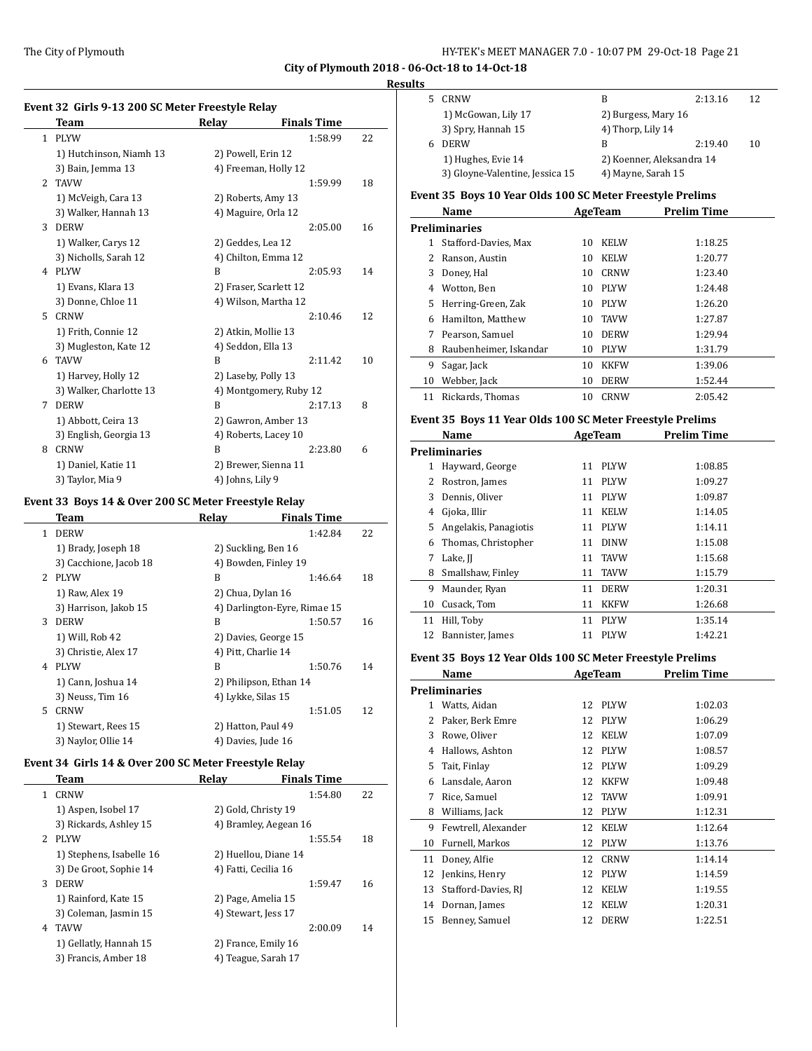#### **Result**

 $\overline{a}$ 

L.

J,

 $\overline{a}$ 

j.

|                | Team                    | <b>Relay</b>           | <b>Finals Time</b> |    |
|----------------|-------------------------|------------------------|--------------------|----|
| $\mathbf{1}$   | <b>PLYW</b>             |                        | 1:58.99            | 22 |
|                | 1) Hutchinson, Niamh 13 | 2) Powell, Erin 12     |                    |    |
|                | 3) Bain, Jemma 13       | 4) Freeman, Holly 12   |                    |    |
| $\overline{2}$ | <b>TAVW</b>             |                        | 1:59.99            | 18 |
|                | 1) McVeigh, Cara 13     | 2) Roberts, Amy 13     |                    |    |
|                | 3) Walker, Hannah 13    | 4) Maguire, Orla 12    |                    |    |
| 3              | <b>DERW</b>             |                        | 2:05.00            | 16 |
|                | 1) Walker, Carys 12     | 2) Geddes, Lea 12      |                    |    |
|                | 3) Nicholls, Sarah 12   | 4) Chilton, Emma 12    |                    |    |
| 4              | <b>PLYW</b>             | B                      | 2:05.93            | 14 |
|                | 1) Evans, Klara 13      | 2) Fraser, Scarlett 12 |                    |    |
|                | 3) Donne, Chloe 11      | 4) Wilson, Martha 12   |                    |    |
| 5              | <b>CRNW</b>             |                        | 2:10.46            | 12 |
|                | 1) Frith, Connie 12     | 2) Atkin, Mollie 13    |                    |    |
|                | 3) Mugleston, Kate 12   | 4) Seddon, Ella 13     |                    |    |
| 6              | <b>TAVW</b>             | B                      | 2:11.42            | 10 |
|                | 1) Harvey, Holly 12     | 2) Laseby, Polly 13    |                    |    |
|                | 3) Walker, Charlotte 13 | 4) Montgomery, Ruby 12 |                    |    |
| 7              | <b>DERW</b>             | B                      | 2:17.13            | 8  |
|                | 1) Abbott, Ceira 13     | 2) Gawron, Amber 13    |                    |    |
|                | 3) English, Georgia 13  | 4) Roberts, Lacey 10   |                    |    |
| 8              | <b>CRNW</b>             | B                      | 2:23.80            | 6  |
|                | 1) Daniel, Katie 11     | 2) Brewer, Sienna 11   |                    |    |
|                | 3) Taylor, Mia 9        | 4) Johns. Lily 9       |                    |    |

## **Event 33 Boys 14 & Over 200 SC Meter Freestyle Relay**

|                | Team                   | Relay               | <b>Finals Time</b>           |    |
|----------------|------------------------|---------------------|------------------------------|----|
| $\mathbf{1}$   | <b>DERW</b>            |                     | 1:42.84                      | 22 |
|                | 1) Brady, Joseph 18    |                     | 2) Suckling, Ben 16          |    |
|                | 3) Cacchione, Jacob 18 |                     | 4) Bowden, Finley 19         |    |
| $\overline{2}$ | <b>PLYW</b>            | B                   | 1:46.64                      | 18 |
|                | 1) Raw, Alex 19        | 2) Chua, Dylan 16   |                              |    |
|                | 3) Harrison, Jakob 15  |                     | 4) Darlington-Eyre, Rimae 15 |    |
| 3              | <b>DERW</b>            | B                   | 1:50.57                      | 16 |
|                | 1) Will, Rob 42        |                     | 2) Davies, George 15         |    |
|                | 3) Christie, Alex 17   | 4) Pitt, Charlie 14 |                              |    |
| 4              | <b>PLYW</b>            | B                   | 1:50.76                      | 14 |
|                | 1) Cann, Joshua 14     |                     | 2) Philipson, Ethan 14       |    |
|                | 3) Neuss, Tim 16       | 4) Lykke, Silas 15  |                              |    |
| 5.             | <b>CRNW</b>            |                     | 1:51.05                      | 12 |
|                | 1) Stewart, Rees 15    | 2) Hatton, Paul 49  |                              |    |
|                | 3) Naylor, Ollie 14    | 4) Davies, Jude 16  |                              |    |

#### **Event 34 Girls 14 & Over 200 SC Meter Freestyle Relay**

|             | Team                     | Relav                 | <b>Finals Time</b> |    |
|-------------|--------------------------|-----------------------|--------------------|----|
| 1           | <b>CRNW</b>              |                       | 1:54.80            | 22 |
|             | 1) Aspen, Isobel 17      | 2) Gold, Christy 19   |                    |    |
|             | 3) Rickards, Ashley 15   | 4) Bramley, Aegean 16 |                    |    |
| $2^{\circ}$ | <b>PLYW</b>              |                       | 1:55.54            | 18 |
|             | 1) Stephens, Isabelle 16 | 2) Huellou, Diane 14  |                    |    |
|             | 3) De Groot, Sophie 14   | 4) Fatti, Cecilia 16  |                    |    |
| 3           | <b>DERW</b>              |                       | 1:59.47            | 16 |
|             | 1) Rainford, Kate 15     | 2) Page, Amelia 15    |                    |    |
|             | 3) Coleman, Jasmin 15    | 4) Stewart, Jess 17   |                    |    |
| 4           | <b>TAVW</b>              |                       | 2:00.09            | 14 |
|             | 1) Gellatly, Hannah 15   | 2) France, Emily 16   |                    |    |
|             | 3) Francis, Amber 18     | 4) Teague, Sarah 17   |                    |    |

| `S |                                 |                           |         |    |
|----|---------------------------------|---------------------------|---------|----|
|    | CRNW                            | В                         | 2:13.16 | 12 |
|    | 1) McGowan, Lily 17             | 2) Burgess, Mary 16       |         |    |
|    | 3) Spry, Hannah 15              | 4) Thorp, Lily 14         |         |    |
| h  | <b>DERW</b>                     | В                         | 2:19.40 | 10 |
|    | 1) Hughes, Evie 14              | 2) Koenner, Aleksandra 14 |         |    |
|    | 3) Gloyne-Valentine, Jessica 15 | 4) Mayne, Sarah 15        |         |    |
|    |                                 |                           |         |    |

#### **Event 35 Boys 10 Year Olds 100 SC Meter Freestyle Prelims**

|    | Name                   |    | AgeTeam     | Prelim Time |  |
|----|------------------------|----|-------------|-------------|--|
|    | Preliminaries          |    |             |             |  |
| 1  | Stafford-Davies, Max   | 10 | <b>KELW</b> | 1:18.25     |  |
| 2  | Ranson, Austin         | 10 | <b>KELW</b> | 1:20.77     |  |
| 3  | Doney, Hal             | 10 | <b>CRNW</b> | 1:23.40     |  |
| 4  | Wotton, Ben            | 10 | <b>PLYW</b> | 1:24.48     |  |
| 5  | Herring-Green, Zak     | 10 | <b>PLYW</b> | 1:26.20     |  |
| 6  | Hamilton, Matthew      | 10 | <b>TAVW</b> | 1:27.87     |  |
| 7  | Pearson, Samuel        | 10 | <b>DERW</b> | 1:29.94     |  |
| 8  | Raubenheimer, Iskandar | 10 | <b>PLYW</b> | 1:31.79     |  |
| 9  | Sagar, Jack            | 10 | <b>KKFW</b> | 1:39.06     |  |
| 10 | Webber, Jack           | 10 | <b>DERW</b> | 1:52.44     |  |
| 11 | Rickards, Thomas       | 10 | <b>CRNW</b> | 2:05.42     |  |

#### **Event 35 Boys 11 Year Olds 100 SC Meter Freestyle Prelims**

|    | Name                  |    | AgeTeam     | Prelim Time |
|----|-----------------------|----|-------------|-------------|
|    | Preliminaries         |    |             |             |
| 1  | Hayward, George       | 11 | <b>PLYW</b> | 1:08.85     |
| 2  | Rostron, James        | 11 | <b>PLYW</b> | 1:09.27     |
| 3  | Dennis, Oliver        | 11 | <b>PLYW</b> | 1:09.87     |
| 4  | Gjoka, Illir          | 11 | <b>KELW</b> | 1:14.05     |
| 5  | Angelakis, Panagiotis | 11 | <b>PLYW</b> | 1:14.11     |
| 6  | Thomas, Christopher   | 11 | <b>DINW</b> | 1:15.08     |
| 7  | Lake, JJ              | 11 | <b>TAVW</b> | 1:15.68     |
| 8  | Smallshaw, Finley     | 11 | <b>TAVW</b> | 1:15.79     |
| 9  | Maunder, Ryan         | 11 | <b>DERW</b> | 1:20.31     |
| 10 | Cusack, Tom           | 11 | <b>KKFW</b> | 1:26.68     |
| 11 | Hill, Toby            | 11 | <b>PLYW</b> | 1:35.14     |
| 12 | Bannister, James      | 11 | <b>PLYW</b> | 1:42.21     |

## **Event 35 Boys 12 Year Olds 100 SC Meter Freestyle Prelims**

|    | Name                |    | AgeTeam     | Prelim Time |  |
|----|---------------------|----|-------------|-------------|--|
|    | Preliminaries       |    |             |             |  |
| 1  | Watts, Aidan        | 12 | <b>PLYW</b> | 1:02.03     |  |
| 2  | Paker, Berk Emre    | 12 | <b>PLYW</b> | 1:06.29     |  |
| 3  | Rowe, Oliver        | 12 | <b>KELW</b> | 1:07.09     |  |
| 4  | Hallows, Ashton     | 12 | <b>PLYW</b> | 1:08.57     |  |
| 5  | Tait, Finlay        | 12 | <b>PLYW</b> | 1:09.29     |  |
| 6  | Lansdale, Aaron     | 12 | <b>KKFW</b> | 1:09.48     |  |
| 7  | Rice, Samuel        | 12 | <b>TAVW</b> | 1:09.91     |  |
| 8  | Williams, Jack      | 12 | <b>PLYW</b> | 1:12.31     |  |
| 9  | Fewtrell, Alexander | 12 | <b>KELW</b> | 1:12.64     |  |
| 10 | Furnell, Markos     | 12 | <b>PLYW</b> | 1:13.76     |  |
| 11 | Doney, Alfie        | 12 | <b>CRNW</b> | 1:14.14     |  |
| 12 | Jenkins, Henry      | 12 | <b>PLYW</b> | 1:14.59     |  |
| 13 | Stafford-Davies, RJ | 12 | <b>KELW</b> | 1:19.55     |  |
| 14 | Dornan, James       | 12 | <b>KELW</b> | 1:20.31     |  |
| 15 | Benney, Samuel      | 12 | <b>DERW</b> | 1:22.51     |  |
|    |                     |    |             |             |  |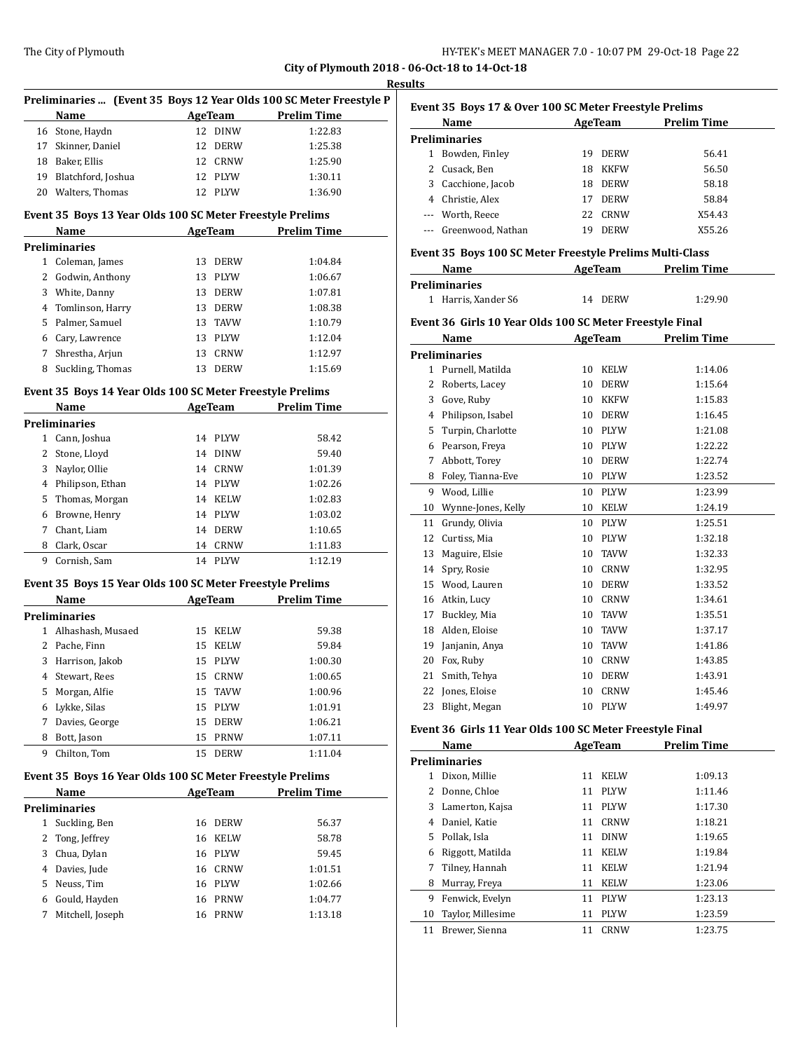|   |                                                                   |                   |                                                                     | <b>Results</b> |
|---|-------------------------------------------------------------------|-------------------|---------------------------------------------------------------------|----------------|
|   |                                                                   |                   | Preliminaries  (Event 35 Boys 12 Year Olds 100 SC Meter Freestyle P | Event          |
|   | Name                                                              |                   | AgeTeam Prelim Time                                                 |                |
|   | 16 Stone, Haydn                                                   | 12 DINW           | 1:22.83                                                             | Prelin         |
|   | 17 Skinner, Daniel                                                | 12 DERW           | 1:25.38                                                             | $\mathbf{1}$   |
|   | 18 Baker, Ellis                                                   | 12 CRNW           | 1:25.90                                                             | 2              |
|   | 19 Blatchford, Joshua                                             | 12 PLYW           | 1:30.11                                                             | 3              |
|   | 20 Walters, Thomas                                                | 12 PLYW           | 1:36.90                                                             | 4              |
|   | Event 35 Boys 13 Year Olds 100 SC Meter Freestyle Prelims         |                   |                                                                     |                |
|   | Name                                                              |                   | AgeTeam Prelim Time                                                 |                |
|   | <b>Preliminaries</b>                                              |                   |                                                                     |                |
|   | 1 Coleman, James                                                  | 13 DERW           | 1:04.84                                                             | Event          |
|   | 2 Godwin, Anthony                                                 | 13 PLYW           | 1:06.67                                                             |                |
|   | 3 White, Danny                                                    | 13 DERW           | 1:07.81                                                             | Prelin         |
|   | 4 Tomlinson, Harry                                                | 13 DERW           | 1:08.38                                                             | $\mathbf{1}$   |
|   | 5 Palmer, Samuel                                                  | 13 TAVW           | 1:10.79                                                             | Event          |
|   | 6 Cary, Lawrence                                                  | 13 PLYW           | 1:12.04                                                             |                |
|   | 7 Shrestha, Arjun                                                 | 13 CRNW           | 1:12.97                                                             | Prelin         |
| 8 | Suckling, Thomas                                                  | 13 DERW           | 1:15.69                                                             | $\mathbf{1}$   |
|   |                                                                   |                   |                                                                     | 2              |
|   | Event 35 Boys 14 Year Olds 100 SC Meter Freestyle Prelims         |                   |                                                                     | 3              |
|   | Name                                                              | AgeTeam           | <b>Prelim Time</b>                                                  | 4              |
|   | <b>Preliminaries</b>                                              |                   |                                                                     | 5              |
|   | 1 Cann, Joshua                                                    | 14 PLYW           | 58.42                                                               | 6              |
|   | 2 Stone, Lloyd                                                    | 14 DINW           | 59.40                                                               | 7              |
|   | 3 Naylor, Ollie                                                   | 14 CRNW           | 1:01.39                                                             | 8              |
|   | 4 Philipson, Ethan                                                | 14 PLYW           | 1:02.26                                                             | 9              |
|   | 5 Thomas, Morgan                                                  | 14 KELW           | 1:02.83                                                             |                |
|   | 6 Browne, Henry                                                   | 14 PLYW           | 1:03.02                                                             | 10             |
|   | 7 Chant, Liam                                                     | 14 DERW           | 1:10.65                                                             | 11             |
| 8 | Clark, Oscar                                                      | 14 CRNW           | 1:11.83                                                             | 12             |
|   | 9 Cornish, Sam                                                    | 14 PLYW           | 1:12.19                                                             | 13             |
|   |                                                                   |                   |                                                                     | 14             |
|   | Event 35 Boys 15 Year Olds 100 SC Meter Freestyle Prelims<br>Name |                   | AgeTeam Prelim Time                                                 | 15<br>16       |
|   |                                                                   |                   |                                                                     | 17             |
|   | <b>Preliminaries</b>                                              |                   |                                                                     |                |
|   | 1 Alhashash, Musaed                                               | 15 KELW           | 59.38                                                               | 18             |
|   | 2 Pache, Finn                                                     | 15 KELW           | 59.84                                                               | 19             |
|   | 3 Harrison, Jakob                                                 | 15 PLYW           | 1:00.30                                                             | 20             |
| 4 | Stewart, Rees                                                     | 15<br>CRNW        | 1:00.65                                                             | 21             |
| 5 | Morgan, Alfie                                                     | 15<br>TAVW        | 1:00.96                                                             | 22             |
| 6 | Lykke, Silas                                                      | 15<br><b>PLYW</b> | 1:01.91                                                             | 23             |
| 7 | Davies, George                                                    | 15<br><b>DERW</b> | 1:06.21                                                             | Event          |
| 8 | Bott, Jason                                                       | 15<br>PRNW        | 1:07.11                                                             |                |
| 9 | Chilton, Tom                                                      | 15<br><b>DERW</b> | 1:11.04                                                             | Prelin         |
|   | Event 35 Boys 16 Year Olds 100 SC Meter Freestyle Prelims         |                   |                                                                     | 1              |
|   | Name                                                              | <b>AgeTeam</b>    | <b>Prelim Time</b>                                                  | 2              |
|   | <b>Preliminaries</b>                                              |                   |                                                                     | 3              |
|   | 1 Suckling, Ben                                                   | <b>DERW</b><br>16 | 56.37                                                               | 4              |
| 2 | Tong, Jeffrey                                                     | 16<br><b>KELW</b> | 58.78                                                               | 5              |
| 3 | Chua, Dylan                                                       | 16 PLYW           | 59.45                                                               | 6              |
| 4 | Davies, Jude                                                      | 16 CRNW           | 1:01.51                                                             | 7              |
| 5 | Neuss, Tim                                                        | 16 PLYW           | 1:02.66                                                             | 8              |
| 6 | Gould, Hayden                                                     | 16<br>PRNW        | 1:04.77                                                             | 9              |
| 7 | Mitchell, Joseph                                                  | PRNW<br>16        | 1:13.18                                                             | 10             |
|   |                                                                   |                   |                                                                     | 11             |

|                | Name                                                     |         | <b>AgeTeam</b> | <b>Prelim Time</b>  |
|----------------|----------------------------------------------------------|---------|----------------|---------------------|
|                | <b>Preliminaries</b>                                     |         |                |                     |
| $\mathbf{1}$   | Bowden, Finley                                           | 19      | <b>DERW</b>    | 56.41               |
| $\overline{2}$ | Cusack, Ben                                              | 18      | <b>KKFW</b>    | 56.50               |
| 3              | Cacchione, Jacob                                         | 18      | <b>DERW</b>    | 58.18               |
|                | 4 Christie, Alex                                         | 17      | <b>DERW</b>    | 58.84               |
|                | --- Worth, Reece                                         | 22      | <b>CRNW</b>    | X54.43              |
|                | --- Greenwood, Nathan                                    | 19      | <b>DERW</b>    | X55.26              |
|                | Event 35 Boys 100 SC Meter Freestyle Prelims Multi-Class |         |                |                     |
|                | Name                                                     |         | <b>AgeTeam</b> | <b>Prelim Time</b>  |
|                | <b>Preliminaries</b>                                     |         |                |                     |
| $\mathbf{1}$   | Harris, Xander S6                                        |         | 14 DERW        | 1:29.90             |
|                | Event 36 Girls 10 Year Olds 100 SC Meter Freestyle Final |         |                |                     |
|                | Name                                                     |         |                | AgeTeam Prelim Time |
|                | <b>Preliminaries</b>                                     |         |                |                     |
| $\mathbf{1}$   | Purnell, Matilda                                         | 10      | KELW           | 1:14.06             |
| $\overline{2}$ | Roberts, Lacey                                           | 10      | DERW           | 1:15.64             |
| 3              | Gove, Ruby                                               | 10      | <b>KKFW</b>    | 1:15.83             |
| $\overline{4}$ | Philipson, Isabel                                        | 10      | <b>DERW</b>    | 1:16.45             |
| 5              | Turpin, Charlotte                                        | 10      | PLYW           | 1:21.08             |
| 6              | Pearson, Freva                                           | 10      | <b>PLYW</b>    | 1:22.22             |
| 7              | Abbott, Torey                                            | 10      | <b>DERW</b>    | 1:22.74             |
| 8              | Foley, Tianna-Eve                                        | 10      | PLYW           | 1:23.52             |
| 9              | Wood, Lillie                                             | 10      | <b>PLYW</b>    | 1:23.99             |
| 10             | Wynne-Jones, Kelly                                       | 10      | KELW           | 1:24.19             |
| 11             | Grundy, Olivia                                           | 10      | PLYW           | 1:25.51             |
| 12             | Curtiss, Mia                                             | 10      | <b>PLYW</b>    | 1:32.18             |
| 13             | Maguire, Elsie                                           | 10      | TAVW           | 1:32.33             |
| 14             | Spry, Rosie                                              | 10      | <b>CRNW</b>    | 1:32.95             |
| 15             | Wood, Lauren                                             | 10      | <b>DERW</b>    | 1:33.52             |
| 16             | Atkin, Lucy                                              | 10      | <b>CRNW</b>    | 1:34.61             |
| 17             | Buckley, Mia                                             | 10      | TAVW           | 1:35.51             |
| 18             | Alden, Eloise                                            | 10      | <b>TAVW</b>    | 1:37.17             |
| 19             | Janjanin, Anya                                           | 10      | <b>TAVW</b>    | 1:41.86             |
| 20             | Fox, Ruby                                                | 10      | CRNW           | 1:43.85             |
| 21             | Smith, Tehya                                             | 10      | DERW           | 1:43.91             |
| 22             | Jones, Eloise                                            | 10      | <b>CRNW</b>    | 1:45.46             |
| 23             | Blight, Megan                                            |         | 10 PLYW        | 1:49.97             |
|                | Event 36 Girls 11 Year Olds 100 SC Meter Freestyle Final |         |                |                     |
|                | Name                                                     | AgeTeam |                | <b>Prelim Time</b>  |

|    | name                 |    | <b>Age ream</b> | Prelim Time |  |
|----|----------------------|----|-----------------|-------------|--|
|    | <b>Preliminaries</b> |    |                 |             |  |
| 1  | Dixon, Millie        | 11 | <b>KELW</b>     | 1:09.13     |  |
| 2  | Donne, Chloe         | 11 | <b>PLYW</b>     | 1:11.46     |  |
| 3  | Lamerton, Kajsa      | 11 | <b>PLYW</b>     | 1:17.30     |  |
| 4  | Daniel, Katie        | 11 | <b>CRNW</b>     | 1:18.21     |  |
| 5  | Pollak, Isla         | 11 | <b>DINW</b>     | 1:19.65     |  |
| 6  | Riggott, Matilda     | 11 | <b>KELW</b>     | 1:19.84     |  |
| 7  | Tilney, Hannah       | 11 | <b>KELW</b>     | 1:21.94     |  |
| 8  | Murray, Freya        | 11 | <b>KELW</b>     | 1:23.06     |  |
| 9  | Fenwick, Evelyn      | 11 | <b>PLYW</b>     | 1:23.13     |  |
| 10 | Taylor, Millesime    | 11 | <b>PLYW</b>     | 1:23.59     |  |
| 11 | Brewer, Sienna       | 11 | <b>CRNW</b>     | 1:23.75     |  |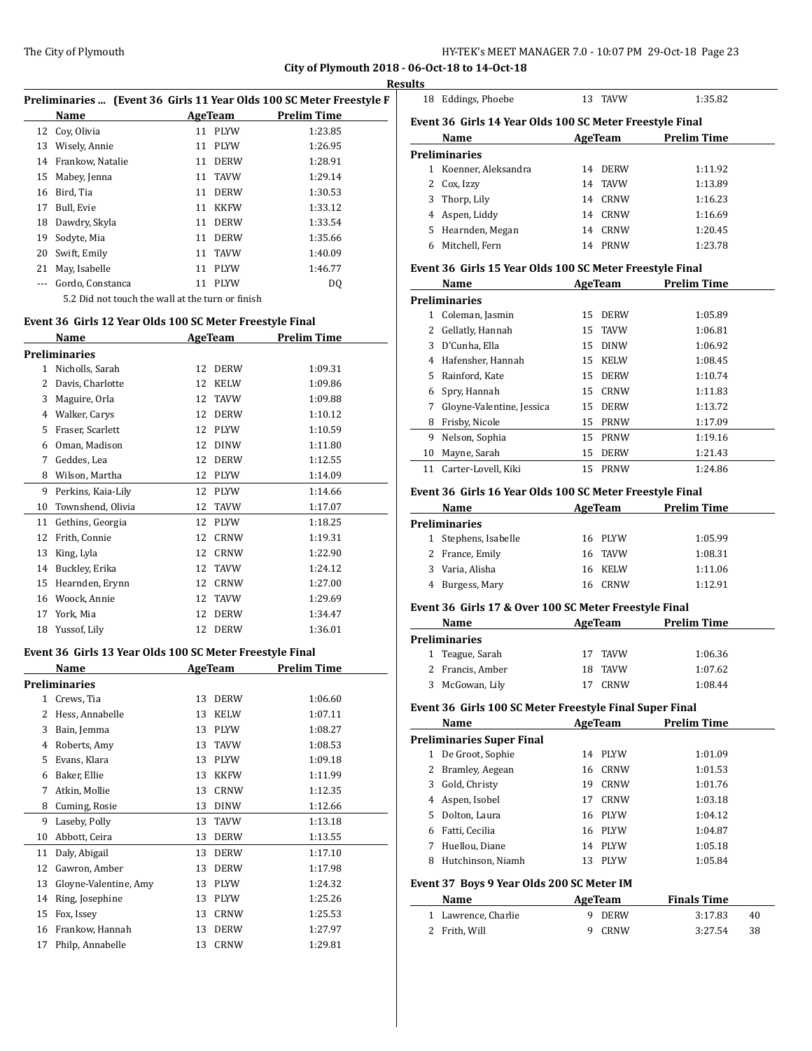$\overline{a}$ 

|          |                                                   |    |             | Preliminaries  (Event 36 Girls 11 Year Olds 100 SC Meter Freestyle F |   |
|----------|---------------------------------------------------|----|-------------|----------------------------------------------------------------------|---|
|          | Name                                              |    | AgeTeam     | <b>Prelim Time</b>                                                   | F |
|          | 12 Cov. Olivia                                    |    | 11 PLYW     | 1:23.85                                                              |   |
| 13       | Wisely, Annie                                     |    | 11 PLYW     | 1:26.95                                                              |   |
|          | 14 Frankow, Natalie                               |    | 11 DERW     | 1:28.91                                                              | F |
|          | 15 Mabey, Jenna                                   |    | 11 TAVW     | 1:29.14                                                              |   |
| 16       | Bird, Tia                                         | 11 | <b>DERW</b> | 1:30.53                                                              |   |
| 17       | Bull, Evie                                        |    | 11 KKFW     | 1:33.12                                                              |   |
|          | 18 Dawdry, Skyla                                  |    | 11 DERW     | 1:33.54                                                              |   |
| 19       | Sodyte, Mia                                       | 11 | <b>DERW</b> | 1:35.66                                                              |   |
| 20       | Swift, Emily                                      |    | 11 TAVW     | 1:40.09                                                              |   |
| 21       | May, Isabelle                                     |    | 11 PLYW     | 1:46.77                                                              | F |
| $\cdots$ | Gordo, Constanca                                  | 11 | <b>PLYW</b> | DQ                                                                   |   |
|          | $E2$ Did not tough the wall at the turn or finigh |    |             |                                                                      |   |

5.2 Did not touch the wall at the turn or finish

#### **Event 36 Girls 12 Year Olds 100 SC Meter Freestyle Final**

|    | Name                 |    | <b>AgeTeam</b> | Prelim Time |  |
|----|----------------------|----|----------------|-------------|--|
|    | <b>Preliminaries</b> |    |                |             |  |
| 1  | Nicholls, Sarah      | 12 | <b>DERW</b>    | 1:09.31     |  |
| 2  | Davis, Charlotte     | 12 | <b>KELW</b>    | 1:09.86     |  |
| 3  | Maguire, Orla        | 12 | <b>TAVW</b>    | 1:09.88     |  |
| 4  | Walker, Carys        | 12 | <b>DERW</b>    | 1:10.12     |  |
| 5  | Fraser, Scarlett     | 12 | <b>PLYW</b>    | 1:10.59     |  |
| 6  | Oman, Madison        | 12 | <b>DINW</b>    | 1:11.80     |  |
| 7  | Geddes, Lea          | 12 | <b>DERW</b>    | 1:12.55     |  |
| 8  | Wilson, Martha       | 12 | <b>PLYW</b>    | 1:14.09     |  |
| 9  | Perkins, Kaia-Lily   | 12 | <b>PLYW</b>    | 1:14.66     |  |
| 10 | Townshend, Olivia    | 12 | TAVW           | 1:17.07     |  |
| 11 | Gethins, Georgia     | 12 | <b>PLYW</b>    | 1:18.25     |  |
| 12 | Frith, Connie        | 12 | CRNW           | 1:19.31     |  |
| 13 | King, Lyla           | 12 | <b>CRNW</b>    | 1:22.90     |  |
| 14 | Buckley, Erika       | 12 | TAVW           | 1:24.12     |  |
| 15 | Hearnden, Erynn      | 12 | CRNW           | 1:27.00     |  |
| 16 | Woock, Annie         | 12 | <b>TAVW</b>    | 1:29.69     |  |
| 17 | York, Mia            | 12 | <b>DERW</b>    | 1:34.47     |  |
| 18 | Yussof, Lily         | 12 | <b>DERW</b>    | 1:36.01     |  |

#### **Event 36 Girls 13 Year Olds 100 SC Meter Freestyle Final**

|              | Name                  |    | AgeTeam     | <b>Prelim Time</b> |
|--------------|-----------------------|----|-------------|--------------------|
|              | <b>Preliminaries</b>  |    |             |                    |
| $\mathbf{1}$ | Crews, Tia            | 13 | <b>DERW</b> | 1:06.60            |
| 2            | Hess, Annabelle       | 13 | <b>KELW</b> | 1:07.11            |
| 3            | Bain, Jemma           | 13 | <b>PLYW</b> | 1:08.27            |
| 4            | Roberts, Amy          | 13 | <b>TAVW</b> | 1:08.53            |
| 5            | Evans, Klara          | 13 | <b>PLYW</b> | 1:09.18            |
| 6            | Baker, Ellie          | 13 | <b>KKFW</b> | 1:11.99            |
| 7            | Atkin, Mollie         | 13 | <b>CRNW</b> | 1:12.35            |
| 8            | Cuming, Rosie         | 13 | <b>DINW</b> | 1:12.66            |
| 9            | Laseby, Polly         | 13 | <b>TAVW</b> | 1:13.18            |
| 10           | Abbott, Ceira         | 13 | <b>DERW</b> | 1:13.55            |
| 11           | Daly, Abigail         | 13 | <b>DERW</b> | 1:17.10            |
| 12           | Gawron, Amber         | 13 | <b>DERW</b> | 1:17.98            |
| 13           | Gloyne-Valentine, Amy | 13 | <b>PLYW</b> | 1:24.32            |
| 14           | Ring, Josephine       | 13 | <b>PLYW</b> | 1:25.26            |
| 15           | Fox, Issey            | 13 | CRNW        | 1:25.53            |
| 16           | Frankow, Hannah       | 13 | <b>DERW</b> | 1:27.97            |
| 17           | Philp, Annabelle      | 13 | <b>CRNW</b> | 1:29.81            |

| 18           | Eddings, Phoebe                                          | 13      | <b>TAVW</b> | 1:35.82            |
|--------------|----------------------------------------------------------|---------|-------------|--------------------|
|              | Event 36 Girls 14 Year Olds 100 SC Meter Freestyle Final |         |             |                    |
|              | Name                                                     | AgeTeam |             | <b>Prelim Time</b> |
|              | <b>Preliminaries</b>                                     |         |             |                    |
| $\mathbf{1}$ | Koenner, Aleksandra                                      | 14      | <b>DERW</b> | 1:11.92            |
| 2.           | Cox, Izzy                                                |         | 14 TAVW     | 1:13.89            |
|              | 3 Thorp, Lily                                            | 14      | CRNW        | 1:16.23            |
|              | 4 Aspen, Liddy                                           |         | 14 CRNW     | 1:16.69            |
| 5.           | Hearnden, Megan                                          |         | 14 CRNW     | 1:20.45            |
| 6            | Mitchell. Fern                                           | 14      | PRNW        | 1:23.78            |
|              | Event 36 Girls 15 Year Olds 100 SC Meter Freestyle Final |         |             |                    |
|              | Name                                                     |         | AgeTeam     | <b>Prelim Time</b> |
|              | <b>Daolinia anisa</b>                                    |         |             |                    |

|    | Preliminaries             |    |             |         |
|----|---------------------------|----|-------------|---------|
| 1  | Coleman, Jasmin           |    | 15 DERW     | 1:05.89 |
| 2  | Gellatly, Hannah          |    | 15 TAVW     | 1:06.81 |
| 3  | D'Cunha, Ella             |    | 15 DINW     | 1:06.92 |
| 4  | Hafensher, Hannah         |    | 15 KELW     | 1:08.45 |
| 5. | Rainford, Kate            |    | 15 DERW     | 1:10.74 |
| 6  | Spry, Hannah              |    | 15 CRNW     | 1:11.83 |
| 7  | Gloyne-Valentine, Jessica |    | 15 DERW     | 1:13.72 |
| 8  | Frisby, Nicole            | 15 | <b>PRNW</b> | 1:17.09 |
| 9  | Nelson, Sophia            | 15 | PRNW        | 1:19.16 |
| 10 | Mayne, Sarah              | 15 | <b>DERW</b> | 1:21.43 |
| 11 | Carter-Lovell, Kiki       | 15 | PRNW        | 1:24.86 |

#### **Event 36 Girls 16 Year Olds 100 SC Meter Freestyle Final**

| Name |                                                                                                       |      | <b>Prelim Time</b>                       |
|------|-------------------------------------------------------------------------------------------------------|------|------------------------------------------|
|      |                                                                                                       |      |                                          |
|      |                                                                                                       |      | 1:05.99                                  |
|      |                                                                                                       |      | 1:08.31                                  |
|      |                                                                                                       |      | 1:11.06                                  |
|      | 16.                                                                                                   | CRNW | 1:12.91                                  |
|      | <b>Preliminaries</b><br>1 Stephens, Isabelle<br>2 France, Emily<br>3 Varia, Alisha<br>4 Burgess, Mary |      | AgeTeam<br>16 PLYW<br>16 TAVW<br>16 KELW |

#### **Event 36 Girls 17 & Over 100 SC Meter Freestyle Final**

| Name             |     | AgeTeam     | <b>Prelim Time</b> |
|------------------|-----|-------------|--------------------|
| Preliminaries    |     |             |                    |
| 1 Teague, Sarah  |     | 17 TAVW     | 1:06.36            |
| 2 Francis, Amber | 18. | TAVW        | 1:07.62            |
| McGowan, Lily    |     | <b>CRNW</b> | 1:08.44            |

## **Event 36 Girls 100 SC Meter Freestyle Final Super Final**

|    | Name                      |    | AgeTeam | Prelim Time |  |
|----|---------------------------|----|---------|-------------|--|
|    | Preliminaries Super Final |    |         |             |  |
|    | De Groot, Sophie          | 14 | PLYW    | 1:01.09     |  |
| 2  | Bramley, Aegean           | 16 | CRNW    | 1:01.53     |  |
| 3  | Gold, Christy             | 19 | CRNW    | 1:01.76     |  |
| 4  | Aspen, Isobel             | 17 | CRNW    | 1:03.18     |  |
| 5. | Dolton, Laura             |    | 16 PLYW | 1:04.12     |  |
| 6  | Fatti, Cecilia            |    | 16 PLYW | 1:04.87     |  |
| 7  | Huellou, Diane            | 14 | PLYW    | 1:05.18     |  |
| 8  | Hutchinson, Niamh         | 13 | PLYW    | 1:05.84     |  |
|    |                           |    |         |             |  |

# **Event 37 Boys 9 Year Olds 200 SC Meter IM**

| Name                | AgeTeam | <b>Finals Time</b> |    |
|---------------------|---------|--------------------|----|
| 1 Lawrence, Charlie | 9 DERW  | 3:17.83            | 40 |
| 2 Frith. Will       | 9 CRNW  | 3:27.54            | 38 |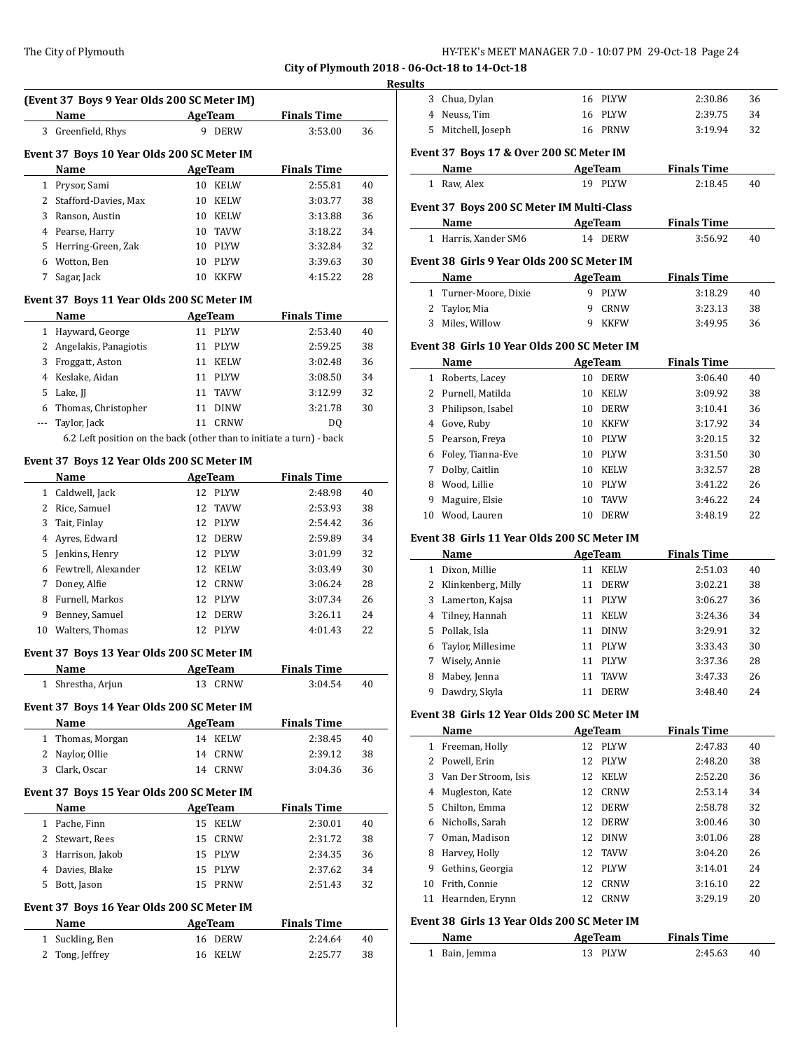# **Results**

|              | (Event 37 Boys 9 Year Olds 200 SC Meter IM)                          |                |                    |                    |          |
|--------------|----------------------------------------------------------------------|----------------|--------------------|--------------------|----------|
|              | Name                                                                 | <b>AgeTeam</b> |                    | <b>Finals Time</b> |          |
|              | 3 Greenfield, Rhys                                                   |                | 9 DERW             | 3:53.00            | 36       |
|              | Event 37 Boys 10 Year Olds 200 SC Meter IM                           |                |                    |                    |          |
|              | Name                                                                 | <b>AgeTeam</b> |                    | <b>Finals Time</b> |          |
| $\mathbf{1}$ | Prysor, Sami                                                         |                | 10 KELW            | 2:55.81            | 40       |
|              | 2 Stafford-Davies, Max                                               |                | 10 KELW            | 3:03.77            | 38       |
| 3            | Ranson, Austin                                                       |                | 10 KELW            | 3:13.88            | 36       |
|              | 4 Pearse, Harry                                                      |                | 10 TAVW            | 3:18.22            | 34       |
| 5.           | Herring-Green, Zak                                                   |                | 10 PLYW            | 3:32.84            | 32       |
| 6            | Wotton, Ben                                                          |                | 10 PLYW            | 3:39.63            | 30       |
| 7            | Sagar, Jack                                                          |                | 10 KKFW            | 4:15.22            | 28       |
|              |                                                                      |                |                    |                    |          |
|              | Event 37 Boys 11 Year Olds 200 SC Meter IM                           |                |                    |                    |          |
|              | Name                                                                 |                | AgeTeam            | <b>Finals Time</b> |          |
|              | 1 Hayward, George                                                    |                | 11 PLYW            | 2:53.40            | 40       |
|              | 2 Angelakis, Panagiotis                                              |                | 11 PLYW            | 2:59.25            | 38       |
| 3            | Froggatt, Aston                                                      |                | 11 KELW            | 3:02.48            | 36       |
| 4            | Keslake, Aidan                                                       |                | 11 PLYW            | 3:08.50            | 34       |
| 5            | Lake, JJ                                                             |                | 11 TAVW            | 3:12.99            | 32       |
| 6            | Thomas, Christopher                                                  |                | 11 DINW            | 3:21.78            | 30       |
| ---          | Taylor, Jack                                                         | 11             | <b>CRNW</b>        | DQ                 |          |
|              | 6.2 Left position on the back (other than to initiate a turn) - back |                |                    |                    |          |
|              | Event 37 Boys 12 Year Olds 200 SC Meter IM                           |                |                    |                    |          |
|              | Name                                                                 | <b>AgeTeam</b> |                    | <b>Finals Time</b> |          |
| $\mathbf{1}$ | Caldwell, Jack                                                       |                | 12 PLYW            | 2:48.98            | 40       |
| 2            | Rice, Samuel                                                         | 12             | TAVW               | 2:53.93            | 38       |
| 3            | Tait, Finlay                                                         |                | 12 PLYW            | 2:54.42            | 36       |
| 4            | Ayres, Edward                                                        |                | 12 DERW            | 2:59.89            | 34       |
| 5            | Jenkins, Henry                                                       |                | 12 PLYW            | 3:01.99            | 32       |
| 6            | Fewtrell, Alexander                                                  |                | 12 KELW            | 3:03.49            | 30       |
| 7            | Doney, Alfie                                                         | 12             | CRNW               | 3:06.24            | 28       |
| 8            | Furnell, Markos                                                      |                | 12 PLYW            | 3:07.34            | 26       |
| 9            | Benney, Samuel                                                       |                | 12 DERW            | 3:26.11            | 24       |
| 10           | Walters, Thomas                                                      |                | 12 PLYW            | 4:01.43            | 22       |
|              | Event 37 Boys 13 Year Olds 200 SC Meter IM                           |                |                    |                    |          |
|              | Name                                                                 | <b>AgeTeam</b> |                    | <b>Finals Time</b> |          |
|              | 1 Shrestha, Arjun                                                    |                | 13 CRNW            | 3:04.54            | 40       |
|              | Event 37 Boys 14 Year Olds 200 SC Meter IM                           |                |                    |                    |          |
|              | Name                                                                 | <b>AgeTeam</b> |                    | <b>Finals Time</b> |          |
| $\mathbf{1}$ | Thomas, Morgan                                                       |                | 14 KELW            | 2:38.45            | 40       |
| 2            | Naylor, Ollie                                                        |                | 14 CRNW            | 2:39.12            | 38       |
|              | 3 Clark, Oscar                                                       |                | 14 CRNW            | 3:04.36            | 36       |
|              | Event 37 Boys 15 Year Olds 200 SC Meter IM                           |                |                    |                    |          |
|              | Name                                                                 | <b>AgeTeam</b> |                    | <b>Finals Time</b> |          |
|              | 1 Pache, Finn                                                        |                | 15 KELW            | 2:30.01            | 40       |
|              |                                                                      |                | CRNW               | 2:31.72            | 38       |
|              |                                                                      |                |                    |                    |          |
|              | 2 Stewart, Rees                                                      | 15             |                    |                    |          |
|              | 3 Harrison, Jakob                                                    |                | 15 PLYW            | 2:34.35            | 36       |
| 4            | Davies, Blake                                                        |                | 15 PLYW            | 2:37.62            | 34       |
|              | 5 Bott, Jason                                                        |                | 15 PRNW            | 2:51.43            | 32       |
|              | Event 37 Boys 16 Year Olds 200 SC Meter IM                           |                |                    |                    |          |
|              | Name                                                                 | <b>AgeTeam</b> |                    | <b>Finals Time</b> |          |
| 2            | 1 Suckling, Ben<br>Tong, Jeffrey                                     |                | 16 DERW<br>16 KELW | 2:24.64<br>2:25.77 | 40<br>38 |

| யக     |                                             |    |                           |                               |          |
|--------|---------------------------------------------|----|---------------------------|-------------------------------|----------|
|        | 3 Chua, Dylan                               |    | 16 PLYW                   | 2:30.86                       | 36       |
|        | 4 Neuss, Tim                                |    | 16 PLYW                   | 2:39.75                       | 34       |
|        | 5 Mitchell, Joseph                          |    | 16 PRNW                   | 3:19.94                       | 32       |
|        | Event 37 Boys 17 & Over 200 SC Meter IM     |    |                           |                               |          |
|        | Name                                        |    | <b>AgeTeam</b>            | <b>Finals Time</b>            |          |
|        | 1 Raw, Alex                                 |    | 19 PLYW                   | 2:18.45                       | 40       |
|        |                                             |    |                           |                               |          |
|        | Event 37 Boys 200 SC Meter IM Multi-Class   |    |                           |                               |          |
|        | Name                                        |    | AgeTeam                   | <b>Finals Time</b>            |          |
|        | 1 Harris, Xander SM6                        |    | 14 DERW                   | 3:56.92                       | 40       |
|        | Event 38 Girls 9 Year Olds 200 SC Meter IM  |    |                           |                               |          |
|        | Name                                        |    | <b>AgeTeam</b>            | <b>Finals Time</b>            |          |
|        | 1 Turner-Moore, Dixie                       |    | 9 PLYW                    | 3:18.29                       | 40       |
| 2      | Taylor, Mia                                 | 9  | <b>CRNW</b>               | 3:23.13                       | 38       |
|        | 3 Miles, Willow                             | 9  | KKFW                      | 3:49.95                       | 36       |
|        | Event 38 Girls 10 Year Olds 200 SC Meter IM |    |                           |                               |          |
|        | Name                                        |    | AgeTeam                   | <b>Finals Time</b>            |          |
|        | 1 Roberts, Lacey                            |    | 10 DERW                   | 3:06.40                       | 40       |
|        | 2 Purnell, Matilda                          | 10 | KELW                      | 3:09.92                       | 38       |
|        | 3 Philipson, Isabel                         |    | 10 DERW                   | 3:10.41                       | 36       |
|        | 4 Gove, Ruby                                | 10 | KKFW                      | 3:17.92                       | 34       |
|        | 5 Pearson, Freya                            | 10 | PLYW                      | 3:20.15                       | 32       |
|        | 6 Foley, Tianna-Eve                         | 10 | PLYW                      | 3:31.50                       | 30       |
|        | 7 Dolby, Caitlin                            | 10 | KELW                      | 3:32.57                       | 28       |
| 8      | Wood, Lillie                                | 10 | PLYW                      | 3:41.22                       | 26       |
| 9      | Maguire, Elsie                              | 10 | TAVW                      | 3:46.22                       | 24       |
| 10     | Wood, Lauren                                | 10 | <b>DERW</b>               | 3:48.19                       | 22       |
|        | Event 38 Girls 11 Year Olds 200 SC Meter IM |    |                           |                               |          |
|        | Name                                        |    | <b>AgeTeam</b>            | <b>Finals Time</b>            |          |
|        | 1 Dixon, Millie                             |    | 11 KELW                   | 2:51.03                       | 40       |
|        | 2 Klinkenberg, Milly                        |    | 11 DERW                   | 3:02.21                       | 38       |
|        | 3 Lamerton, Kajsa                           |    | 11 PLYW                   | 3:06.27                       | 36       |
| 4      | Tilney, Hannah                              |    | 11 KELW                   | 3:24.36                       | 34       |
| 5      | Pollak, Isla                                |    | 11 DINW                   | 3:29.91                       | 32       |
| 6      | Taylor, Millesime                           | 11 | PLYW                      | 3:33.43                       | 30       |
|        |                                             |    |                           |                               |          |
|        |                                             |    |                           |                               |          |
| 7      | Wisely, Annie                               | 11 | PLYW                      | 3:37.36                       | 28       |
| 8<br>9 | Mabey, Jenna                                | 11 | TAVW<br>11 DERW           | 3:47.33                       | 26<br>24 |
|        | Dawdry, Skyla                               |    |                           | 3:48.40                       |          |
|        | Event 38 Girls 12 Year Olds 200 SC Meter IM |    |                           |                               |          |
|        | Name                                        |    | <b>AgeTeam</b>            | <b>Finals Time</b>            |          |
|        | 1 Freeman, Holly                            |    | 12 PLYW                   | 2:47.83                       | 40       |
|        | 2 Powell, Erin                              | 12 | PLYW                      | 2:48.20                       | 38       |
|        | 3 Van Der Stroom, Isis                      | 12 | KELW                      | 2:52.20                       | 36       |
|        | 4 Mugleston, Kate                           | 12 | CRNW                      | 2:53.14                       | 34       |
|        | 5 Chilton, Emma                             |    | 12 DERW                   | 2:58.78                       | 32       |
|        | 6 Nicholls, Sarah                           |    | 12 DERW                   | 3:00.46                       | 30       |
|        | 7 Oman, Madison                             | 12 | DINW                      | 3:01.06                       | 28       |
|        | 8 Harvey, Holly                             | 12 | TAVW                      | 3:04.20                       | 26       |
| 9      | Gethins, Georgia                            | 12 | PLYW                      | 3:14.01                       | 24       |
| 10     | Frith, Connie                               | 12 | CRNW                      | 3:16.10                       | 22       |
| 11     | Hearnden, Erynn                             | 12 | CRNW                      | 3:29.19                       | 20       |
|        | Event 38 Girls 13 Year Olds 200 SC Meter IM |    |                           |                               |          |
|        | <b>Name</b>                                 |    | <b>AgeTeam</b><br>13 PLYW | <b>Finals Time</b><br>2:45.63 | 40       |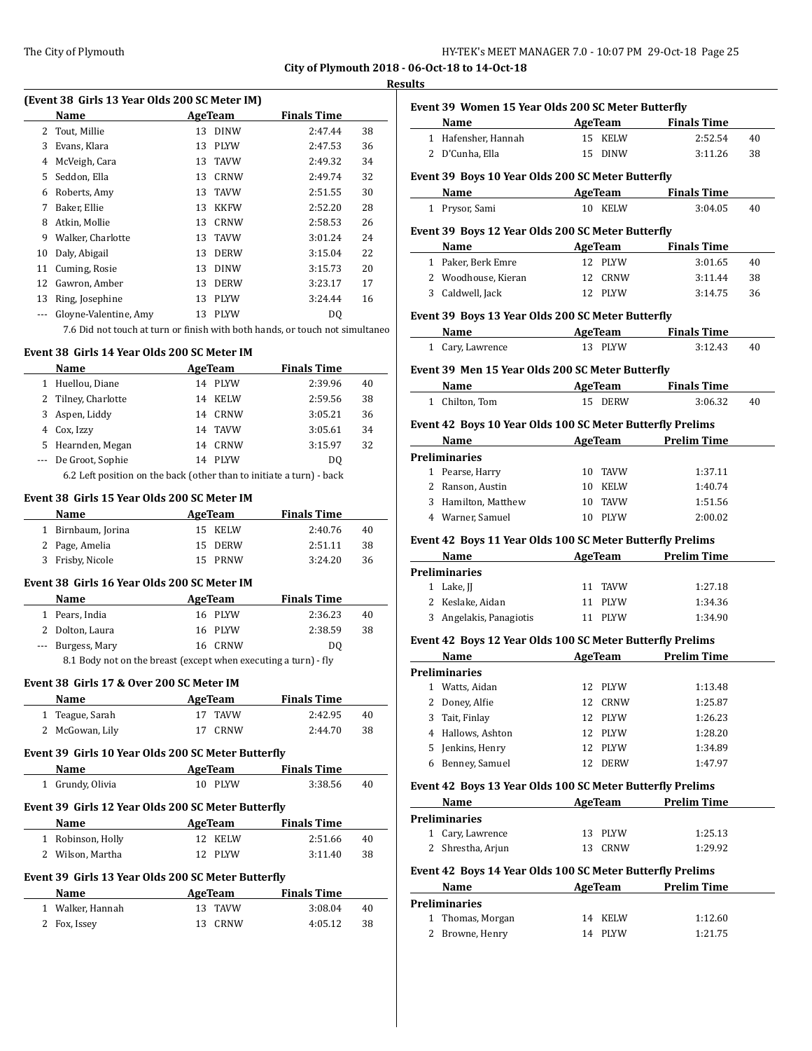$\overline{a}$ 

| HY-TEK's MEET MANAGER 7.0 - 10:07 PM 29-Oct-18 Page 25 |  |  |  |
|--------------------------------------------------------|--|--|--|
|--------------------------------------------------------|--|--|--|

**City of Plymouth 2018 - 06-Oct-18 to 14-Oct-18**

#### **Results**

| (Event 38 Girls 13 Year Olds 200 SC Meter IM) |                       |    |             |                    |    |  |
|-----------------------------------------------|-----------------------|----|-------------|--------------------|----|--|
|                                               | Name<br>AgeTeam       |    |             | <b>Finals Time</b> |    |  |
| 2                                             | Tout, Millie          | 13 | <b>DINW</b> | 2:47.44            | 38 |  |
| 3                                             | Evans, Klara          | 13 | <b>PLYW</b> | 2:47.53            | 36 |  |
| 4                                             | McVeigh, Cara         | 13 | <b>TAVW</b> | 2:49.32            | 34 |  |
| 5.                                            | Seddon, Ella          | 13 | CRNW        | 2:49.74            | 32 |  |
| 6                                             | Roberts, Amy          | 13 | <b>TAVW</b> | 2:51.55            | 30 |  |
| 7                                             | Baker, Ellie          | 13 | <b>KKFW</b> | 2:52.20            | 28 |  |
| 8                                             | Atkin, Mollie         | 13 | <b>CRNW</b> | 2:58.53            | 26 |  |
| 9                                             | Walker, Charlotte     | 13 | <b>TAVW</b> | 3:01.24            | 24 |  |
| 10                                            | Daly, Abigail         | 13 | <b>DERW</b> | 3:15.04            | 22 |  |
| 11                                            | Cuming, Rosie         | 13 | <b>DINW</b> | 3:15.73            | 20 |  |
| 12                                            | Gawron, Amber         | 13 | <b>DERW</b> | 3:23.17            | 17 |  |
| 13                                            | Ring, Josephine       | 13 | <b>PLYW</b> | 3:24.44            | 16 |  |
|                                               | Gloyne-Valentine, Amy | 13 | <b>PLYW</b> | DO.                |    |  |
|                                               |                       |    |             |                    |    |  |

7.6 Did not touch at turn or finish with both hands, or touch not simultaneo

#### **Event 38 Girls 14 Year Olds 200 SC Meter IM**

|    | Name                                                                 | <b>AgeTeam</b> |             | <b>Finals Time</b> |    |  |
|----|----------------------------------------------------------------------|----------------|-------------|--------------------|----|--|
|    | Huellou, Diane                                                       | 14             | PLYW        | 2:39.96            | 40 |  |
|    | 2 Tilney, Charlotte                                                  | 14             | <b>KELW</b> | 2:59.56            | 38 |  |
| 3  | Aspen, Liddy                                                         | 14             | CRNW        | 3:05.21            | 36 |  |
| 4  | Cox, Izzy                                                            |                | 14 TAVW     | 3:05.61            | 34 |  |
| 5. | Hearnden, Megan                                                      | 14             | CRNW        | 3:15.97            | 32 |  |
|    | --- De Groot, Sophie                                                 | 14             | PLYW        | DO.                |    |  |
|    | 6.2 Left position on the back (other than to initiate a turn) - back |                |             |                    |    |  |

#### **Event 38 Girls 15 Year Olds 200 SC Meter IM**

| Name |                    | AgeTeam | <b>Finals Time</b> |    |
|------|--------------------|---------|--------------------|----|
|      | 1 Birnbaum, Jorina | 15 KELW | 2:40.76            | 40 |
|      | 2 Page, Amelia     | 15 DERW | 2:51.11            | 38 |
|      | 3 Frisby, Nicole   | 15 PRNW | 3:24.20            | 36 |

#### **Event 38 Girls 16 Year Olds 200 SC Meter IM**

| <b>Name</b>       | AgeTeam | <b>Finals Time</b> |    |
|-------------------|---------|--------------------|----|
| 1 Pears, India    | 16 PLYW | 2:36.23            | 40 |
| 2 Dolton, Laura   | 16 PLYW | 2:38.59            | 38 |
| --- Burgess, Mary | 16 CRNW | DO                 |    |
|                   |         |                    |    |

8.1 Body not on the breast (except when executing a turn) - fly

## **Event 38 Girls 17 & Over 200 SC Meter IM**

| <b>Name</b>     | AgeTeam | <b>Finals Time</b> |    |
|-----------------|---------|--------------------|----|
| 1 Teague, Sarah | 17 TAVW | 2:42.95            | 40 |
| 2 McGowan, Lily | 17 CRNW | 2:44.70            | 38 |

# **Event 39 Girls 10 Year Olds 200 SC Meter Butterfly**

| <b>Name</b>                                        | AgeTeam | <b>Finals Time</b> |    |  |
|----------------------------------------------------|---------|--------------------|----|--|
| 1 Grundy, Olivia                                   | 10 PLYW | 3:38.56            | 40 |  |
| Event 39 Girls 12 Year Olds 200 SC Meter Butterfly |         |                    |    |  |
| Name                                               | AgaTaam | Finale Time        |    |  |

| Name              | <b>AgeTeam</b> | <b>Finals</b> Time |    |
|-------------------|----------------|--------------------|----|
| 1 Robinson, Holly | 12 KELW        | 2:51.66            | 40 |
| 2 Wilson, Martha  | 12 PLYW        | 3:11.40            | 38 |
|                   |                |                    |    |

# **Event 39 Girls 13 Year Olds 200 SC Meter Butterfly**

| <b>Name</b>      | AgeTeam | <b>Finals Time</b> |    |
|------------------|---------|--------------------|----|
| 1 Walker, Hannah | 13 TAVW | 3:08.04            | 40 |
| 2 Fox, Issey     | 13 CRNW | 4:05.12            | 38 |

|       | Name AgeTeam Finals Time                                          |                                       |                    |    |
|-------|-------------------------------------------------------------------|---------------------------------------|--------------------|----|
|       | 1 Hafensher, Hannah                                               | 15 KELW                               | 2:52.54            | 40 |
|       | 2 D'Cunha, Ella                                                   | 15 DINW                               | 3:11.26            | 38 |
|       | Event 39 Boys 10 Year Olds 200 SC Meter Butterfly                 |                                       |                    |    |
|       | Name AgeTeam Finals Time                                          |                                       |                    |    |
|       | 1 Prysor, Sami                                                    | 10 KELW                               | 3:04.05            | 40 |
|       |                                                                   |                                       |                    |    |
|       | Event 39 Boys 12 Year Olds 200 SC Meter Butterfly                 |                                       |                    |    |
|       | <b>Name</b>                                                       | <b>Example 2 AgeTeam</b> Finals Time  |                    |    |
|       | 1 Paker, Berk Emre                                                | 12 PLYW                               | 3:01.65            | 40 |
|       | 2 Woodhouse, Kieran                                               | 12 CRNW                               | 3:11.44            | 38 |
|       | 3 Caldwell, Jack                                                  | 12 PLYW                               | 3:14.75            | 36 |
|       | Event 39 Boys 13 Year Olds 200 SC Meter Butterfly                 |                                       |                    |    |
|       | Name AgeTeam Finals Time                                          |                                       |                    |    |
|       | 1 Cary, Lawrence                                                  | 13 PLYW                               | 3:12.43            | 40 |
|       |                                                                   |                                       |                    |    |
|       | Event 39 Men 15 Year Olds 200 SC Meter Butterfly                  |                                       |                    |    |
|       | Name AgeTeam Finals Time                                          |                                       |                    |    |
|       | 1 Chilton, Tom                                                    | 15 DERW                               | 3:06.32            | 40 |
|       | Event 42 Boys 10 Year Olds 100 SC Meter Butterfly Prelims         |                                       |                    |    |
|       | Name AgeTeam Prelim Time                                          |                                       |                    |    |
|       | <b>Preliminaries</b>                                              |                                       |                    |    |
|       | 1 Pearse, Harry                                                   | 10 TAVW                               | 1:37.11            |    |
|       | 2 Ranson, Austin                                                  | 10 KELW                               | 1:40.74            |    |
|       | 3 Hamilton, Matthew                                               | 10 TAVW                               | 1:51.56            |    |
|       | 4 Warner, Samuel                                                  | 10 PLYW                               | 2:00.02            |    |
|       | Event 42 Boys 11 Year Olds 100 SC Meter Butterfly Prelims         |                                       |                    |    |
|       | Name                                                              | AgeTeam Prelim Time                   |                    |    |
|       |                                                                   |                                       |                    |    |
|       |                                                                   |                                       |                    |    |
|       | <b>Preliminaries</b>                                              |                                       |                    |    |
|       | 1 Lake, JJ                                                        | 11 TAVW                               | 1:27.18            |    |
|       | 2 Keslake, Aidan                                                  | 11 PLYW                               | 1:34.36            |    |
|       | 3 Angelakis, Panagiotis                                           | 11 PLYW                               | 1:34.90            |    |
|       | Event 42 Boys 12 Year Olds 100 SC Meter Butterfly Prelims         |                                       |                    |    |
|       | Name AgeTeam Prelim Time                                          |                                       |                    |    |
|       | <b>Preliminaries</b>                                              |                                       |                    |    |
|       | 1 Watts, Aidan                                                    | 12 PLYW                               | 1:13.48            |    |
| 2     | Doney, Alfie                                                      | 12<br><b>CRNW</b>                     | 1:25.87            |    |
| 3     | Tait, Finlay                                                      | 12 PLYW                               | 1:26.23            |    |
|       | 4 Hallows, Ashton                                                 | 12 PLYW                               | 1:28.20            |    |
|       | 5 Jenkins, Henry                                                  | 12 PLYW                               | 1:34.89            |    |
|       | 6 Benney, Samuel                                                  | 12 DERW                               | 1:47.97            |    |
|       |                                                                   |                                       |                    |    |
|       | Event 42 Boys 13 Year Olds 100 SC Meter Butterfly Prelims<br>Name |                                       |                    |    |
|       | <b>Preliminaries</b>                                              | <b>AgeTeam</b>                        | <b>Prelim Time</b> |    |
|       | 1 Cary, Lawrence                                                  | 13 PLYW                               | 1:25.13            |    |
|       |                                                                   |                                       |                    |    |
| 2     | Shrestha, Arjun                                                   | 13 CRNW                               | 1:29.92            |    |
|       | Event 42 Boys 14 Year Olds 100 SC Meter Butterfly Prelims         |                                       |                    |    |
|       | Name                                                              | <b>Example 21 AgeTeam</b> Prelim Time |                    |    |
|       | <b>Preliminaries</b>                                              |                                       |                    |    |
| $1\,$ | Thomas, Morgan                                                    | 14 KELW                               | 1:12.60            |    |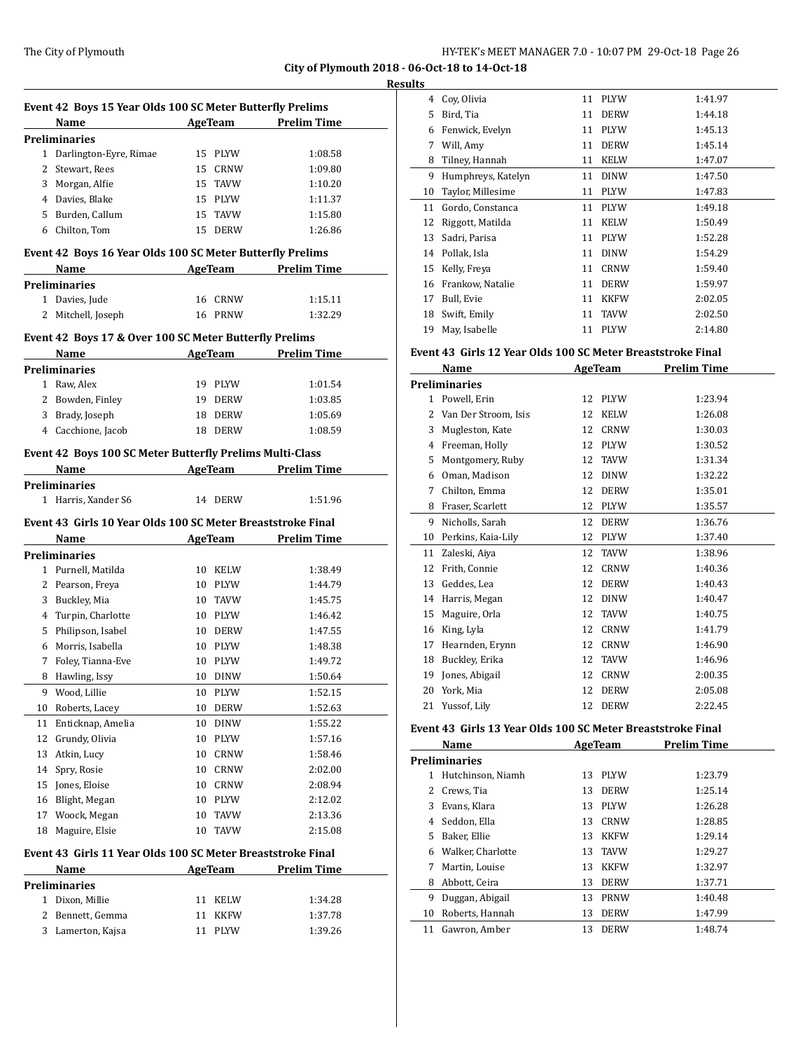#### **Results**

 $\overline{a}$ 

 $\overline{a}$ 

|    | Event 42 Boys 15 Year Olds 100 SC Meter Butterfly Prelims   |                            |                |                     |
|----|-------------------------------------------------------------|----------------------------|----------------|---------------------|
|    | Name                                                        | <b>Example 2.5 AgeTeam</b> |                | <b>Prelim Time</b>  |
|    | <b>Preliminaries</b>                                        |                            |                |                     |
|    | 1 Darlington-Eyre, Rimae                                    |                            | 15 PLYW        | 1:08.58             |
| 2  | Stewart, Rees                                               |                            | 15 CRNW        | 1:09.80             |
|    | 3 Morgan, Alfie                                             |                            | 15 TAVW        | 1:10.20             |
|    | 4 Davies, Blake                                             |                            | 15 PLYW        | 1:11.37             |
|    | 5 Burden, Callum                                            |                            | 15 TAVW        | 1:15.80             |
|    | 6 Chilton, Tom                                              |                            | 15 DERW        | 1:26.86             |
|    | Event 42 Boys 16 Year Olds 100 SC Meter Butterfly Prelims   |                            |                |                     |
|    | Name                                                        |                            |                | AgeTeam Prelim Time |
|    | Preliminaries                                               |                            |                |                     |
|    | 1 Davies, Jude                                              |                            | 16 CRNW        | 1:15.11             |
|    | 2 Mitchell, Joseph                                          |                            | 16 PRNW        | 1:32.29             |
|    |                                                             |                            |                |                     |
|    | Event 42 Boys 17 & Over 100 SC Meter Butterfly Prelims      |                            |                |                     |
|    | Name AgeTeam                                                |                            |                | <b>Prelim Time</b>  |
|    | <b>Preliminaries</b>                                        |                            |                |                     |
|    | 1 Raw, Alex                                                 |                            | 19 PLYW        | 1:01.54             |
|    | 2 Bowden, Finley                                            |                            | 19 DERW        | 1:03.85             |
|    | 3 Brady, Joseph                                             |                            | 18 DERW        | 1:05.69             |
|    | 4 Cacchione, Jacob                                          |                            | 18 DERW        | 1:08.59             |
|    | Event 42 Boys 100 SC Meter Butterfly Prelims Multi-Class    |                            |                |                     |
|    | <b>Example 21 AgeTeam</b><br>Name                           |                            |                | <b>Prelim Time</b>  |
|    | <b>Preliminaries</b>                                        |                            |                |                     |
|    | 1 Harris, Xander S6                                         |                            | 14 DERW        | 1:51.96             |
|    |                                                             |                            |                |                     |
|    | Event 43 Girls 10 Year Olds 100 SC Meter Breaststroke Final |                            |                |                     |
|    | Name                                                        |                            | <b>AgeTeam</b> | <b>Prelim Time</b>  |
|    | Preliminaries                                               |                            |                |                     |
|    | 1 Purnell, Matilda                                          |                            | 10 KELW        | 1:38.49             |
|    | 2 Pearson, Freya                                            |                            | 10 PLYW        | 1:44.79             |
|    | 3 Buckley, Mia                                              |                            | 10 TAVW        | 1:45.75             |
|    | 4 Turpin, Charlotte                                         |                            | 10 PLYW        | 1:46.42             |
|    | 5 Philipson, Isabel                                         |                            | 10 DERW        | 1:47.55             |
|    | 6 Morris, Isabella                                          |                            | 10 PLYW        | 1:48.38             |
| 7  | Foley, Tianna-Eve                                           |                            | 10 PLYW        | 1:49.72             |
| 8  | Hawling, Issy                                               |                            | 10 DINW        | 1:50.64             |
| 9  | Wood, Lillie                                                | $10\,$                     | PLYW           | 1:52.15             |
| 10 | Roberts, Lacey                                              | 10                         | <b>DERW</b>    | 1:52.63             |
| 11 | Enticknap, Amelia                                           | 10                         | <b>DINW</b>    | 1:55.22             |
| 12 | Grundy, Olivia                                              | 10                         | PLYW           | 1:57.16             |
| 13 | Atkin, Lucy                                                 | 10                         | <b>CRNW</b>    | 1:58.46             |
| 14 | Spry, Rosie                                                 | 10                         | CRNW           | 2:02.00             |
| 15 | Jones, Eloise                                               | 10                         | CRNW           | 2:08.94             |
| 16 | Blight, Megan                                               | 10                         | PLYW           | 2:12.02             |
| 17 | Woock, Megan                                                | 10                         | TAVW           | 2:13.36             |
| 18 | Maguire, Elsie                                              | 10                         | <b>TAVW</b>    | 2:15.08             |
|    | Event 43 Girls 11 Year Olds 100 SC Meter Breaststroke Final |                            |                |                     |
|    | Name                                                        |                            | AgeTeam        | <b>Prelim Time</b>  |
|    | Preliminaries                                               |                            |                |                     |
| 1  | Dixon, Millie                                               | 11                         | KELW           | 1:34.28             |
| 2  | Bennett, Gemma                                              | 11                         | <b>KKFW</b>    | 1:37.78             |
| 3  | Lamerton, Kajsa                                             | 11                         | PLYW           | 1:39.26             |
|    |                                                             |                            |                |                     |

| w  |                    |    |             |         |
|----|--------------------|----|-------------|---------|
| 4  | Coy, Olivia        | 11 | <b>PLYW</b> | 1:41.97 |
| 5  | Bird, Tia          | 11 | <b>DERW</b> | 1:44.18 |
| 6  | Fenwick, Evelyn    | 11 | <b>PLYW</b> | 1:45.13 |
| 7  | Will, Amy          | 11 | <b>DERW</b> | 1:45.14 |
| 8  | Tilney, Hannah     | 11 | <b>KELW</b> | 1:47.07 |
| 9  | Humphreys, Katelyn | 11 | <b>DINW</b> | 1:47.50 |
| 10 | Taylor, Millesime  | 11 | <b>PLYW</b> | 1:47.83 |
| 11 | Gordo, Constanca   | 11 | <b>PLYW</b> | 1:49.18 |
| 12 | Riggott, Matilda   | 11 | <b>KELW</b> | 1:50.49 |
| 13 | Sadri, Parisa      | 11 | <b>PLYW</b> | 1:52.28 |
| 14 | Pollak, Isla       | 11 | <b>DINW</b> | 1:54.29 |
| 15 | Kelly, Freya       | 11 | <b>CRNW</b> | 1:59.40 |
| 16 | Frankow, Natalie   | 11 | <b>DERW</b> | 1:59.97 |
| 17 | Bull, Evie         | 11 | <b>KKFW</b> | 2:02.05 |
| 18 | Swift, Emily       | 11 | <b>TAVW</b> | 2:02.50 |
| 19 | May, Isabelle      | 11 | <b>PLYW</b> | 2:14.80 |

## **Event 43 Girls 12 Year Olds 100 SC Meter Breaststroke Final**

|    | Name                 | AgeTeam |             | <b>Prelim Time</b> |  |
|----|----------------------|---------|-------------|--------------------|--|
|    | <b>Preliminaries</b> |         |             |                    |  |
| 1  | Powell, Erin         | 12      | <b>PLYW</b> | 1:23.94            |  |
| 2  | Van Der Stroom, Isis | 12      | <b>KELW</b> | 1:26.08            |  |
| 3  | Mugleston, Kate      | 12      | <b>CRNW</b> | 1:30.03            |  |
| 4  | Freeman, Holly       | 12      | <b>PLYW</b> | 1:30.52            |  |
| 5  | Montgomery, Ruby     | 12      | <b>TAVW</b> | 1:31.34            |  |
| 6  | Oman, Madison        | 12      | <b>DINW</b> | 1:32.22            |  |
| 7  | Chilton, Emma        | 12      | <b>DERW</b> | 1:35.01            |  |
| 8  | Fraser, Scarlett     | 12      | <b>PLYW</b> | 1:35.57            |  |
| 9  | Nicholls, Sarah      | 12      | <b>DERW</b> | 1:36.76            |  |
| 10 | Perkins, Kaia-Lily   | 12      | <b>PLYW</b> | 1:37.40            |  |
| 11 | Zaleski, Aiya        | 12      | <b>TAVW</b> | 1:38.96            |  |
| 12 | Frith, Connie        | 12      | <b>CRNW</b> | 1:40.36            |  |
| 13 | Geddes, Lea          | 12      | <b>DERW</b> | 1:40.43            |  |
| 14 | Harris, Megan        | 12      | <b>DINW</b> | 1:40.47            |  |
| 15 | Maguire, Orla        | 12      | <b>TAVW</b> | 1:40.75            |  |
| 16 | King, Lyla           | 12      | <b>CRNW</b> | 1:41.79            |  |
| 17 | Hearnden, Erynn      | 12      | <b>CRNW</b> | 1:46.90            |  |
| 18 | Buckley, Erika       | 12      | <b>TAVW</b> | 1:46.96            |  |
| 19 | Jones, Abigail       | 12      | <b>CRNW</b> | 2:00.35            |  |
| 20 | York, Mia            | 12      | <b>DERW</b> | 2:05.08            |  |
| 21 | Yussof, Lily         | 12      | <b>DERW</b> | 2:22.45            |  |

#### **Event 43 Girls 13 Year Olds 100 SC Meter Breaststroke Final**

|    | Name                 |    | AgeTeam     | <b>Prelim Time</b> |  |
|----|----------------------|----|-------------|--------------------|--|
|    | <b>Preliminaries</b> |    |             |                    |  |
| 1  | Hutchinson, Niamh    | 13 | <b>PLYW</b> | 1:23.79            |  |
| 2  | Crews, Tia           | 13 | <b>DERW</b> | 1:25.14            |  |
| 3  | Evans, Klara         | 13 | <b>PLYW</b> | 1:26.28            |  |
| 4  | Seddon, Ella         | 13 | CRNW        | 1:28.85            |  |
| 5. | Baker, Ellie         | 13 | <b>KKFW</b> | 1:29.14            |  |
| 6  | Walker, Charlotte    | 13 | TAVW        | 1:29.27            |  |
| 7  | Martin, Louise       | 13 | <b>KKFW</b> | 1:32.97            |  |
| 8  | Abbott, Ceira        | 13 | <b>DERW</b> | 1:37.71            |  |
| 9  | Duggan, Abigail      | 13 | <b>PRNW</b> | 1:40.48            |  |
| 10 | Roberts, Hannah      | 13 | <b>DERW</b> | 1:47.99            |  |
| 11 | Gawron, Amber        | 13 | <b>DERW</b> | 1:48.74            |  |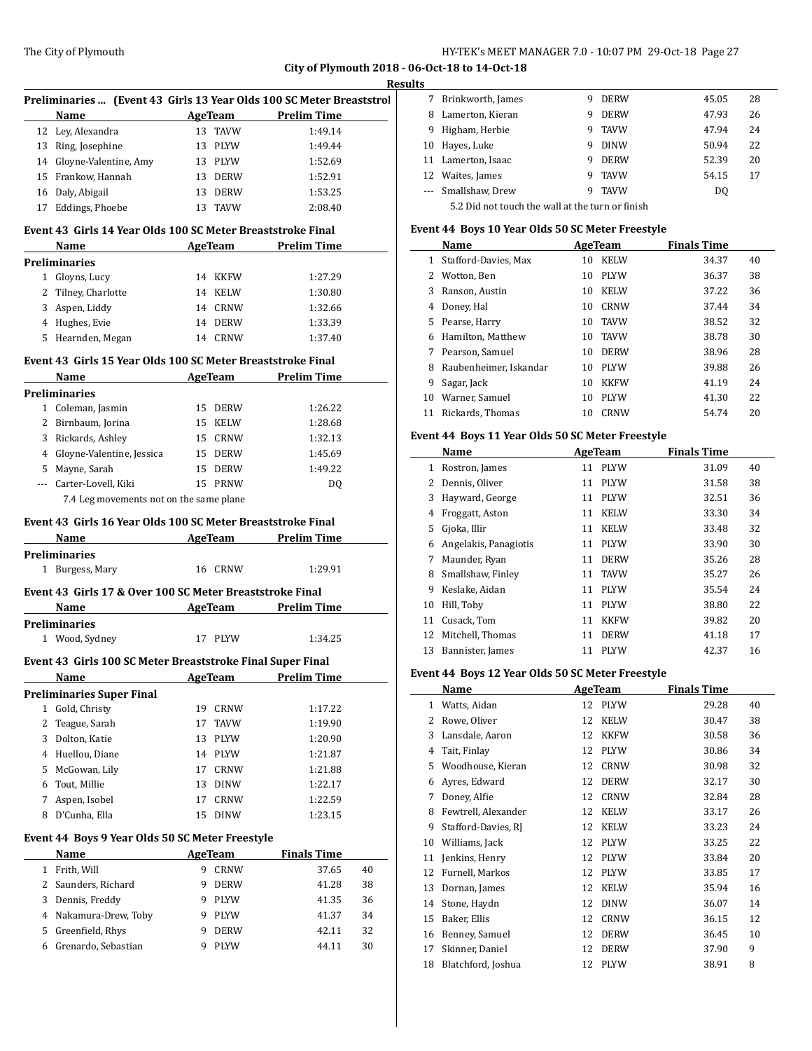|   |                                                                      |                        |                                      | <b>Results</b> |
|---|----------------------------------------------------------------------|------------------------|--------------------------------------|----------------|
|   | Preliminaries  (Event 43 Girls 13 Year Olds 100 SC Meter Breaststrol |                        |                                      |                |
|   | Name                                                                 |                        | AgeTeam Prelim Time                  |                |
|   | 12 Ley, Alexandra                                                    | 13 TAVW                | 1:49.14                              |                |
|   | 13 Ring, Josephine                                                   | 13 PLYW                | 1:49.44                              |                |
|   | 14 Gloyne-Valentine, Amy                                             | 13 PLYW                | 1:52.69                              |                |
|   | 15 Frankow, Hannah                                                   | 13 DERW                | 1:52.91                              |                |
|   | 16 Daly, Abigail                                                     | 13 DERW                | 1:53.25                              |                |
|   | 17 Eddings, Phoebe                                                   | 13 TAVW                | 2:08.40                              |                |
|   | Event 43 Girls 14 Year Olds 100 SC Meter Breaststroke Final          |                        |                                      |                |
|   | Name                                                                 |                        | <b>Example 2 AgeTeam</b> Prelim Time |                |
|   | <b>Preliminaries</b>                                                 |                        |                                      |                |
|   | 1 Gloyns, Lucy                                                       | 14 KKFW                | 1:27.29                              |                |
|   | 2 Tilney, Charlotte                                                  | 14 KELW                | 1:30.80                              |                |
|   | 3 Aspen, Liddy                                                       | 14 CRNW                | 1:32.66                              |                |
|   | 4 Hughes, Evie                                                       | 14 DERW                | 1:33.39                              |                |
|   | 5 Hearnden, Megan                                                    | 14 CRNW                | 1:37.40                              |                |
|   | Event 43 Girls 15 Year Olds 100 SC Meter Breaststroke Final          |                        |                                      |                |
|   | Name                                                                 |                        | <b>AgeTeam</b> Prelim Time           |                |
|   | <b>Preliminaries</b>                                                 |                        |                                      |                |
|   | 1 Coleman, Jasmin                                                    | 15 DERW                | 1:26.22                              |                |
|   | 2 Birnbaum, Jorina                                                   | 15 KELW                | 1:28.68                              |                |
|   | 3 Rickards, Ashley                                                   | 15 CRNW                | 1:32.13                              |                |
|   | 4 Glovne-Valentine, Jessica                                          | 15 DERW                | 1:45.69                              |                |
|   | 5 Mayne, Sarah                                                       | 15 DERW                | 1:49.22                              |                |
|   | --- Carter-Lovell, Kiki                                              | 15 PRNW                | DQ                                   |                |
|   | 7.4 Leg movements not on the same plane                              |                        |                                      |                |
|   |                                                                      |                        |                                      |                |
|   | Event 43 Girls 16 Year Olds 100 SC Meter Breaststroke Final          |                        |                                      |                |
|   |                                                                      |                        |                                      |                |
|   | Name                                                                 |                        | <b>Examen Prelim Time</b>            |                |
|   | <b>Preliminaries</b>                                                 |                        |                                      |                |
|   | 1 Burgess, Mary                                                      | 16 CRNW                | 1:29.91                              |                |
|   | Event 43 Girls 17 & Over 100 SC Meter Breaststroke Final             |                        |                                      |                |
|   | Name                                                                 |                        | AgeTeam Prelim Time                  |                |
|   | <b>Preliminaries</b>                                                 |                        |                                      |                |
|   | 1 Wood, Sydney                                                       | 17 PLYW                | 1:34.25                              |                |
|   | Event 43 Girls 100 SC Meter Breaststroke Final Super Final           |                        |                                      |                |
|   | <b>Name</b>                                                          | <b>AgeTeam</b>         | <u>Prelim Time</u>                   |                |
|   | <b>Preliminaries Super Final</b>                                     |                        |                                      |                |
| 1 | Gold, Christy                                                        | 19 CRNW                | 1:17.22                              |                |
| 2 | Teague, Sarah                                                        | 17<br>TAVW             | 1:19.90                              |                |
|   | 3 Dolton, Katie                                                      | PLYW<br>13             | 1:20.90                              |                |
|   | 4 Huellou, Diane                                                     | 14 PLYW                | 1:21.87                              |                |
|   | 5 McGowan, Lily                                                      | CRNW<br>17             | 1:21.88                              |                |
|   | 6 Tout, Millie                                                       | 13<br><b>DINW</b>      | 1:22.17                              |                |
| 7 | Aspen, Isobel                                                        | CRNW<br>17             | 1:22.59                              |                |
| 8 | D'Cunha, Ella                                                        | 15 DINW                | 1:23.15                              |                |
|   | Event 44 Boys 9 Year Olds 50 SC Meter Freestyle                      |                        |                                      |                |
|   | Name                                                                 | <b>AgeTeam</b>         | <b>Finals Time</b>                   |                |
|   | 1 Frith, Will                                                        | CRNW<br>9              | 37.65                                | 40             |
|   | 2 Saunders, Richard                                                  | <b>DERW</b><br>9       | 41.28                                | 38             |
|   |                                                                      | 9                      |                                      |                |
|   | 3 Dennis, Freddy                                                     | PLYW                   | 41.35                                | 36             |
|   | 4 Nakamura-Drew, Toby                                                | 9 PLYW                 | 41.37                                | 34             |
| 6 | 5 Greenfield, Rhys<br>Grenardo, Sebastian                            | 9<br>DERW<br>PLYW<br>9 | 42.11<br>44.11                       | 32<br>30       |

| ື                                                                                                                                                                                                                                                                                                                                                                                                                                                                          |                    |   |             |                |    |  |
|----------------------------------------------------------------------------------------------------------------------------------------------------------------------------------------------------------------------------------------------------------------------------------------------------------------------------------------------------------------------------------------------------------------------------------------------------------------------------|--------------------|---|-------------|----------------|----|--|
| 7                                                                                                                                                                                                                                                                                                                                                                                                                                                                          | Brinkworth, James  | 9 | <b>DERW</b> | 45.05          | 28 |  |
| 8                                                                                                                                                                                                                                                                                                                                                                                                                                                                          | Lamerton, Kieran   | 9 | <b>DERW</b> | 47.93          | 26 |  |
| 9                                                                                                                                                                                                                                                                                                                                                                                                                                                                          | Higham, Herbie     | 9 | <b>TAVW</b> | 47.94          | 24 |  |
| 10                                                                                                                                                                                                                                                                                                                                                                                                                                                                         | Hayes, Luke        | 9 | <b>DINW</b> | 50.94          | 22 |  |
|                                                                                                                                                                                                                                                                                                                                                                                                                                                                            | 11 Lamerton, Isaac | 9 | <b>DERW</b> | 52.39          | 20 |  |
| 12                                                                                                                                                                                                                                                                                                                                                                                                                                                                         | Waites, James      | 9 | <b>TAVW</b> | 54.15          | 17 |  |
| $\frac{1}{2} \left( \frac{1}{2} \right) \left( \frac{1}{2} \right) \left( \frac{1}{2} \right) \left( \frac{1}{2} \right) \left( \frac{1}{2} \right) \left( \frac{1}{2} \right) \left( \frac{1}{2} \right) \left( \frac{1}{2} \right) \left( \frac{1}{2} \right) \left( \frac{1}{2} \right) \left( \frac{1}{2} \right) \left( \frac{1}{2} \right) \left( \frac{1}{2} \right) \left( \frac{1}{2} \right) \left( \frac{1}{2} \right) \left( \frac{1}{2} \right) \left( \frac$ | Smallshaw, Drew    | 9 | <b>TAVW</b> | D <sub>0</sub> |    |  |
| 5.2 Did not touch the wall at the turn or finish                                                                                                                                                                                                                                                                                                                                                                                                                           |                    |   |             |                |    |  |

**Event 44 Boys 10 Year Olds 50 SC Meter Freestyle**

|    | Name                   | AgeTeam |             | <b>Finals Time</b> |    |
|----|------------------------|---------|-------------|--------------------|----|
|    | Stafford-Davies, Max   | 10      | <b>KELW</b> | 34.37              | 40 |
| 2  | Wotton, Ben            | 10      | <b>PLYW</b> | 36.37              | 38 |
| 3  | Ranson, Austin         | 10      | <b>KELW</b> | 37.22              | 36 |
| 4  | Doney, Hal             | 10      | CRNW        | 37.44              | 34 |
| 5  | Pearse, Harry          | 10      | <b>TAVW</b> | 38.52              | 32 |
| 6  | Hamilton, Matthew      | 10      | <b>TAVW</b> | 38.78              | 30 |
| 7  | Pearson, Samuel        | 10      | <b>DERW</b> | 38.96              | 28 |
| 8  | Raubenheimer, Iskandar | 10      | <b>PLYW</b> | 39.88              | 26 |
| 9  | Sagar, Jack            | 10      | <b>KKFW</b> | 41.19              | 24 |
| 10 | Warner, Samuel         | 10      | <b>PLYW</b> | 41.30              | 22 |
| 11 | Rickards. Thomas       | 10      | CRNW        | 54.74              | 20 |

## **Event 44 Boys 11 Year Olds 50 SC Meter Freestyle**

| Name |                       |    | AgeTeam     | <b>Finals Time</b> |    |
|------|-----------------------|----|-------------|--------------------|----|
| 1    | Rostron, James        | 11 | <b>PLYW</b> | 31.09              | 40 |
| 2    | Dennis, Oliver        | 11 | <b>PLYW</b> | 31.58              | 38 |
| 3    | Hayward, George       | 11 | <b>PLYW</b> | 32.51              | 36 |
| 4    | Froggatt, Aston       | 11 | <b>KELW</b> | 33.30              | 34 |
| 5.   | Gjoka, Illir          | 11 | <b>KELW</b> | 33.48              | 32 |
| 6    | Angelakis, Panagiotis | 11 | <b>PLYW</b> | 33.90              | 30 |
| 7    | Maunder, Ryan         | 11 | <b>DERW</b> | 35.26              | 28 |
| 8    | Smallshaw, Finley     | 11 | <b>TAVW</b> | 35.27              | 26 |
| 9    | Keslake, Aidan        | 11 | <b>PLYW</b> | 35.54              | 24 |
| 10   | Hill, Toby            | 11 | <b>PLYW</b> | 38.80              | 22 |
| 11   | Cusack, Tom           | 11 | <b>KKFW</b> | 39.82              | 20 |
| 12   | Mitchell, Thomas      | 11 | <b>DERW</b> | 41.18              | 17 |
| 13   | Bannister, James      | 11 | PLYW        | 42.37              | 16 |

# **Event 44 Boys 12 Year Olds 50 SC Meter Freestyle**

| Name |                     |    | AgeTeam     | <b>Finals Time</b> |    |
|------|---------------------|----|-------------|--------------------|----|
| 1    | Watts, Aidan        | 12 | <b>PLYW</b> | 29.28              | 40 |
| 2    | Rowe, Oliver        | 12 | <b>KELW</b> | 30.47              | 38 |
| 3    | Lansdale, Aaron     | 12 | <b>KKFW</b> | 30.58              | 36 |
| 4    | Tait, Finlay        | 12 | <b>PLYW</b> | 30.86              | 34 |
| 5    | Woodhouse, Kieran   | 12 | <b>CRNW</b> | 30.98              | 32 |
| 6    | Ayres, Edward       | 12 | <b>DERW</b> | 32.17              | 30 |
| 7    | Doney, Alfie        | 12 | <b>CRNW</b> | 32.84              | 28 |
| 8    | Fewtrell, Alexander | 12 | <b>KELW</b> | 33.17              | 26 |
| 9    | Stafford-Davies, RJ | 12 | <b>KELW</b> | 33.23              | 24 |
| 10   | Williams, Jack      | 12 | <b>PLYW</b> | 33.25              | 22 |
| 11   | Jenkins, Henry      | 12 | <b>PLYW</b> | 33.84              | 20 |
| 12   | Furnell, Markos     | 12 | <b>PLYW</b> | 33.85              | 17 |
| 13   | Dornan, James       | 12 | <b>KELW</b> | 35.94              | 16 |
| 14   | Stone, Haydn        | 12 | <b>DINW</b> | 36.07              | 14 |
| 15   | Baker, Ellis        | 12 | <b>CRNW</b> | 36.15              | 12 |
| 16   | Benney, Samuel      | 12 | <b>DERW</b> | 36.45              | 10 |
| 17   | Skinner, Daniel     | 12 | <b>DERW</b> | 37.90              | 9  |
| 18   | Blatchford, Joshua  | 12 | <b>PLYW</b> | 38.91              | 8  |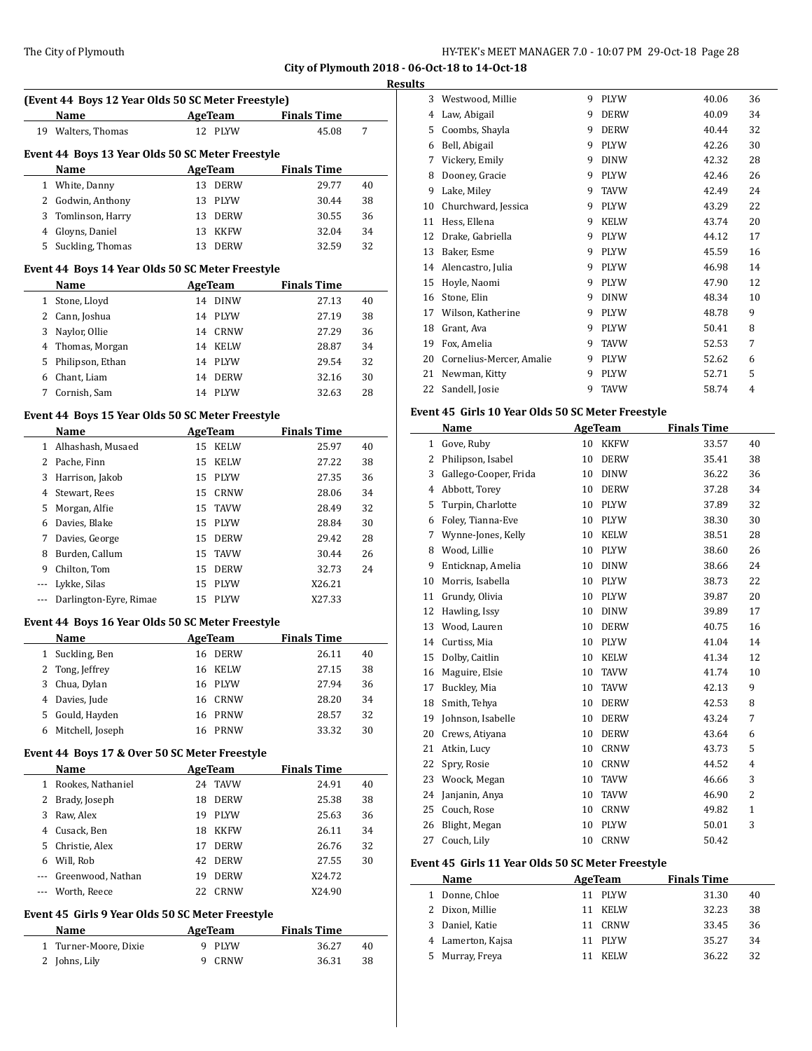**(Event 44 Boys 12 Year Olds 50 SC Meter Freestyle)**

**Name Age Team Finals Time** Walters, Thomas 12 PLYW 45.08 7

#### The City of Plymouth **HY-TEK's MEET MANAGER 7.0 - 10:07 PM 29-Oct-18** Page 28

**City of Plymouth 2018 - 06-Oct-18 to 14-Oct-18 Results**

# **Event 44 Boys 13 Year Olds 50 SC Meter Freestyle Name AgeTeam Finals Time**  White, Danny 13 DERW 29.77 40 Godwin, Anthony 13 PLYW 30.44 38 Tomlinson, Harry 13 DERW 30.55 36 Gloyns, Daniel 13 KKFW 32.04 34 Suckling, Thomas 13 DERW 32.59 32 **Event 44 Boys 14 Year Olds 50 SC Meter Freestyle Name AgeTeam Finals Time**  Stone, Lloyd 14 DINW 27.13 40 Cann, Joshua 14 PLYW 27.19 38 Naylor, Ollie 14 CRNW 27.29 36 Thomas, Morgan 14 KELW 28.87 34 Philipson, Ethan 14 PLYW 29.54 32 Chant, Liam 14 DERW 32.16 30 Cornish, Sam 14 PLYW 32.63 28 **Event 44 Boys 15 Year Olds 50 SC Meter Freestyle Name AgeTeam Finals Time**  Alhashash, Musaed 15 KELW 25.97 40 Pache, Finn 15 KELW 27.22 38 Harrison, Jakob 15 PLYW 27.35 36 Stewart, Rees 15 CRNW 28.06 34 Morgan, Alfie 15 TAVW 28.49 32 Davies, Blake 15 PLYW 28.84 30 Davies, George 15 DERW 29.42 28 Burden, Callum 15 TAVW 30.44 26 Chilton, Tom 15 DERW 32.73 24 --- Lykke, Silas 15 PLYW X26.21 --- Darlington-Eyre, Rimae 15 PLYW X27.33 **Event 44 Boys 16 Year Olds 50 SC Meter Freestyle Name Age Team Finals Time** Suckling, Ben 16 DERW 26.11 40 Tong, Jeffrey 16 KELW 27.15 38 Chua, Dylan 16 PLYW 27.94 36 Davies, Jude 16 CRNW 28.20 34 Gould, Hayden 16 PRNW 28.57 32 Mitchell, Joseph 16 PRNW 33.32 30 **Event 44 Boys 17 & Over 50 SC Meter Freestyle Name AgeTeam Finals Time**  Rookes, Nathaniel 24 TAVW 24.91 40 Brady, Joseph 18 DERW 25.38 38 Raw, Alex 19 PLYW 25.63 36 Cusack, Ben 18 KKFW 26.11 34 Christie, Alex 17 DERW 26.76 32 Will, Rob 42 DERW 27.55 30 --- Greenwood, Nathan 19 DERW X24.72

#### **Event 45 Girls 9 Year Olds 50 SC Meter Freestyle**

| Name                  | AgeTeam | <b>Finals Time</b> |  |  |
|-----------------------|---------|--------------------|--|--|
| 1 Turner-Moore, Dixie | 9 PLYW  | 36.27<br>40        |  |  |
| 2 Johns, Lily         | 9 CRNW  | 36.31<br>-38       |  |  |

--- Worth, Reece 22 CRNW X24.90

| 3  | Westwood, Millie         | 9 | <b>PLYW</b> | 40.06 | 36 |
|----|--------------------------|---|-------------|-------|----|
| 4  | Law, Abigail             | 9 | <b>DERW</b> | 40.09 | 34 |
| 5  | Coombs, Shayla           | 9 | <b>DERW</b> | 40.44 | 32 |
| 6  | Bell, Abigail            | 9 | <b>PLYW</b> | 42.26 | 30 |
| 7  | Vickery, Emily           | 9 | <b>DINW</b> | 42.32 | 28 |
| 8  | Dooney, Gracie           | 9 | <b>PLYW</b> | 42.46 | 26 |
| 9  | Lake, Miley              | 9 | <b>TAVW</b> | 42.49 | 24 |
| 10 | Churchward, Jessica      | 9 | <b>PLYW</b> | 43.29 | 22 |
| 11 | Hess, Ellena             | 9 | <b>KELW</b> | 43.74 | 20 |
| 12 | Drake, Gabriella         | 9 | <b>PLYW</b> | 44.12 | 17 |
| 13 | Baker, Esme              | 9 | <b>PLYW</b> | 45.59 | 16 |
| 14 | Alencastro, Julia        | 9 | <b>PLYW</b> | 46.98 | 14 |
| 15 | Hoyle, Naomi             | 9 | <b>PLYW</b> | 47.90 | 12 |
| 16 | Stone, Elin              | 9 | <b>DINW</b> | 48.34 | 10 |
| 17 | Wilson, Katherine        | 9 | <b>PLYW</b> | 48.78 | 9  |
| 18 | Grant, Ava               | 9 | <b>PLYW</b> | 50.41 | 8  |
| 19 | Fox, Amelia              | 9 | <b>TAVW</b> | 52.53 | 7  |
| 20 | Cornelius-Mercer, Amalie | 9 | <b>PLYW</b> | 52.62 | 6  |
| 21 | Newman, Kitty            | 9 | <b>PLYW</b> | 52.71 | 5  |
| 22 | Sandell, Josie           | 9 | <b>TAVW</b> | 58.74 | 4  |

#### **Event 45 Girls 10 Year Olds 50 SC Meter Freestyle**

|    | Name                  | <b>AgeTeam</b> |             | <b>Finals Time</b> |                |
|----|-----------------------|----------------|-------------|--------------------|----------------|
| 1  | Gove, Ruby            | 10             | <b>KKFW</b> | 33.57              | 40             |
| 2  | Philipson, Isabel     | 10             | <b>DERW</b> | 35.41              | 38             |
| 3  | Gallego-Cooper, Frida | 10             | <b>DINW</b> | 36.22              | 36             |
| 4  | Abbott, Torey         | 10             | <b>DERW</b> | 37.28              | 34             |
| 5  | Turpin, Charlotte     | 10             | <b>PLYW</b> | 37.89              | 32             |
| 6  | Foley, Tianna-Eve     | 10             | <b>PLYW</b> | 38.30              | 30             |
| 7  | Wynne-Jones, Kelly    | 10             | <b>KELW</b> | 38.51              | 28             |
| 8  | Wood, Lillie          | 10             | <b>PLYW</b> | 38.60              | 26             |
| 9  | Enticknap, Amelia     | 10             | <b>DINW</b> | 38.66              | 24             |
| 10 | Morris, Isabella      | 10             | <b>PLYW</b> | 38.73              | 22             |
| 11 | Grundy, Olivia        | 10             | <b>PLYW</b> | 39.87              | 20             |
| 12 | Hawling, Issy         | 10             | <b>DINW</b> | 39.89              | 17             |
| 13 | Wood, Lauren          | 10             | <b>DERW</b> | 40.75              | 16             |
| 14 | Curtiss, Mia          | 10             | <b>PLYW</b> | 41.04              | 14             |
| 15 | Dolby, Caitlin        | 10             | <b>KELW</b> | 41.34              | 12             |
| 16 | Maguire, Elsie        | 10             | <b>TAVW</b> | 41.74              | 10             |
| 17 | Buckley, Mia          | 10             | <b>TAVW</b> | 42.13              | 9              |
| 18 | Smith, Tehya          | 10             | <b>DERW</b> | 42.53              | 8              |
| 19 | Johnson, Isabelle     | 10             | <b>DERW</b> | 43.24              | 7              |
| 20 | Crews, Atiyana        | 10             | <b>DERW</b> | 43.64              | 6              |
| 21 | Atkin, Lucy           | 10             | <b>CRNW</b> | 43.73              | 5              |
| 22 | Spry, Rosie           | 10             | <b>CRNW</b> | 44.52              | $\overline{4}$ |
| 23 | Woock, Megan          | 10             | <b>TAVW</b> | 46.66              | 3              |
| 24 | Janjanin, Anya        | 10             | <b>TAVW</b> | 46.90              | $\overline{2}$ |
| 25 | Couch, Rose           | 10             | <b>CRNW</b> | 49.82              | $\mathbf{1}$   |
| 26 | Blight, Megan         | 10             | <b>PLYW</b> | 50.01              | 3              |
| 27 | Couch, Lily           | 10             | <b>CRNW</b> | 50.42              |                |

#### **Event 45 Girls 11 Year Olds 50 SC Meter Freestyle**

|   | <b>Name</b>       | AgeTeam     | <b>Finals Time</b> |    |
|---|-------------------|-------------|--------------------|----|
|   | Donne, Chloe      | 11 PLYW     | 31.30              | 40 |
|   | 2 Dixon, Millie   | KELW        | 32.23              | 38 |
|   | 3 Daniel, Katie   | CRNW<br>11  | 33.45              | 36 |
|   | 4 Lamerton, Kajsa | 11 PLYW     | 35.27              | 34 |
| 5 | Murray, Freya     | <b>KELW</b> | 36.22              | 32 |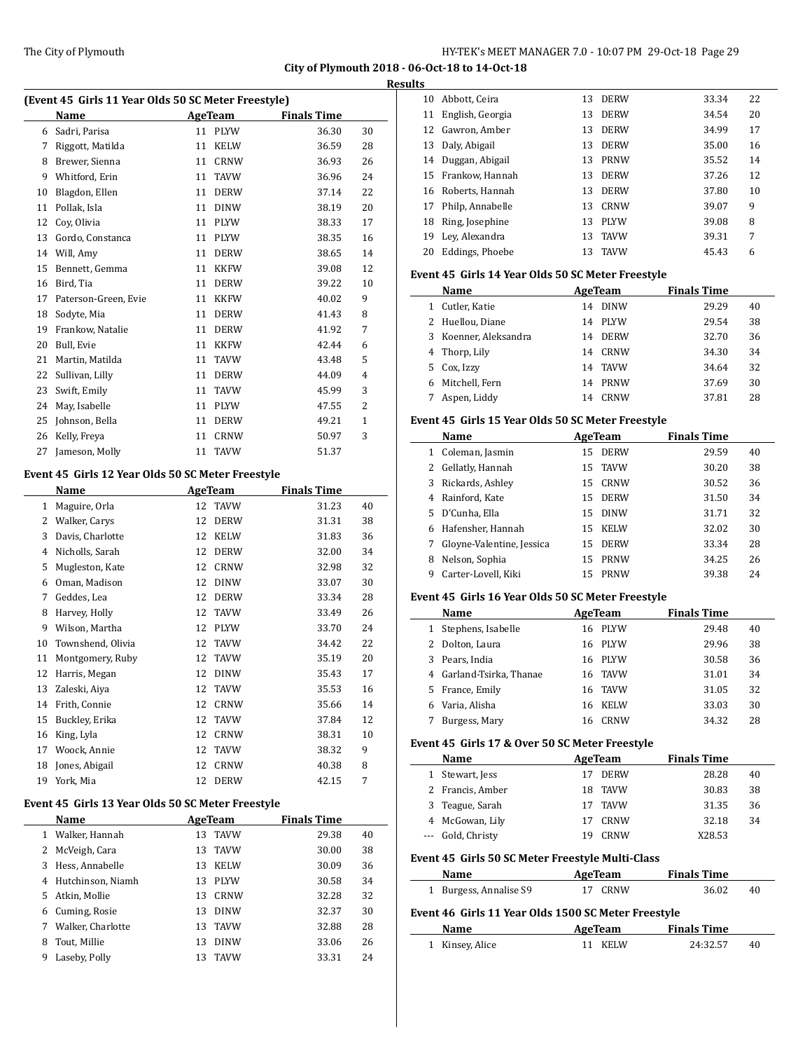| (Event 45 Girls 11 Year Olds 50 SC Meter Freestyle) |                      |         |             |                    |                |  |  |
|-----------------------------------------------------|----------------------|---------|-------------|--------------------|----------------|--|--|
|                                                     | Name                 | AgeTeam |             | <b>Finals Time</b> |                |  |  |
| 6                                                   | Sadri, Parisa        | 11      | <b>PLYW</b> | 36.30              | 30             |  |  |
| 7                                                   | Riggott, Matilda     | 11      | KELW        | 36.59              | 28             |  |  |
| 8                                                   | Brewer, Sienna       | 11      | <b>CRNW</b> | 36.93              | 26             |  |  |
| 9                                                   | Whitford, Erin       | 11      | <b>TAVW</b> | 36.96              | 24             |  |  |
| 10                                                  | Blagdon, Ellen       | 11      | <b>DERW</b> | 37.14              | 22             |  |  |
| 11                                                  | Pollak, Isla         | 11      | <b>DINW</b> | 38.19              | 20             |  |  |
| 12                                                  | Coy, Olivia          | 11      | <b>PLYW</b> | 38.33              | 17             |  |  |
| 13                                                  | Gordo, Constanca     | 11      | <b>PLYW</b> | 38.35              | 16             |  |  |
| 14                                                  | Will, Amy            | 11      | <b>DERW</b> | 38.65              | 14             |  |  |
| 15                                                  | Bennett, Gemma       | 11      | <b>KKFW</b> | 39.08              | 12             |  |  |
| 16                                                  | Bird, Tia            | 11      | <b>DERW</b> | 39.22              | 10             |  |  |
| 17                                                  | Paterson-Green, Evie | 11      | <b>KKFW</b> | 40.02              | 9              |  |  |
| 18                                                  | Sodyte, Mia          | 11      | <b>DERW</b> | 41.43              | 8              |  |  |
| 19                                                  | Frankow, Natalie     | 11      | <b>DERW</b> | 41.92              | 7              |  |  |
| 20                                                  | Bull, Evie           | 11      | <b>KKFW</b> | 42.44              | 6              |  |  |
| 21                                                  | Martin, Matilda      | 11      | <b>TAVW</b> | 43.48              | 5              |  |  |
| 22                                                  | Sullivan, Lilly      | 11      | <b>DERW</b> | 44.09              | 4              |  |  |
| 23                                                  | Swift, Emily         | 11      | <b>TAVW</b> | 45.99              | 3              |  |  |
| 24                                                  | May, Isabelle        | 11      | <b>PLYW</b> | 47.55              | $\overline{2}$ |  |  |
| 25                                                  | Johnson, Bella       | 11      | <b>DERW</b> | 49.21              | 1              |  |  |
| 26                                                  | Kelly, Freya         | 11      | <b>CRNW</b> | 50.97              | 3              |  |  |
| 27                                                  | Jameson, Molly       | 11      | <b>TAVW</b> | 51.37              |                |  |  |

## **Event 45 Girls 12 Year Olds 50 SC Meter Freestyle**

| Name              |    |             | <b>Finals Time</b> |    |
|-------------------|----|-------------|--------------------|----|
| Maguire, Orla     | 12 | <b>TAVW</b> | 31.23              | 40 |
| Walker, Carys     | 12 | <b>DERW</b> | 31.31              | 38 |
| Davis, Charlotte  | 12 | <b>KELW</b> | 31.83              | 36 |
| Nicholls, Sarah   | 12 | <b>DERW</b> | 32.00              | 34 |
| Mugleston, Kate   | 12 | <b>CRNW</b> | 32.98              | 32 |
| Oman, Madison     | 12 | <b>DINW</b> | 33.07              | 30 |
| Geddes, Lea       | 12 | <b>DERW</b> | 33.34              | 28 |
| Harvey, Holly     | 12 | <b>TAVW</b> | 33.49              | 26 |
| Wilson, Martha    | 12 | <b>PLYW</b> | 33.70              | 24 |
| Townshend, Olivia | 12 | <b>TAVW</b> | 34.42              | 22 |
| Montgomery, Ruby  | 12 | <b>TAVW</b> | 35.19              | 20 |
| Harris, Megan     | 12 | <b>DINW</b> | 35.43              | 17 |
| Zaleski, Aiya     | 12 | <b>TAVW</b> | 35.53              | 16 |
| Frith, Connie     | 12 | <b>CRNW</b> | 35.66              | 14 |
| Buckley, Erika    | 12 | <b>TAVW</b> | 37.84              | 12 |
| King, Lyla        | 12 | <b>CRNW</b> | 38.31              | 10 |
| Woock, Annie      | 12 | <b>TAVW</b> | 38.32              | 9  |
| Jones, Abigail    | 12 | <b>CRNW</b> | 40.38              | 8  |
| York, Mia         | 12 | <b>DERW</b> | 42.15              | 7  |
|                   |    |             | <b>AgeTeam</b>     |    |

## **Event 45 Girls 13 Year Olds 50 SC Meter Freestyle**

 $\overline{\phantom{0}}$ 

|    | Name              |    | AgeTeam     | <b>Finals Time</b> |    |
|----|-------------------|----|-------------|--------------------|----|
|    | Walker, Hannah    | 13 | <b>TAVW</b> | 29.38              | 40 |
| 2  | McVeigh, Cara     | 13 | <b>TAVW</b> | 30.00              | 38 |
| 3  | Hess, Annabelle   | 13 | <b>KELW</b> | 30.09              | 36 |
| 4  | Hutchinson, Niamh | 13 | <b>PLYW</b> | 30.58              | 34 |
| 5. | Atkin, Mollie     | 13 | CRNW        | 32.28              | 32 |
| 6  | Cuming, Rosie     | 13 | <b>DINW</b> | 32.37              | 30 |
| 7  | Walker, Charlotte | 13 | <b>TAVW</b> | 32.88              | 28 |
| 8  | Tout, Millie      | 13 | <b>DINW</b> | 33.06              | 26 |
| 9  | Laseby, Polly     | 13 | <b>TAVW</b> | 33.31              | 24 |

| <b>Results</b> |                    |     |             |       |    |
|----------------|--------------------|-----|-------------|-------|----|
| 10             | Abbott, Ceira      | 13  | <b>DERW</b> | 33.34 | 22 |
| 11             | English, Georgia   | 13  | <b>DERW</b> | 34.54 | 20 |
|                | 12 Gawron, Amber   | 13  | <b>DERW</b> | 34.99 | 17 |
| 13             | Daly, Abigail      | 13  | <b>DERW</b> | 35.00 | 16 |
| 14             | Duggan, Abigail    | 13  | PRNW        | 35.52 | 14 |
|                | 15 Frankow, Hannah | 13  | <b>DERW</b> | 37.26 | 12 |
|                | 16 Roberts, Hannah | 13  | <b>DERW</b> | 37.80 | 10 |
| 17             | Philp, Annabelle   | 13. | CRNW        | 39.07 | 9  |
| 18             | Ring, Josephine    | 13  | <b>PLYW</b> | 39.08 | 8  |
| 19             | Lev, Alexandra     | 13  | <b>TAVW</b> | 39.31 | 7  |
| 20             | Eddings, Phoebe    | 13  | <b>TAVW</b> | 45.43 | 6  |
|                |                    |     |             |       |    |

## **Event 45 Girls 14 Year Olds 50 SC Meter Freestyle**

|    | Name                  | AgeTeam           | <b>Finals Time</b> |    |
|----|-----------------------|-------------------|--------------------|----|
|    | Cutler, Katie         | <b>DINW</b><br>14 | 29.29              | 40 |
|    | 2 Huellou, Diane      | PLYW<br>14        | 29.54              | 38 |
|    | 3 Koenner, Aleksandra | <b>DERW</b><br>14 | 32.70              | 36 |
|    | 4 Thorp, Lily         | CRNW<br>14        | 34.30              | 34 |
| 5. | Cox, Izzy             | TAVW<br>14        | 34.64              | 32 |
| 6  | Mitchell, Fern        | PRNW<br>14        | 37.69              | 30 |
|    | Aspen, Liddy          | CRNW<br>14        | 37.81              | 28 |

## **Event 45 Girls 15 Year Olds 50 SC Meter Freestyle**

|   | Name<br>AgeTeam           |    |             | <b>Finals Time</b> |    |
|---|---------------------------|----|-------------|--------------------|----|
| 1 | Coleman, Jasmin           | 15 | DERW        | 29.59              | 40 |
|   | 2 Gellatly, Hannah        |    | 15 TAVW     | 30.20              | 38 |
|   | 3 Rickards, Ashley        |    | 15 CRNW     | 30.52              | 36 |
| 4 | Rainford, Kate            | 15 | <b>DERW</b> | 31.50              | 34 |
|   | 5 D'Cunha, Ella           | 15 | <b>DINW</b> | 31.71              | 32 |
| 6 | Hafensher, Hannah         | 15 | KELW        | 32.02              | 30 |
| 7 | Gloyne-Valentine, Jessica | 15 | <b>DERW</b> | 33.34              | 28 |
| 8 | Nelson, Sophia            | 15 | <b>PRNW</b> | 34.25              | 26 |
| 9 | Carter-Lovell, Kiki       | 15 | <b>PRNW</b> | 39.38              | 24 |

## **Event 45 Girls 16 Year Olds 50 SC Meter Freestyle**

|   | Name                     |    | AgeTeam     | <b>Finals Time</b> |       |    |  |
|---|--------------------------|----|-------------|--------------------|-------|----|--|
| 1 | Stephens, Isabelle       | 16 | PLYW        |                    | 29.48 | 40 |  |
|   | 2 Dolton, Laura          |    | 16 PLYW     |                    | 29.96 | 38 |  |
|   | 3 Pears, India           |    | 16 PLYW     |                    | 30.58 | 36 |  |
|   | 4 Garland-Tsirka, Thanae |    | 16 TAVW     |                    | 31.01 | 34 |  |
|   | 5 France, Emily          | 16 | TAVW        |                    | 31.05 | 32 |  |
| 6 | Varia, Alisha            | 16 | <b>KELW</b> |                    | 33.03 | 30 |  |
|   | Burgess, Mary            | 16 | CRNW        |                    | 34.32 | 28 |  |

#### **Event 45 Girls 17 & Over 50 SC Meter Freestyle**

|   | Name                                                | AgeTeam |             | <b>Finals Time</b> |    |
|---|-----------------------------------------------------|---------|-------------|--------------------|----|
| 1 | Stewart, Jess                                       | 17      | <b>DERW</b> | 28.28              | 40 |
|   | Francis, Amber                                      | 18      | <b>TAVW</b> | 30.83              | 38 |
| 3 | Teague, Sarah                                       | 17      | <b>TAVW</b> | 31.35              | 36 |
| 4 | McGowan, Lily                                       | 17      | CRNW        | 32.18              | 34 |
|   | Gold, Christy                                       | 19      | CRNW        | X28.53             |    |
|   | Event 45 Girls 50 SC Meter Freestyle Multi-Class    |         |             |                    |    |
|   | Name                                                |         | AgeTeam     | <b>Finals Time</b> |    |
|   | Burgess, Annalise S9                                | 17      | CRNW        | 36.02              | 40 |
|   | Event 46 Girls 11 Year Olds 1500 SC Meter Freestyle |         |             |                    |    |
|   | Name<br>AgeTeam                                     |         |             | <b>Finals Time</b> |    |
|   | Kinsey, Alice                                       |         | KELW        | 24:32.57           | 40 |